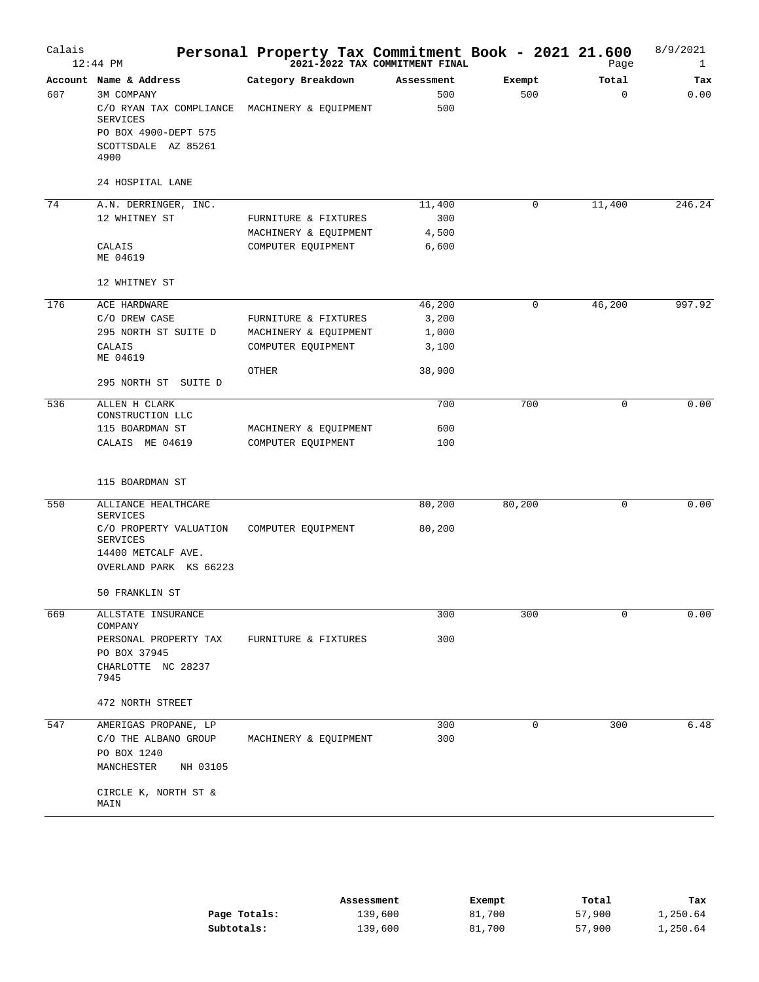| Calais | $12:44$ PM                                          | Personal Property Tax Commitment Book - 2021 21.600<br>2021-2022 TAX COMMITMENT FINAL |                |             | Page        | 8/9/2021<br>$\mathbf{1}$ |
|--------|-----------------------------------------------------|---------------------------------------------------------------------------------------|----------------|-------------|-------------|--------------------------|
|        | Account Name & Address                              | Category Breakdown                                                                    | Assessment     | Exempt      | Total       | Tax                      |
| 607    | 3M COMPANY<br>C/O RYAN TAX COMPLIANCE<br>SERVICES   | MACHINERY & EQUIPMENT                                                                 | 500<br>500     | 500         | $\Omega$    | 0.00                     |
|        | PO BOX 4900-DEPT 575<br>SCOTTSDALE AZ 85261<br>4900 |                                                                                       |                |             |             |                          |
|        | 24 HOSPITAL LANE                                    |                                                                                       |                |             |             |                          |
| 74     | A.N. DERRINGER, INC.                                |                                                                                       | 11,400         | 0           | 11,400      | 246.24                   |
|        | 12 WHITNEY ST                                       | FURNITURE & FIXTURES                                                                  | 300            |             |             |                          |
|        | CALAIS<br>ME 04619                                  | MACHINERY & EQUIPMENT<br>COMPUTER EQUIPMENT                                           | 4,500<br>6,600 |             |             |                          |
|        | 12 WHITNEY ST                                       |                                                                                       |                |             |             |                          |
| 176    | ACE HARDWARE                                        |                                                                                       | 46,200         | $\mathbf 0$ | 46,200      | 997.92                   |
|        | C/O DREW CASE                                       | FURNITURE & FIXTURES                                                                  | 3,200          |             |             |                          |
|        | 295 NORTH ST SUITE D                                | MACHINERY & EQUIPMENT                                                                 | 1,000          |             |             |                          |
|        | CALAIS<br>ME 04619                                  | COMPUTER EQUIPMENT                                                                    | 3,100          |             |             |                          |
|        |                                                     | OTHER                                                                                 | 38,900         |             |             |                          |
|        | 295 NORTH ST SUITE D                                |                                                                                       |                |             |             |                          |
| 536    | ALLEN H CLARK<br>CONSTRUCTION LLC                   |                                                                                       | 700            | 700         | 0           | 0.00                     |
|        | 115 BOARDMAN ST                                     | MACHINERY & EQUIPMENT                                                                 | 600            |             |             |                          |
|        | CALAIS ME 04619                                     | COMPUTER EQUIPMENT                                                                    | 100            |             |             |                          |
|        | 115 BOARDMAN ST                                     |                                                                                       |                |             |             |                          |
| 550    | ALLIANCE HEALTHCARE<br>SERVICES                     |                                                                                       | 80,200         | 80,200      | 0           | 0.00                     |
|        | C/O PROPERTY VALUATION<br>SERVICES                  | COMPUTER EQUIPMENT                                                                    | 80,200         |             |             |                          |
|        | 14400 METCALF AVE.<br>OVERLAND PARK KS 66223        |                                                                                       |                |             |             |                          |
|        | 50 FRANKLIN ST                                      |                                                                                       |                |             |             |                          |
| 669    | ALLSTATE INSURANCE<br>COMPANY                       |                                                                                       | 300            | 300         | $\mathbf 0$ | 0.00                     |
|        | PERSONAL PROPERTY TAX<br>PO BOX 37945               | FURNITURE & FIXTURES                                                                  | 300            |             |             |                          |
|        | CHARLOTTE NC 28237                                  |                                                                                       |                |             |             |                          |
|        | 7945<br>472 NORTH STREET                            |                                                                                       |                |             |             |                          |
|        |                                                     |                                                                                       |                |             |             |                          |
| 547    | AMERIGAS PROPANE, LP<br>C/O THE ALBANO GROUP        | MACHINERY & EQUIPMENT                                                                 | 300<br>300     | $\mathbf 0$ | 300         | 6.48                     |
|        | PO BOX 1240                                         |                                                                                       |                |             |             |                          |
|        | MANCHESTER<br>NH 03105                              |                                                                                       |                |             |             |                          |
|        | CIRCLE K, NORTH ST &<br>MAIN                        |                                                                                       |                |             |             |                          |

|              | Assessment | Exempt | Total  | Tax      |
|--------------|------------|--------|--------|----------|
| Page Totals: | 139,600    | 81,700 | 57,900 | 1,250.64 |
| Subtotals:   | 139,600    | 81,700 | 57,900 | 1,250.64 |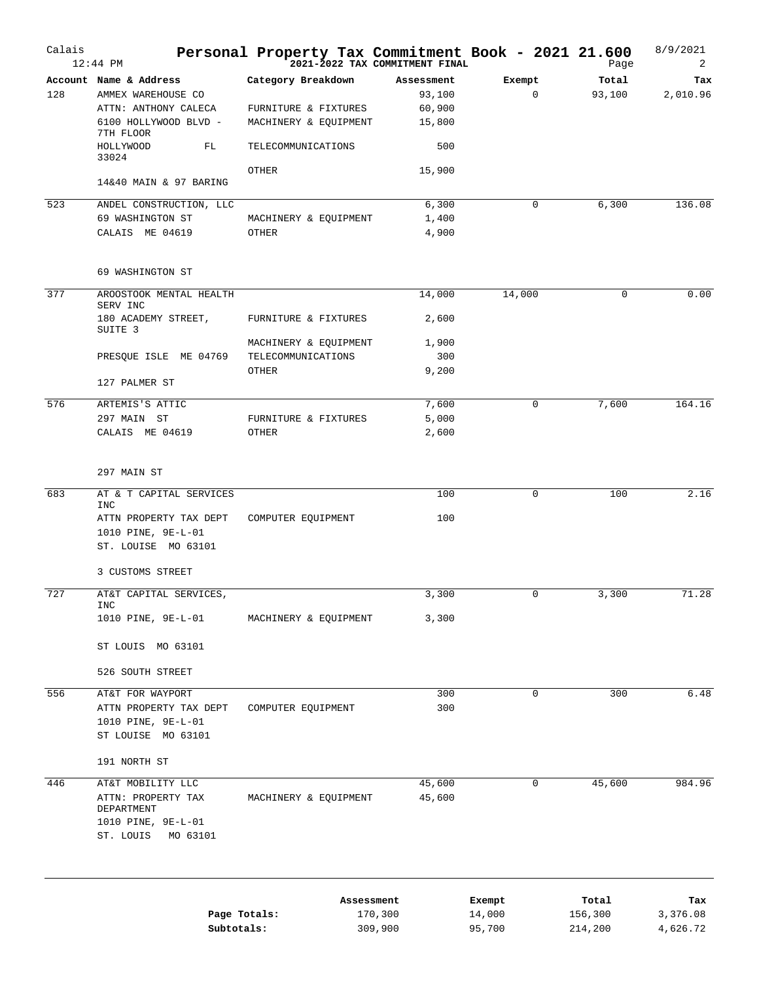| Calais | $12:44$ PM                                                                      | Personal Property Tax Commitment Book - 2021 21.600 | 2021-2022 TAX COMMITMENT FINAL |             | Page    | 8/9/2021<br>2 |
|--------|---------------------------------------------------------------------------------|-----------------------------------------------------|--------------------------------|-------------|---------|---------------|
|        | Account Name & Address                                                          | Category Breakdown                                  | Assessment                     | Exempt      | Total   | Tax           |
| 128    | AMMEX WAREHOUSE CO                                                              |                                                     | 93,100                         | 0           | 93,100  | 2,010.96      |
|        | ATTN: ANTHONY CALECA                                                            | FURNITURE & FIXTURES                                | 60,900                         |             |         |               |
|        | 6100 HOLLYWOOD BLVD -<br>7TH FLOOR                                              | MACHINERY & EQUIPMENT                               | 15,800                         |             |         |               |
|        | HOLLYWOOD<br>FL<br>33024                                                        | TELECOMMUNICATIONS                                  | 500                            |             |         |               |
|        | 14&40 MAIN & 97 BARING                                                          | OTHER                                               | 15,900                         |             |         |               |
| 523    | ANDEL CONSTRUCTION, LLC                                                         |                                                     | 6,300                          | $\mathbf 0$ | 6,300   | 136.08        |
|        | 69 WASHINGTON ST                                                                | MACHINERY & EQUIPMENT                               | 1,400                          |             |         |               |
|        | CALAIS ME 04619                                                                 | OTHER                                               | 4,900                          |             |         |               |
|        | 69 WASHINGTON ST                                                                |                                                     |                                |             |         |               |
| 377    | AROOSTOOK MENTAL HEALTH<br>SERV INC                                             |                                                     | 14,000                         | 14,000      | 0       | 0.00          |
|        | 180 ACADEMY STREET,<br>SUITE 3                                                  | FURNITURE & FIXTURES                                | 2,600                          |             |         |               |
|        |                                                                                 | MACHINERY & EQUIPMENT                               | 1,900                          |             |         |               |
|        | PRESQUE ISLE ME 04769                                                           | TELECOMMUNICATIONS                                  | 300                            |             |         |               |
|        | 127 PALMER ST                                                                   | OTHER                                               | 9,200                          |             |         |               |
| 576    | ARTEMIS'S ATTIC                                                                 |                                                     | 7,600                          | $\mathbf 0$ | 7,600   | 164.16        |
|        | 297 MAIN ST                                                                     | FURNITURE & FIXTURES                                | 5,000                          |             |         |               |
|        | CALAIS ME 04619                                                                 | OTHER                                               | 2,600                          |             |         |               |
|        | 297 MAIN ST                                                                     |                                                     |                                |             |         |               |
| 683    | AT & T CAPITAL SERVICES                                                         |                                                     | 100                            | 0           | 100     | 2.16          |
|        | INC                                                                             |                                                     |                                |             |         |               |
|        | ATTN PROPERTY TAX DEPT                                                          | COMPUTER EQUIPMENT                                  | 100                            |             |         |               |
|        | 1010 PINE, 9E-L-01<br>ST. LOUISE MO 63101                                       |                                                     |                                |             |         |               |
|        | 3 CUSTOMS STREET                                                                |                                                     |                                |             |         |               |
| 727    | AT&T CAPITAL SERVICES,<br>INC                                                   |                                                     | 3,300                          | $\mathbf 0$ | 3,300   | 71.28         |
|        | 1010 PINE, 9E-L-01                                                              | MACHINERY & EQUIPMENT                               | 3,300                          |             |         |               |
|        | ST LOUIS MO 63101                                                               |                                                     |                                |             |         |               |
|        | 526 SOUTH STREET                                                                |                                                     |                                |             |         |               |
| 556    | AT&T FOR WAYPORT                                                                |                                                     | 300                            | $\mathbf 0$ | 300     | 6.48          |
|        | ATTN PROPERTY TAX DEPT                                                          | COMPUTER EQUIPMENT                                  | 300                            |             |         |               |
|        | 1010 PINE, 9E-L-01                                                              |                                                     |                                |             |         |               |
|        | ST LOUISE MO 63101                                                              |                                                     |                                |             |         |               |
|        | 191 NORTH ST                                                                    |                                                     |                                |             |         |               |
| 446    | AT&T MOBILITY LLC                                                               |                                                     | 45,600                         | $\mathbf 0$ | 45,600  | 984.96        |
|        | ATTN: PROPERTY TAX<br>DEPARTMENT<br>1010 PINE, 9E-L-01<br>ST. LOUIS<br>MO 63101 | MACHINERY & EQUIPMENT                               | 45,600                         |             |         |               |
|        |                                                                                 |                                                     |                                |             |         |               |
|        |                                                                                 |                                                     | Assessment                     | Exempt      | Total   | Tax           |
|        |                                                                                 | Page Totals:                                        | 170,300                        | 14,000      | 156,300 | 3,376.08      |
|        | Subtotals:                                                                      |                                                     | 309,900                        | 95,700      | 214,200 | 4,626.72      |

309,900

95,700

214,200

4,626.72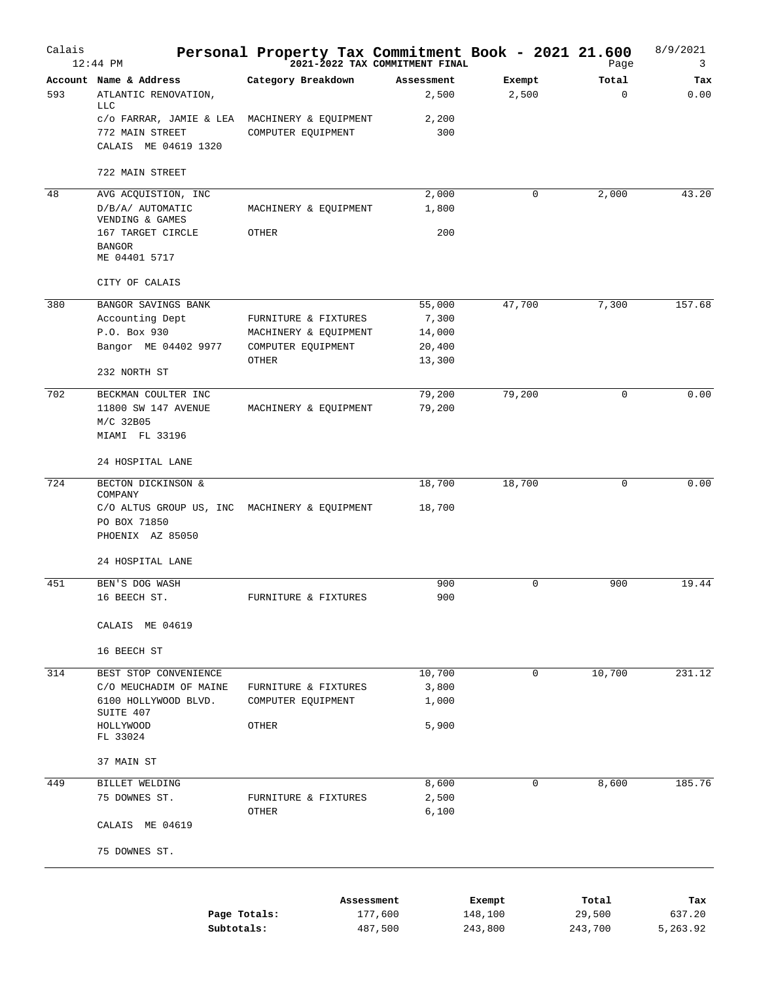| Calais | $12:44$ PM                                                                               | Personal Property Tax Commitment Book - 2021 21.600<br>2021-2022 TAX COMMITMENT FINAL Page |                     |                 | Page       | 8/9/2021<br>3 |
|--------|------------------------------------------------------------------------------------------|--------------------------------------------------------------------------------------------|---------------------|-----------------|------------|---------------|
| 593    | Account Name & Address<br>ATLANTIC RENOVATION,<br><b>TTC</b>                             | Category Breakdown                                                                         | Assessment<br>2,500 | Exempt<br>2,500 | Total<br>0 | Tax<br>0.00   |
|        | c/o FARRAR, JAMIE & LEA MACHINERY & EQUIPMENT<br>772 MAIN STREET<br>CALAIS ME 04619 1320 | COMPUTER EQUIPMENT                                                                         | 2,200<br>300        |                 |            |               |
|        | 722 MAIN STREET                                                                          |                                                                                            |                     |                 |            |               |
|        |                                                                                          |                                                                                            |                     |                 |            |               |
| 48     | AVG ACQUISTION, INC<br>D/B/A/ AUTOMATIC<br>VENDING & GAMES                               | MACHINERY & EQUIPMENT                                                                      | 2,000<br>1,800      | 0               | 2,000      | 43.20         |
|        | 167 TARGET CIRCLE<br><b>BANGOR</b><br>ME 04401 5717                                      | OTHER                                                                                      | 200                 |                 |            |               |
|        | CITY OF CALAIS                                                                           |                                                                                            |                     |                 |            |               |
| 380    | BANGOR SAVINGS BANK                                                                      |                                                                                            | 55,000              | 47,700          | 7,300      | 157.68        |
|        | Accounting Dept                                                                          | FURNITURE & FIXTURES                                                                       | 7,300               |                 |            |               |
|        | P.O. Box 930                                                                             | MACHINERY & EQUIPMENT                                                                      | 14,000              |                 |            |               |
|        | Bangor ME 04402 9977                                                                     | COMPUTER EQUIPMENT                                                                         | 20,400              |                 |            |               |
|        | 232 NORTH ST                                                                             | OTHER                                                                                      | 13,300              |                 |            |               |
| 702    | BECKMAN COULTER INC                                                                      |                                                                                            | 79,200              | 79,200          | $\Omega$   | 0.00          |
|        | 11800 SW 147 AVENUE<br>M/C 32B05                                                         | MACHINERY & EQUIPMENT                                                                      | 79,200              |                 |            |               |
|        | MIAMI FL 33196                                                                           |                                                                                            |                     |                 |            |               |
|        | 24 HOSPITAL LANE                                                                         |                                                                                            |                     |                 |            |               |
| 724    | BECTON DICKINSON &<br>COMPANY                                                            |                                                                                            | 18,700              | 18,700          | $\Omega$   | 0.00          |
|        | C/O ALTUS GROUP US, INC MACHINERY & EQUIPMENT<br>PO BOX 71850                            |                                                                                            | 18,700              |                 |            |               |
|        | PHOENIX AZ 85050                                                                         |                                                                                            |                     |                 |            |               |
|        | 24 HOSPITAL LANE                                                                         |                                                                                            |                     |                 |            |               |
| 451    | BEN'S DOG WASH                                                                           |                                                                                            | 900                 | 0               | 900        | 19.44         |
|        | 16 BEECH ST.                                                                             | FURNITURE & FIXTURES                                                                       | 900                 |                 |            |               |
|        | CALAIS ME 04619                                                                          |                                                                                            |                     |                 |            |               |
|        | 16 BEECH ST                                                                              |                                                                                            |                     |                 |            |               |
| 314    | BEST STOP CONVENIENCE                                                                    |                                                                                            | 10,700              | 0               | 10,700     | 231.12        |
|        | C/O MEUCHADIM OF MAINE                                                                   | FURNITURE & FIXTURES                                                                       | 3,800               |                 |            |               |
|        | 6100 HOLLYWOOD BLVD.<br>SUITE 407                                                        | COMPUTER EQUIPMENT                                                                         | 1,000               |                 |            |               |
|        | HOLLYWOOD                                                                                | OTHER                                                                                      | 5,900               |                 |            |               |
|        | FL 33024                                                                                 |                                                                                            |                     |                 |            |               |
|        | 37 MAIN ST                                                                               |                                                                                            |                     |                 |            |               |
| 449    | BILLET WELDING                                                                           |                                                                                            | 8,600               | 0               | 8,600      | 185.76        |
|        | 75 DOWNES ST.                                                                            | FURNITURE & FIXTURES<br>OTHER                                                              | 2,500<br>6,100      |                 |            |               |
|        | CALAIS ME 04619                                                                          |                                                                                            |                     |                 |            |               |
|        | 75 DOWNES ST.                                                                            |                                                                                            |                     |                 |            |               |
|        |                                                                                          |                                                                                            |                     |                 |            |               |
|        |                                                                                          | Assessment                                                                                 |                     | Exempt          | Total      | Tax           |
|        |                                                                                          | Page Totals:<br>177,600                                                                    |                     | 148,100         | 29,500     | 637.20        |

487,500

243,800

243,700 5,263.92

**Subtotals:**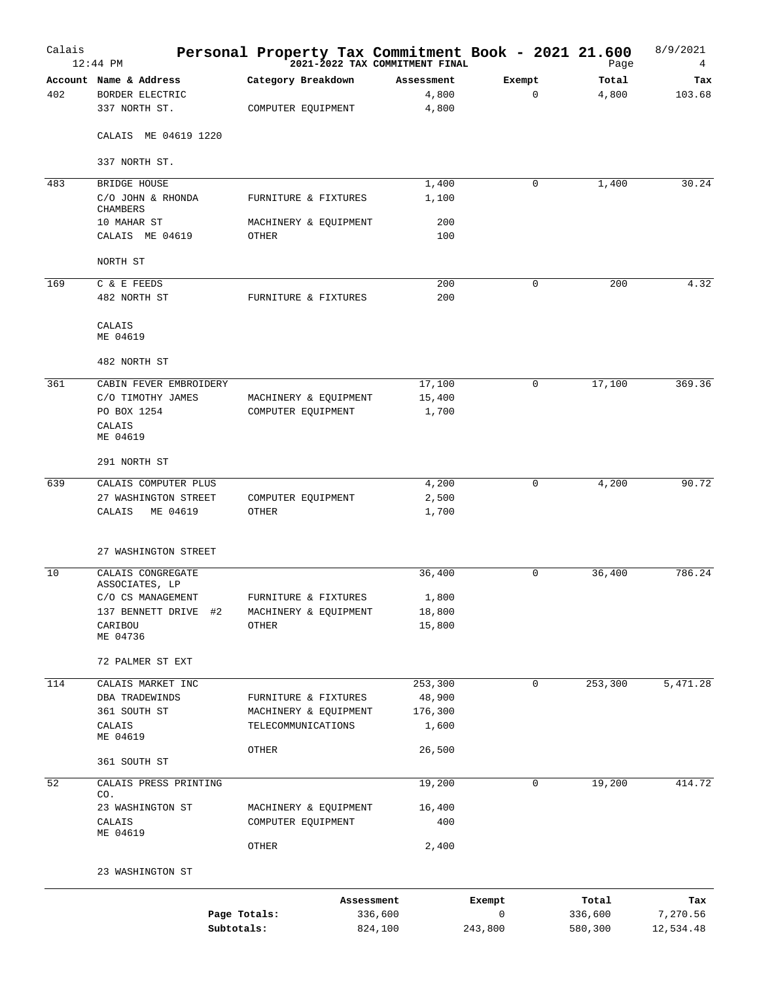| Calais | $12:44$ PM                                                 | Personal Property Tax Commitment Book - 2021 21.600<br><sup>2021-2022</sup> TAX COMMITMENT FINAL |                              |              | Page               | 8/9/2021<br>4         |
|--------|------------------------------------------------------------|--------------------------------------------------------------------------------------------------|------------------------------|--------------|--------------------|-----------------------|
| 402    | Account Name & Address<br>BORDER ELECTRIC<br>337 NORTH ST. | Category Breakdown<br>COMPUTER EQUIPMENT                                                         | Assessment<br>4,800<br>4,800 | Exempt<br>0  | Total<br>4,800     | Tax<br>103.68         |
|        | CALAIS ME 04619 1220                                       |                                                                                                  |                              |              |                    |                       |
|        | 337 NORTH ST.                                              |                                                                                                  |                              |              |                    |                       |
| 483    | BRIDGE HOUSE                                               |                                                                                                  | 1,400                        | 0            | 1,400              | 30.24                 |
|        | C/O JOHN & RHONDA<br><b>CHAMBERS</b>                       | FURNITURE & FIXTURES                                                                             | 1,100                        |              |                    |                       |
|        | 10 MAHAR ST<br>CALAIS ME 04619                             | MACHINERY & EQUIPMENT<br>OTHER                                                                   | 200<br>100                   |              |                    |                       |
|        | NORTH ST                                                   |                                                                                                  |                              |              |                    |                       |
| 169    | C & E FEEDS                                                |                                                                                                  | 200                          | 0            | 200                | 4.32                  |
|        | 482 NORTH ST                                               | FURNITURE & FIXTURES                                                                             | 200                          |              |                    |                       |
|        | CALAIS<br>ME 04619                                         |                                                                                                  |                              |              |                    |                       |
|        | 482 NORTH ST                                               |                                                                                                  |                              |              |                    |                       |
| 361    | CABIN FEVER EMBROIDERY                                     |                                                                                                  | 17,100                       | 0            | 17,100             | 369.36                |
|        | C/O TIMOTHY JAMES                                          | MACHINERY & EQUIPMENT                                                                            | 15,400                       |              |                    |                       |
|        | PO BOX 1254                                                | COMPUTER EQUIPMENT                                                                               | 1,700                        |              |                    |                       |
|        | CALAIS<br>ME 04619                                         |                                                                                                  |                              |              |                    |                       |
|        | 291 NORTH ST                                               |                                                                                                  |                              |              |                    |                       |
| 639    | CALAIS COMPUTER PLUS                                       |                                                                                                  | 4,200                        | 0            | 4,200              | 90.72                 |
|        | 27 WASHINGTON STREET                                       | COMPUTER EQUIPMENT                                                                               | 2,500                        |              |                    |                       |
|        | CALAIS<br>ME 04619                                         | OTHER                                                                                            | 1,700                        |              |                    |                       |
|        | 27 WASHINGTON STREET                                       |                                                                                                  |                              |              |                    |                       |
| 10     | CALAIS CONGREGATE                                          |                                                                                                  | 36,400                       | 0            | 36,400             | 786.24                |
|        | ASSOCIATES, LP                                             |                                                                                                  |                              |              |                    |                       |
|        | C/O CS MANAGEMENT<br>137 BENNETT DRIVE #2                  | FURNITURE & FIXTURES<br>MACHINERY & EQUIPMENT                                                    | 1,800<br>18,800              |              |                    |                       |
|        | CARIBOU                                                    | <b>OTHER</b>                                                                                     | 15,800                       |              |                    |                       |
|        | ME 04736                                                   |                                                                                                  |                              |              |                    |                       |
|        | 72 PALMER ST EXT                                           |                                                                                                  |                              |              |                    |                       |
| 114    | CALAIS MARKET INC                                          |                                                                                                  | 253,300                      | $\mathbf 0$  | 253,300            | 5,471.28              |
|        | DBA TRADEWINDS                                             | FURNITURE & FIXTURES                                                                             | 48,900                       |              |                    |                       |
|        | 361 SOUTH ST                                               | MACHINERY & EQUIPMENT                                                                            | 176,300                      |              |                    |                       |
|        | CALAIS<br>ME 04619                                         | TELECOMMUNICATIONS                                                                               | 1,600                        |              |                    |                       |
|        | 361 SOUTH ST                                               | OTHER                                                                                            | 26,500                       |              |                    |                       |
| 52     | CALAIS PRESS PRINTING                                      |                                                                                                  | 19,200                       | 0            | 19,200             | 414.72                |
|        | CO.                                                        |                                                                                                  |                              |              |                    |                       |
|        | 23 WASHINGTON ST<br>CALAIS                                 | MACHINERY & EQUIPMENT<br>COMPUTER EQUIPMENT                                                      | 16,400<br>400                |              |                    |                       |
|        | ME 04619                                                   |                                                                                                  |                              |              |                    |                       |
|        |                                                            | OTHER                                                                                            | 2,400                        |              |                    |                       |
|        | 23 WASHINGTON ST                                           |                                                                                                  |                              |              |                    |                       |
|        |                                                            | Assessment                                                                                       |                              | Exempt       | Total              | Tax                   |
|        |                                                            | Page Totals:<br>Subtotals:                                                                       | 336,600<br>824,100           | 0<br>243,800 | 336,600<br>580,300 | 7,270.56<br>12,534.48 |
|        |                                                            |                                                                                                  |                              |              |                    |                       |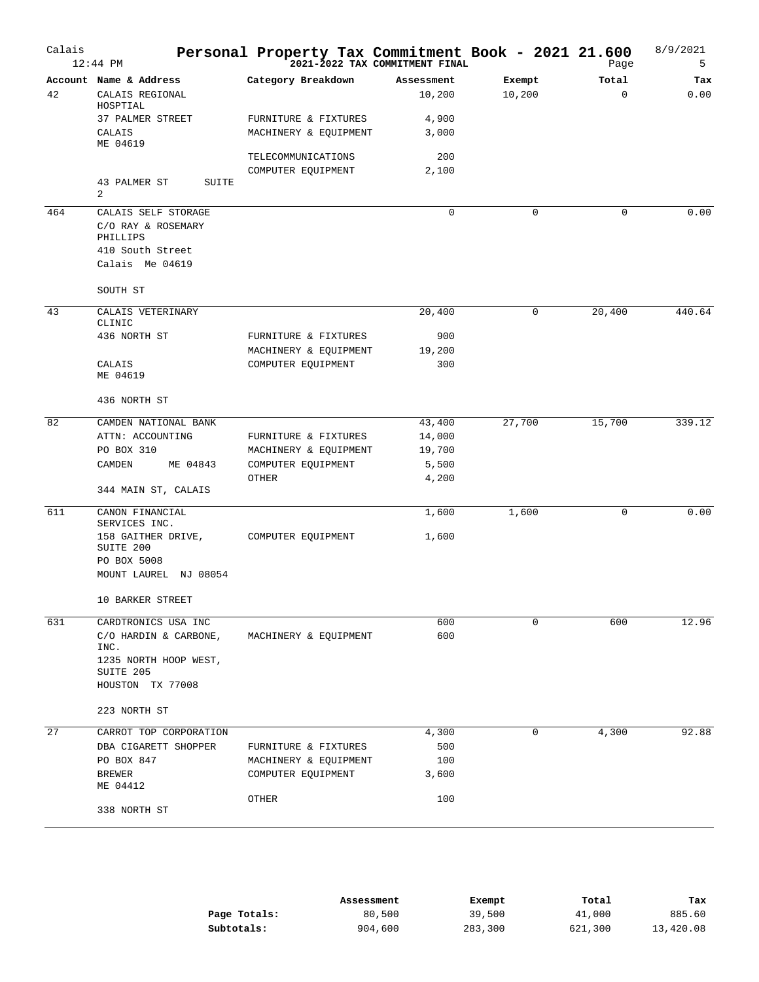| Calais | $12:44$ PM                         | Personal Property Tax Commitment Book - 2021 21.600 | 2021-2022 TAX COMMITMENT FINAL |        | Page        | 8/9/2021<br>5 |
|--------|------------------------------------|-----------------------------------------------------|--------------------------------|--------|-------------|---------------|
|        | Account Name & Address             | Category Breakdown                                  | Assessment                     | Exempt | Total       | Tax           |
| 42     | CALAIS REGIONAL<br>HOSPTIAL        |                                                     | 10,200                         | 10,200 | $\Omega$    | 0.00          |
|        | 37 PALMER STREET                   | FURNITURE & FIXTURES                                | 4,900                          |        |             |               |
|        | CALAIS<br>ME 04619                 | MACHINERY & EQUIPMENT                               | 3,000                          |        |             |               |
|        |                                    | TELECOMMUNICATIONS                                  | 200                            |        |             |               |
|        |                                    | COMPUTER EQUIPMENT                                  | 2,100                          |        |             |               |
|        | 43 PALMER ST<br>SUITE<br>2         |                                                     |                                |        |             |               |
| 464    | CALAIS SELF STORAGE                |                                                     | 0                              | 0      | 0           | 0.00          |
|        | C/O RAY & ROSEMARY<br>PHILLIPS     |                                                     |                                |        |             |               |
|        | 410 South Street                   |                                                     |                                |        |             |               |
|        | Calais Me 04619                    |                                                     |                                |        |             |               |
|        | SOUTH ST                           |                                                     |                                |        |             |               |
| 43     | CALAIS VETERINARY                  |                                                     | 20,400                         | 0      | 20,400      | 440.64        |
|        | CLINIC<br>436 NORTH ST             | FURNITURE & FIXTURES                                | 900                            |        |             |               |
|        |                                    | MACHINERY & EQUIPMENT                               | 19,200                         |        |             |               |
|        | CALAIS                             | COMPUTER EQUIPMENT                                  | 300                            |        |             |               |
|        | ME 04619                           |                                                     |                                |        |             |               |
|        | 436 NORTH ST                       |                                                     |                                |        |             |               |
| 82     | CAMDEN NATIONAL BANK               |                                                     | 43,400                         | 27,700 | 15,700      | 339.12        |
|        | ATTN: ACCOUNTING                   | FURNITURE & FIXTURES                                | 14,000                         |        |             |               |
|        | PO BOX 310                         | MACHINERY & EQUIPMENT                               | 19,700                         |        |             |               |
|        | ME 04843<br>CAMDEN                 | COMPUTER EQUIPMENT                                  | 5,500                          |        |             |               |
|        | 344 MAIN ST, CALAIS                | OTHER                                               | 4,200                          |        |             |               |
| 611    | CANON FINANCIAL                    |                                                     | 1,600                          | 1,600  | $\mathbf 0$ | 0.00          |
|        | SERVICES INC.                      |                                                     |                                |        |             |               |
|        | 158 GAITHER DRIVE,<br>SUITE 200    | COMPUTER EQUIPMENT                                  | 1,600                          |        |             |               |
|        | PO BOX 5008                        |                                                     |                                |        |             |               |
|        | MOUNT LAUREL NJ 08054              |                                                     |                                |        |             |               |
|        | 10 BARKER STREET                   |                                                     |                                |        |             |               |
| 631    | CARDTRONICS USA INC                |                                                     | 600                            | 0      | 600         | 12.96         |
|        | C/O HARDIN & CARBONE,<br>INC.      | MACHINERY & EQUIPMENT                               | 600                            |        |             |               |
|        | 1235 NORTH HOOP WEST,<br>SUITE 205 |                                                     |                                |        |             |               |
|        | HOUSTON TX 77008                   |                                                     |                                |        |             |               |
|        | 223 NORTH ST                       |                                                     |                                |        |             |               |
| 27     | CARROT TOP CORPORATION             |                                                     | 4,300                          | 0      | 4,300       | 92.88         |
|        | DBA CIGARETT SHOPPER               | FURNITURE & FIXTURES                                | 500                            |        |             |               |
|        | PO BOX 847                         | MACHINERY & EQUIPMENT                               | 100                            |        |             |               |
|        | <b>BREWER</b><br>ME 04412          | COMPUTER EQUIPMENT                                  | 3,600                          |        |             |               |
|        | 338 NORTH ST                       | OTHER                                               | 100                            |        |             |               |
|        |                                    |                                                     |                                |        |             |               |

|              | Assessment | Exempt  | Total   | тах       |
|--------------|------------|---------|---------|-----------|
| Page Totals: | 80,500     | 39,500  | 41,000  | 885.60    |
| Subtotals:   | 904,600    | 283,300 | 621,300 | 13,420.08 |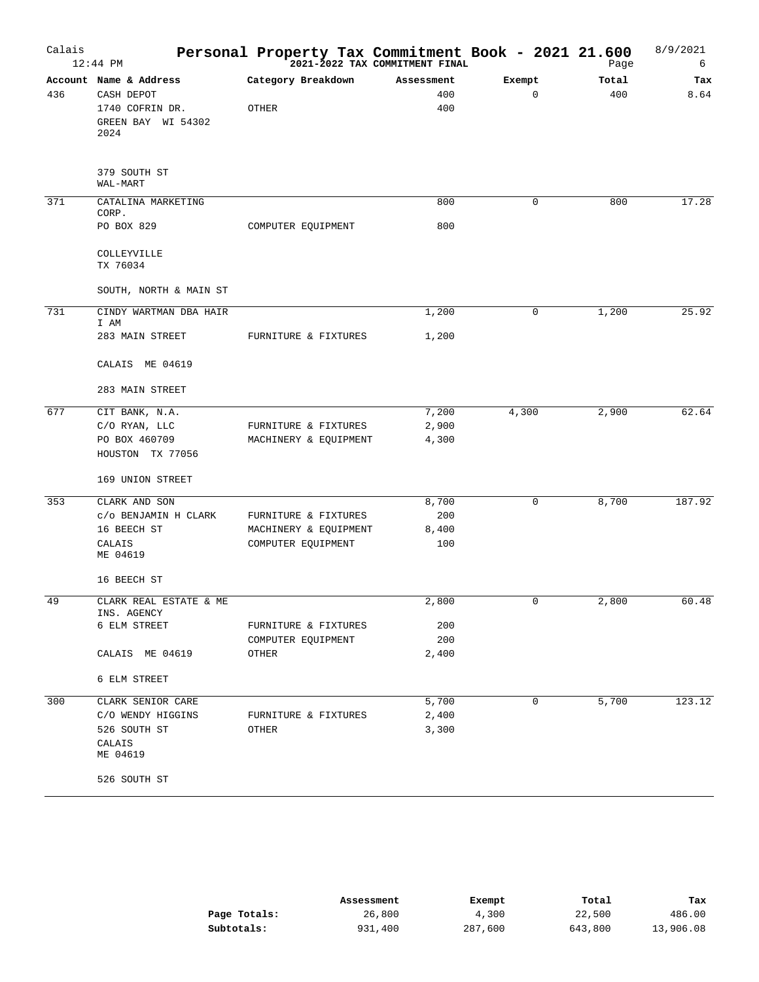| Calais | $12:44$ PM                                                                            | Personal Property Tax Commitment Book - 2021 21.600<br>2021-2022 TAX COMMITMENT FINAL |                          |                       | Page         | 8/9/2021<br>6 |
|--------|---------------------------------------------------------------------------------------|---------------------------------------------------------------------------------------|--------------------------|-----------------------|--------------|---------------|
| 436    | Account Name & Address<br>CASH DEPOT<br>1740 COFRIN DR.<br>GREEN BAY WI 54302<br>2024 | Category Breakdown<br>OTHER                                                           | Assessment<br>400<br>400 | Exempt<br>$\mathbf 0$ | Total<br>400 | Tax<br>8.64   |
|        | 379 SOUTH ST<br>WAL-MART                                                              |                                                                                       |                          |                       |              |               |
| 371    | CATALINA MARKETING                                                                    |                                                                                       | 800                      | $\mathbf 0$           | 800          | 17.28         |
|        | CORP.<br>PO BOX 829                                                                   | COMPUTER EQUIPMENT                                                                    | 800                      |                       |              |               |
|        | COLLEYVILLE<br>TX 76034                                                               |                                                                                       |                          |                       |              |               |
|        | SOUTH, NORTH & MAIN ST                                                                |                                                                                       |                          |                       |              |               |
| 731    | CINDY WARTMAN DBA HAIR                                                                |                                                                                       | 1,200                    | 0                     | 1,200        | 25.92         |
|        | I AM<br>283 MAIN STREET                                                               | FURNITURE & FIXTURES                                                                  | 1,200                    |                       |              |               |
|        | CALAIS ME 04619                                                                       |                                                                                       |                          |                       |              |               |
|        | 283 MAIN STREET                                                                       |                                                                                       |                          |                       |              |               |
| 677    | CIT BANK, N.A.                                                                        |                                                                                       | 7,200                    | 4,300                 | 2,900        | 62.64         |
|        | C/O RYAN, LLC                                                                         | FURNITURE & FIXTURES                                                                  | 2,900                    |                       |              |               |
|        | PO BOX 460709<br>HOUSTON TX 77056                                                     | MACHINERY & EQUIPMENT                                                                 | 4,300                    |                       |              |               |
|        | 169 UNION STREET                                                                      |                                                                                       |                          |                       |              |               |
| 353    | CLARK AND SON                                                                         |                                                                                       | 8,700                    | 0                     | 8,700        | 187.92        |
|        | C/O BENJAMIN H CLARK                                                                  | FURNITURE & FIXTURES                                                                  | 200                      |                       |              |               |
|        | 16 BEECH ST                                                                           | MACHINERY & EQUIPMENT                                                                 | 8,400                    |                       |              |               |
|        | CALAIS<br>ME 04619                                                                    | COMPUTER EQUIPMENT                                                                    | 100                      |                       |              |               |
|        | 16 BEECH ST                                                                           |                                                                                       |                          |                       |              |               |
| 49     | CLARK REAL ESTATE & ME                                                                |                                                                                       | 2,800                    | 0                     | 2,800        | 60.48         |
|        | INS. AGENCY<br>6 ELM STREET                                                           | FURNITURE & FIXTURES                                                                  | 200                      |                       |              |               |
|        |                                                                                       | COMPUTER EQUIPMENT                                                                    | 200                      |                       |              |               |
|        | CALAIS ME 04619                                                                       | OTHER                                                                                 | 2,400                    |                       |              |               |
|        | 6 ELM STREET                                                                          |                                                                                       |                          |                       |              |               |
| 300    | CLARK SENIOR CARE                                                                     |                                                                                       | 5,700                    | $\mathbf 0$           | 5,700        | 123.12        |
|        | C/O WENDY HIGGINS                                                                     | FURNITURE & FIXTURES                                                                  | 2,400                    |                       |              |               |
|        | 526 SOUTH ST                                                                          | OTHER                                                                                 | 3,300                    |                       |              |               |
|        | CALAIS<br>ME 04619                                                                    |                                                                                       |                          |                       |              |               |
|        | 526 SOUTH ST                                                                          |                                                                                       |                          |                       |              |               |

|              | Assessment | Exempt  | Total   | Tax       |
|--------------|------------|---------|---------|-----------|
| Page Totals: | 26,800     | 4,300   | 22,500  | 486.00    |
| Subtotals:   | 931,400    | 287,600 | 643,800 | 13,906.08 |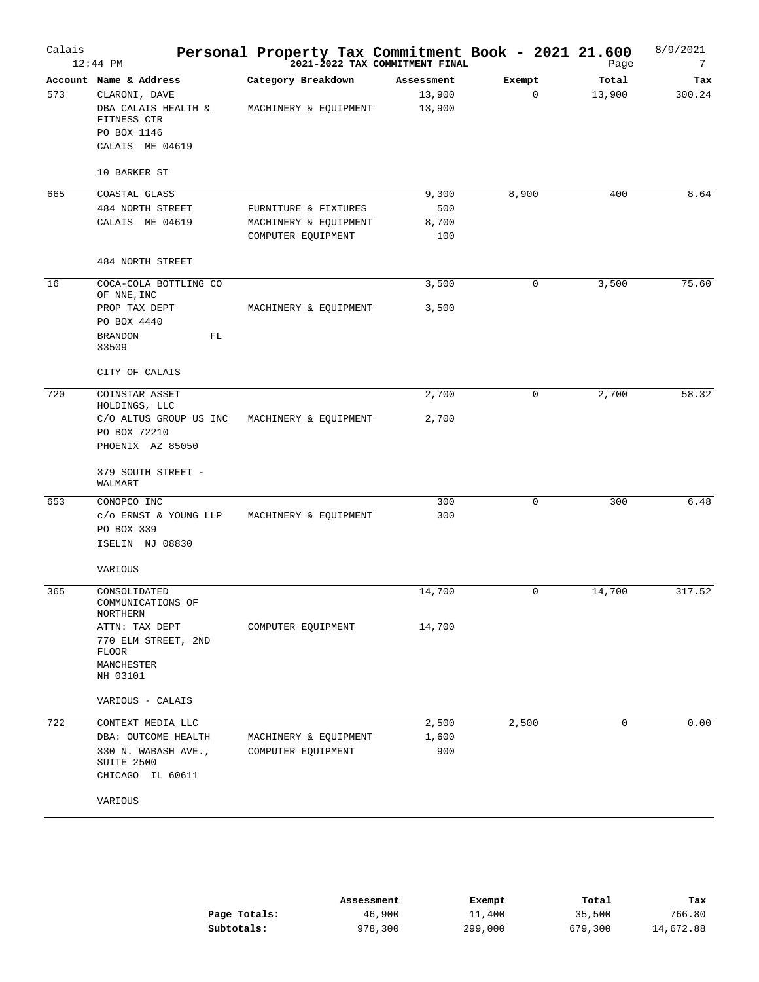| Calais | $12:44$ PM                             | Personal Property Tax Commitment Book - 2021 21.600 | 2021-2022 TAX COMMITMENT FINAL |        | Page        | 8/9/2021<br>7 |
|--------|----------------------------------------|-----------------------------------------------------|--------------------------------|--------|-------------|---------------|
|        | Account Name & Address                 | Category Breakdown                                  | Assessment                     | Exempt | Total       | Tax           |
| 573    | CLARONI, DAVE                          |                                                     | 13,900                         | 0      | 13,900      | 300.24        |
|        | DBA CALAIS HEALTH &<br>FITNESS CTR     | MACHINERY & EQUIPMENT                               | 13,900                         |        |             |               |
|        | PO BOX 1146                            |                                                     |                                |        |             |               |
|        | CALAIS ME 04619                        |                                                     |                                |        |             |               |
|        | 10 BARKER ST                           |                                                     |                                |        |             |               |
| 665    | COASTAL GLASS                          |                                                     | 9,300                          | 8,900  | 400         | 8.64          |
|        | 484 NORTH STREET                       | FURNITURE & FIXTURES                                | 500                            |        |             |               |
|        | CALAIS ME 04619                        | MACHINERY & EQUIPMENT                               | 8,700                          |        |             |               |
|        |                                        | COMPUTER EQUIPMENT                                  | 100                            |        |             |               |
|        | 484 NORTH STREET                       |                                                     |                                |        |             |               |
| 16     | COCA-COLA BOTTLING CO<br>OF NNE, INC   |                                                     | 3,500                          | 0      | 3,500       | 75.60         |
|        | PROP TAX DEPT                          | MACHINERY & EQUIPMENT                               | 3,500                          |        |             |               |
|        | PO BOX 4440                            |                                                     |                                |        |             |               |
|        | FL<br><b>BRANDON</b><br>33509          |                                                     |                                |        |             |               |
|        | CITY OF CALAIS                         |                                                     |                                |        |             |               |
| 720    | COINSTAR ASSET                         |                                                     | 2,700                          | 0      | 2,700       | 58.32         |
|        | HOLDINGS, LLC                          |                                                     |                                |        |             |               |
|        | C/O ALTUS GROUP US INC<br>PO BOX 72210 | MACHINERY & EQUIPMENT                               | 2,700                          |        |             |               |
|        | PHOENIX AZ 85050                       |                                                     |                                |        |             |               |
|        | 379 SOUTH STREET -<br>WALMART          |                                                     |                                |        |             |               |
| 653    | CONOPCO INC                            |                                                     | 300                            | 0      | 300         | 6.48          |
|        | $c/o$ ERNST & YOUNG LLP<br>PO BOX 339  | MACHINERY & EQUIPMENT                               | 300                            |        |             |               |
|        | ISELIN NJ 08830                        |                                                     |                                |        |             |               |
|        | VARIOUS                                |                                                     |                                |        |             |               |
| 365    | CONSOLIDATED                           |                                                     | 14,700                         | 0      | 14,700      | 317.52        |
|        | COMMUNICATIONS OF                      |                                                     |                                |        |             |               |
|        | NORTHERN<br>ATTN: TAX DEPT             | COMPUTER EOUIPMENT                                  | 14,700                         |        |             |               |
|        | 770 ELM STREET, 2ND                    |                                                     |                                |        |             |               |
|        | <b>FLOOR</b>                           |                                                     |                                |        |             |               |
|        | MANCHESTER                             |                                                     |                                |        |             |               |
|        | NH 03101                               |                                                     |                                |        |             |               |
|        | VARIOUS - CALAIS                       |                                                     |                                |        |             |               |
| 722    | CONTEXT MEDIA LLC                      |                                                     | 2,500                          | 2,500  | $\mathbf 0$ | 0.00          |
|        | DBA: OUTCOME HEALTH                    | MACHINERY & EQUIPMENT                               | 1,600                          |        |             |               |
|        | 330 N. WABASH AVE.,<br>SUITE 2500      | COMPUTER EQUIPMENT                                  | 900                            |        |             |               |
|        | CHICAGO IL 60611                       |                                                     |                                |        |             |               |
|        | VARIOUS                                |                                                     |                                |        |             |               |
|        |                                        |                                                     |                                |        |             |               |

|              | Assessment | Exempt  | Total   | Tax       |
|--------------|------------|---------|---------|-----------|
| Page Totals: | 46,900     | 11,400  | 35,500  | 766.80    |
| Subtotals:   | 978,300    | 299,000 | 679,300 | 14,672.88 |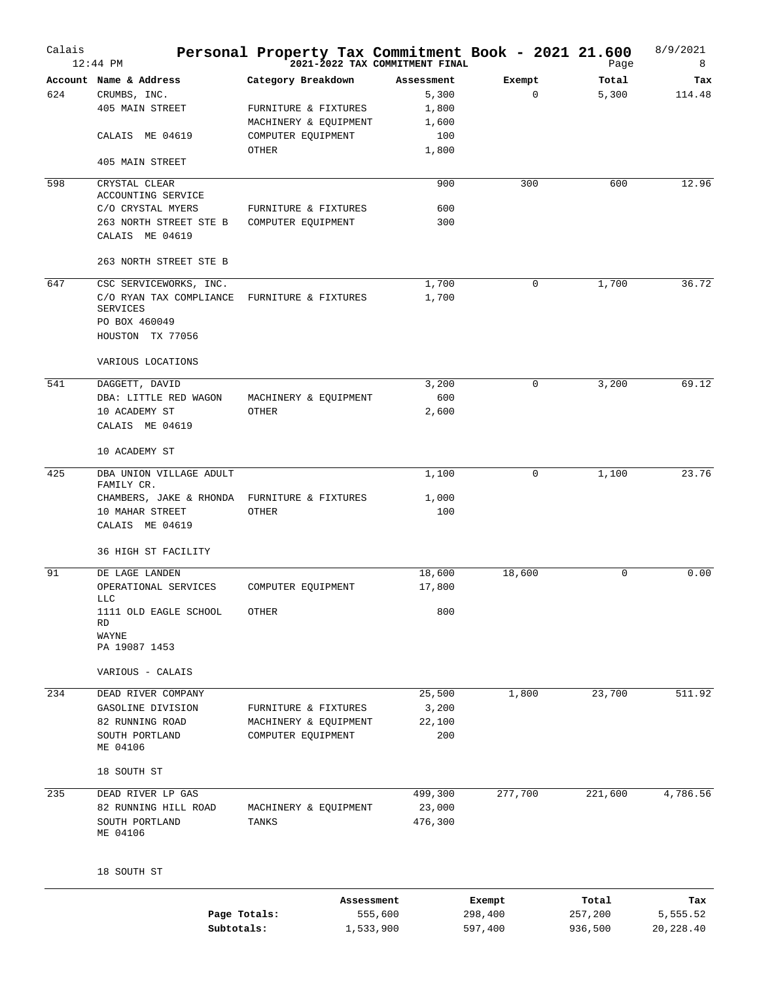| Calais | $12:44$ PM                                  | Personal Property Tax Commitment Book - 2021 21.600 | 2021-2022 TAX COMMITMENT FINAL |                   | Page             | 8/9/2021<br>8   |
|--------|---------------------------------------------|-----------------------------------------------------|--------------------------------|-------------------|------------------|-----------------|
|        | Account Name & Address                      | Category Breakdown                                  | Assessment                     | Exempt            | Total            | Tax             |
| 624    | CRUMBS, INC.                                |                                                     | 5,300                          | $\mathbf 0$       | 5,300            | 114.48          |
|        | 405 MAIN STREET                             | FURNITURE & FIXTURES                                | 1,800                          |                   |                  |                 |
|        |                                             | MACHINERY & EQUIPMENT                               | 1,600                          |                   |                  |                 |
|        | CALAIS ME 04619                             | COMPUTER EQUIPMENT                                  | 100                            |                   |                  |                 |
|        |                                             | OTHER                                               | 1,800                          |                   |                  |                 |
|        | 405 MAIN STREET                             |                                                     |                                |                   |                  |                 |
| 598    | CRYSTAL CLEAR                               |                                                     | 900                            | 300               | 600              | 12.96           |
|        | ACCOUNTING SERVICE                          |                                                     |                                |                   |                  |                 |
|        | C/O CRYSTAL MYERS<br>263 NORTH STREET STE B | FURNITURE & FIXTURES                                | 600<br>300                     |                   |                  |                 |
|        | CALAIS ME 04619                             | COMPUTER EQUIPMENT                                  |                                |                   |                  |                 |
|        |                                             |                                                     |                                |                   |                  |                 |
|        | 263 NORTH STREET STE B                      |                                                     |                                |                   |                  |                 |
| 647    | CSC SERVICEWORKS, INC.                      |                                                     | 1,700                          | 0                 | 1,700            | 36.72           |
|        | C/O RYAN TAX COMPLIANCE<br>SERVICES         | FURNITURE & FIXTURES                                | 1,700                          |                   |                  |                 |
|        | PO BOX 460049                               |                                                     |                                |                   |                  |                 |
|        | HOUSTON TX 77056                            |                                                     |                                |                   |                  |                 |
|        | VARIOUS LOCATIONS                           |                                                     |                                |                   |                  |                 |
| 541    | DAGGETT, DAVID                              |                                                     | 3,200                          | 0                 | 3,200            | 69.12           |
|        | DBA: LITTLE RED WAGON                       | MACHINERY & EQUIPMENT                               | 600                            |                   |                  |                 |
|        | 10 ACADEMY ST                               | OTHER                                               | 2,600                          |                   |                  |                 |
|        | CALAIS ME 04619                             |                                                     |                                |                   |                  |                 |
|        | 10 ACADEMY ST                               |                                                     |                                |                   |                  |                 |
| 425    | DBA UNION VILLAGE ADULT                     |                                                     | 1,100                          | 0                 | 1,100            | 23.76           |
|        | FAMILY CR.                                  |                                                     |                                |                   |                  |                 |
|        | CHAMBERS, JAKE & RHONDA                     | FURNITURE & FIXTURES                                | 1,000                          |                   |                  |                 |
|        | 10 MAHAR STREET                             | OTHER                                               | 100                            |                   |                  |                 |
|        | CALAIS ME 04619                             |                                                     |                                |                   |                  |                 |
|        | 36 HIGH ST FACILITY                         |                                                     |                                |                   |                  |                 |
| 91     | DE LAGE LANDEN                              |                                                     | 18,600                         | 18,600            | $\mathbf 0$      | 0.00            |
|        | OPERATIONAL SERVICES<br>T.T.C               | COMPUTER EQUIPMENT                                  | 17,800                         |                   |                  |                 |
|        | 1111 OLD EAGLE SCHOOL                       | <b>OTHER</b>                                        | 800                            |                   |                  |                 |
|        | RD                                          |                                                     |                                |                   |                  |                 |
|        | WAYNE<br>PA 19087 1453                      |                                                     |                                |                   |                  |                 |
|        |                                             |                                                     |                                |                   |                  |                 |
|        | VARIOUS - CALAIS                            |                                                     |                                |                   |                  |                 |
| 234    | DEAD RIVER COMPANY                          |                                                     | 25,500                         | 1,800             | 23,700           | 511.92          |
|        | GASOLINE DIVISION                           | FURNITURE & FIXTURES                                | 3,200                          |                   |                  |                 |
|        | 82 RUNNING ROAD                             | MACHINERY & EQUIPMENT                               | 22,100                         |                   |                  |                 |
|        | SOUTH PORTLAND<br>ME 04106                  | COMPUTER EQUIPMENT                                  | 200                            |                   |                  |                 |
|        | 18 SOUTH ST                                 |                                                     |                                |                   |                  |                 |
|        |                                             |                                                     |                                |                   |                  |                 |
| 235    | DEAD RIVER LP GAS<br>82 RUNNING HILL ROAD   | MACHINERY & EQUIPMENT                               | 499,300<br>23,000              | 277,700           | 221,600          | 4,786.56        |
|        | SOUTH PORTLAND                              | TANKS                                               | 476,300                        |                   |                  |                 |
|        | ME 04106                                    |                                                     |                                |                   |                  |                 |
|        | 18 SOUTH ST                                 |                                                     |                                |                   |                  |                 |
|        |                                             |                                                     |                                |                   |                  |                 |
|        |                                             | Assessment<br>Page Totals:                          | 555,600                        | Exempt<br>298,400 | Total<br>257,200 | Tax<br>5,555.52 |

**Subtotals:** 1,533,900 597,400 936,500 20,228.40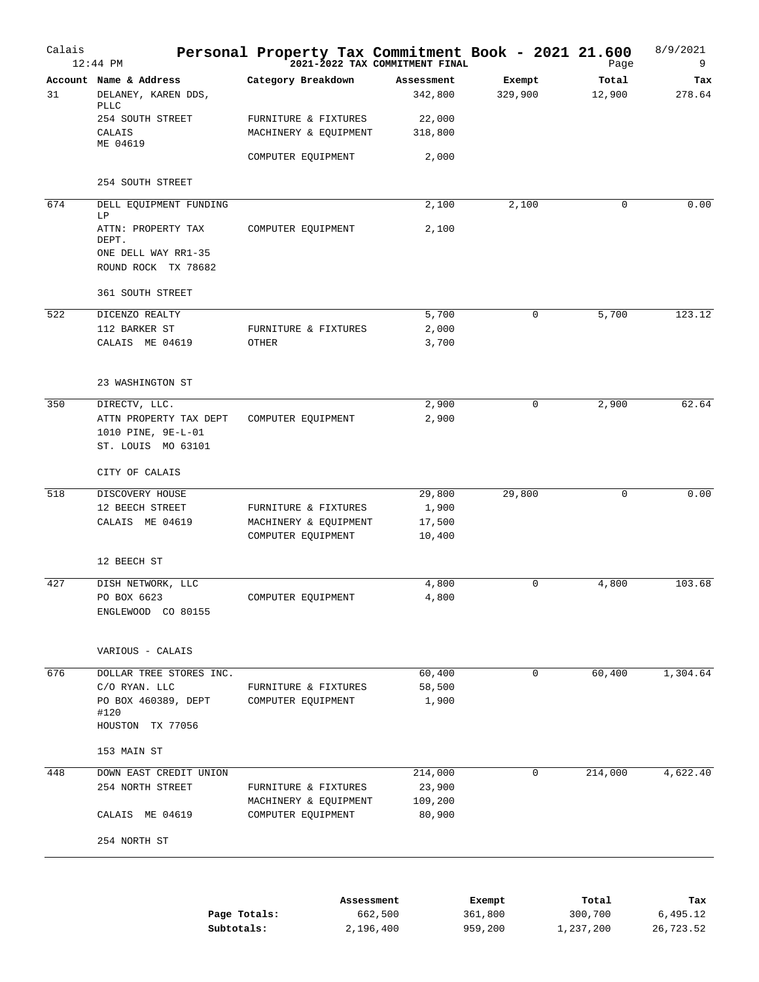| Calais | $12:44$ PM                                            | Personal Property Tax Commitment Book - 2021 21.600 | 2021-2022 TAX COMMITMENT FINAL |                   | Page            | 8/9/2021<br>9 |
|--------|-------------------------------------------------------|-----------------------------------------------------|--------------------------------|-------------------|-----------------|---------------|
| 31     | Account Name & Address<br>DELANEY, KAREN DDS,<br>PLLC | Category Breakdown                                  | Assessment<br>342,800          | Exempt<br>329,900 | Total<br>12,900 | Tax<br>278.64 |
|        | 254 SOUTH STREET<br>CALAIS<br>ME 04619                | FURNITURE & FIXTURES<br>MACHINERY & EQUIPMENT       | 22,000<br>318,800              |                   |                 |               |
|        |                                                       | COMPUTER EQUIPMENT                                  | 2,000                          |                   |                 |               |
|        | 254 SOUTH STREET                                      |                                                     |                                |                   |                 |               |
| 674    | DELL EQUIPMENT FUNDING<br>LΡ                          |                                                     | 2,100                          | 2,100             | 0               | 0.00          |
|        | ATTN: PROPERTY TAX<br>DEPT.                           | COMPUTER EQUIPMENT                                  | 2,100                          |                   |                 |               |
|        | ONE DELL WAY RR1-35<br>ROUND ROCK TX 78682            |                                                     |                                |                   |                 |               |
|        | 361 SOUTH STREET                                      |                                                     |                                |                   |                 |               |
| 522    | DICENZO REALTY                                        |                                                     | 5,700                          | 0                 | 5,700           | 123.12        |
|        | 112 BARKER ST                                         | FURNITURE & FIXTURES                                | 2,000                          |                   |                 |               |
|        | CALAIS ME 04619                                       | OTHER                                               | 3,700                          |                   |                 |               |
|        | 23 WASHINGTON ST                                      |                                                     |                                |                   |                 |               |
| 350    | DIRECTV, LLC.                                         |                                                     | 2,900                          | 0                 | 2,900           | 62.64         |
|        | ATTN PROPERTY TAX DEPT                                | COMPUTER EQUIPMENT                                  | 2,900                          |                   |                 |               |
|        | 1010 PINE, 9E-L-01<br>ST. LOUIS MO 63101              |                                                     |                                |                   |                 |               |
|        | CITY OF CALAIS                                        |                                                     |                                |                   |                 |               |
| 518    | DISCOVERY HOUSE                                       |                                                     | 29,800                         | 29,800            | 0               | 0.00          |
|        | 12 BEECH STREET                                       | FURNITURE & FIXTURES                                | 1,900                          |                   |                 |               |
|        | CALAIS ME 04619                                       | MACHINERY & EQUIPMENT                               | 17,500                         |                   |                 |               |
|        |                                                       | COMPUTER EQUIPMENT                                  | 10,400                         |                   |                 |               |
|        | 12 BEECH ST                                           |                                                     |                                |                   |                 |               |
| 427    | DISH NETWORK, LLC                                     |                                                     | 4,800                          | 0                 | 4,800           | 103.68        |
|        | PO BOX 6623<br>ENGLEWOOD CO 80155                     | COMPUTER EQUIPMENT                                  | $4\,, 800$                     |                   |                 |               |
|        | VARIOUS - CALAIS                                      |                                                     |                                |                   |                 |               |
| 676    | DOLLAR TREE STORES INC.                               |                                                     | 60,400                         | $\mathbf 0$       | 60,400          | 1,304.64      |
|        | C/O RYAN. LLC                                         | FURNITURE & FIXTURES                                | 58,500                         |                   |                 |               |
|        | PO BOX 460389, DEPT<br>#120<br>HOUSTON TX 77056       | COMPUTER EQUIPMENT                                  | 1,900                          |                   |                 |               |
|        | 153 MAIN ST                                           |                                                     |                                |                   |                 |               |
| 448    | DOWN EAST CREDIT UNION                                |                                                     | 214,000                        | 0                 | 214,000         | 4,622.40      |
|        | 254 NORTH STREET                                      | FURNITURE & FIXTURES                                | 23,900                         |                   |                 |               |
|        |                                                       | MACHINERY & EQUIPMENT                               | 109,200                        |                   |                 |               |
|        | CALAIS ME 04619                                       | COMPUTER EQUIPMENT                                  | 80,900                         |                   |                 |               |
|        | 254 NORTH ST                                          |                                                     |                                |                   |                 |               |
|        |                                                       |                                                     |                                |                   |                 |               |
|        |                                                       |                                                     | Assessment                     | Exempt            | Total           | Tax           |
|        | Page Totals:                                          |                                                     | 662,500                        | 361,800           | 300,700         | 6,495.12      |
|        | Subtotals:                                            |                                                     | 2,196,400                      | 959,200           | 1,237,200       | 26,723.52     |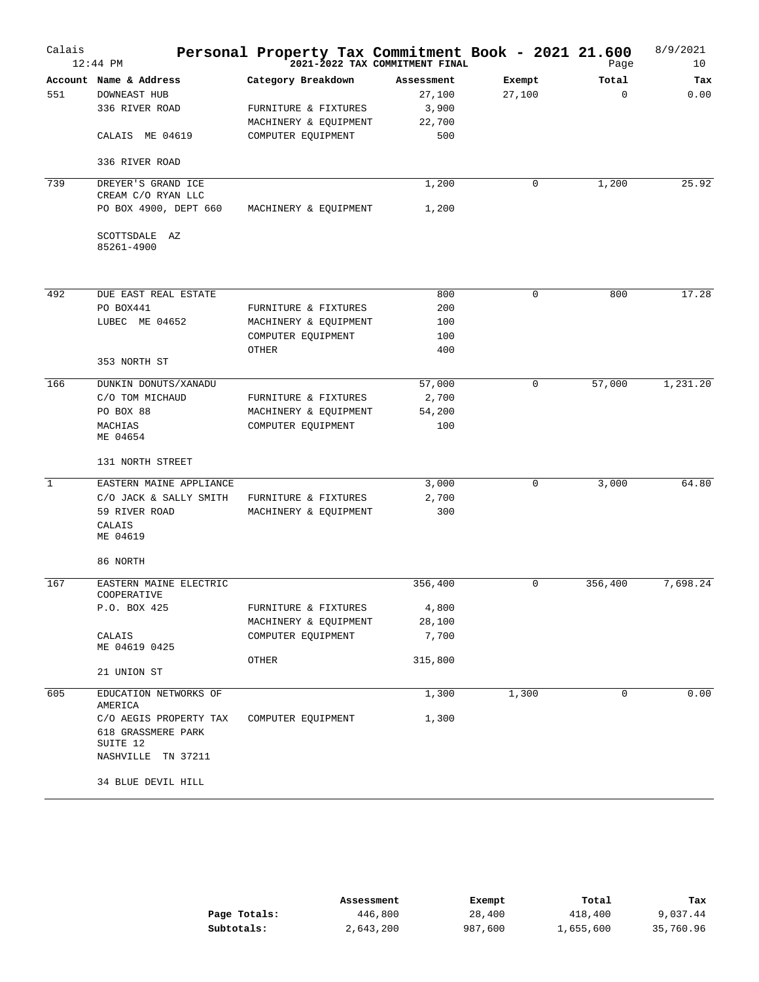| Calais       | $12:44$ PM                                               | Personal Property Tax Commitment Book - 2021 21.600 | 2021-2022 TAX COMMITMENT FINAL |             | Page        | 8/9/2021<br>10 |
|--------------|----------------------------------------------------------|-----------------------------------------------------|--------------------------------|-------------|-------------|----------------|
|              | Account Name & Address                                   | Category Breakdown                                  | Assessment                     | Exempt      | Total       | Tax            |
| 551          | <b>DOWNEAST HUB</b>                                      |                                                     | 27,100                         | 27,100      | $\Omega$    | 0.00           |
|              | 336 RIVER ROAD                                           | FURNITURE & FIXTURES                                | 3,900                          |             |             |                |
|              |                                                          | MACHINERY & EQUIPMENT                               | 22,700                         |             |             |                |
|              | CALAIS ME 04619                                          | COMPUTER EQUIPMENT                                  | 500                            |             |             |                |
|              | 336 RIVER ROAD                                           |                                                     |                                |             |             |                |
| 739          | DREYER'S GRAND ICE<br>CREAM C/O RYAN LLC                 |                                                     | 1,200                          | $\mathbf 0$ | 1,200       | 25.92          |
|              | PO BOX 4900, DEPT 660                                    | MACHINERY & EQUIPMENT                               | 1,200                          |             |             |                |
|              | SCOTTSDALE AZ<br>85261-4900                              |                                                     |                                |             |             |                |
|              |                                                          |                                                     |                                |             |             |                |
| 492          | DUE EAST REAL ESTATE                                     |                                                     | 800                            | $\mathbf 0$ | 800         | 17.28          |
|              | PO BOX441                                                | FURNITURE & FIXTURES                                | 200                            |             |             |                |
|              | LUBEC ME 04652                                           | MACHINERY & EQUIPMENT                               | 100                            |             |             |                |
|              |                                                          | COMPUTER EQUIPMENT                                  | 100                            |             |             |                |
|              | 353 NORTH ST                                             | OTHER                                               | 400                            |             |             |                |
| 166          | DUNKIN DONUTS/XANADU                                     |                                                     | 57,000                         | $\mathbf 0$ | 57,000      | 1,231.20       |
|              | C/O TOM MICHAUD                                          | FURNITURE & FIXTURES                                | 2,700                          |             |             |                |
|              | PO BOX 88                                                | MACHINERY & EQUIPMENT                               | 54,200                         |             |             |                |
|              | MACHIAS<br>ME 04654                                      | COMPUTER EQUIPMENT                                  | 100                            |             |             |                |
|              | 131 NORTH STREET                                         |                                                     |                                |             |             |                |
| $\mathbf{1}$ | EASTERN MAINE APPLIANCE                                  |                                                     | 3,000                          | $\mathbf 0$ | 3,000       | 64.80          |
|              | C/O JACK & SALLY SMITH                                   | FURNITURE & FIXTURES                                | 2,700                          |             |             |                |
|              | 59 RIVER ROAD                                            | MACHINERY & EQUIPMENT                               | 300                            |             |             |                |
|              | CALAIS<br>ME 04619                                       |                                                     |                                |             |             |                |
|              | 86 NORTH                                                 |                                                     |                                |             |             |                |
| 167          | EASTERN MAINE ELECTRIC<br>COOPERATIVE                    |                                                     | 356,400                        | $\mathbf 0$ | 356,400     | 7,698.24       |
|              | P.O. BOX 425                                             | FURNITURE & FIXTURES                                | 4,800                          |             |             |                |
|              |                                                          | MACHINERY & EQUIPMENT                               | 28,100                         |             |             |                |
|              | CALAIS<br>ME 04619 0425                                  | COMPUTER EQUIPMENT                                  | 7,700                          |             |             |                |
|              | 21 UNION ST                                              | OTHER                                               | 315,800                        |             |             |                |
| 605          | EDUCATION NETWORKS OF                                    |                                                     | 1,300                          | 1,300       | $\mathbf 0$ | 0.00           |
|              | AMERICA                                                  |                                                     |                                |             |             |                |
|              | C/O AEGIS PROPERTY TAX<br>618 GRASSMERE PARK<br>SUITE 12 | COMPUTER EQUIPMENT                                  | 1,300                          |             |             |                |
|              | NASHVILLE TN 37211<br>34 BLUE DEVIL HILL                 |                                                     |                                |             |             |                |
|              |                                                          |                                                     |                                |             |             |                |

|              | Assessment | Exempt  | Total     | Tax       |
|--------------|------------|---------|-----------|-----------|
| Page Totals: | 446,800    | 28,400  | 418,400   | 9,037.44  |
| Subtotals:   | 2,643,200  | 987,600 | 1,655,600 | 35,760.96 |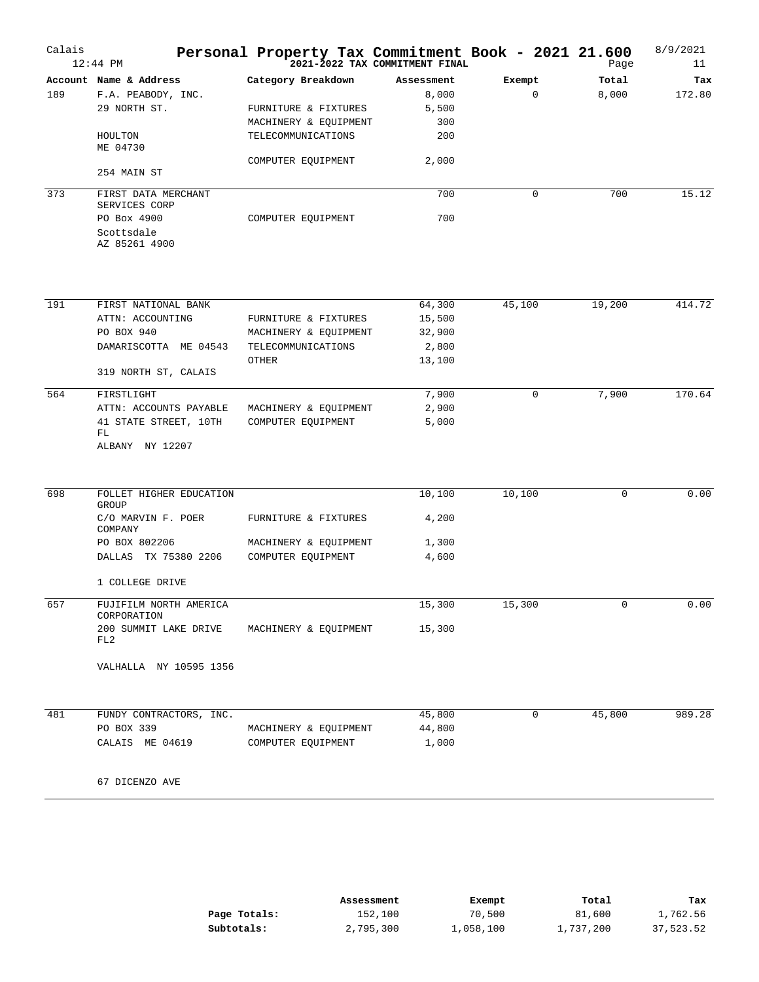| Calais | $12:44$ PM                                 | Personal Property Tax Commitment Book - 2021 21.600 | 2021-2022 TAX COMMITMENT FINAL |             | Page   | 8/9/2021<br>11 |
|--------|--------------------------------------------|-----------------------------------------------------|--------------------------------|-------------|--------|----------------|
|        | Account Name & Address                     | Category Breakdown                                  | Assessment                     | Exempt      | Total  | Tax            |
| 189    | F.A. PEABODY, INC.                         |                                                     | 8,000                          | $\mathbf 0$ | 8,000  | 172.80         |
|        | 29 NORTH ST.                               | FURNITURE & FIXTURES                                | 5,500                          |             |        |                |
|        |                                            | MACHINERY & EQUIPMENT                               | 300                            |             |        |                |
|        | HOULTON<br>ME 04730                        | TELECOMMUNICATIONS                                  | 200                            |             |        |                |
|        | 254 MAIN ST                                | COMPUTER EQUIPMENT                                  | 2,000                          |             |        |                |
| 373    | FIRST DATA MERCHANT<br>SERVICES CORP       |                                                     | 700                            | 0           | 700    | 15.12          |
|        | PO Box 4900<br>Scottsdale<br>AZ 85261 4900 | COMPUTER EQUIPMENT                                  | 700                            |             |        |                |
|        |                                            |                                                     |                                |             |        |                |
| 191    | FIRST NATIONAL BANK                        |                                                     | 64,300                         | 45,100      | 19,200 | 414.72         |
|        | ATTN: ACCOUNTING                           | FURNITURE & FIXTURES                                | 15,500                         |             |        |                |
|        | PO BOX 940                                 | MACHINERY & EQUIPMENT                               | 32,900                         |             |        |                |
|        | DAMARISCOTTA ME 04543                      | TELECOMMUNICATIONS                                  | 2,800                          |             |        |                |
|        | 319 NORTH ST, CALAIS                       | OTHER                                               | 13,100                         |             |        |                |
| 564    | FIRSTLIGHT                                 |                                                     | 7,900                          | $\mathbf 0$ | 7,900  | 170.64         |
|        | ATTN: ACCOUNTS PAYABLE                     | MACHINERY & EQUIPMENT                               | 2,900                          |             |        |                |
|        | 41 STATE STREET, 10TH<br>FL                | COMPUTER EQUIPMENT                                  | 5,000                          |             |        |                |
|        | ALBANY NY 12207                            |                                                     |                                |             |        |                |
| 698    | FOLLET HIGHER EDUCATION<br>GROUP           |                                                     | 10,100                         | 10,100      | 0      | 0.00           |
|        | C/O MARVIN F. POER<br>COMPANY              | FURNITURE & FIXTURES                                | 4,200                          |             |        |                |
|        | PO BOX 802206                              | MACHINERY & EQUIPMENT                               | 1,300                          |             |        |                |
|        | DALLAS TX 75380 2206                       | COMPUTER EQUIPMENT                                  | 4,600                          |             |        |                |
|        | 1 COLLEGE DRIVE                            |                                                     |                                |             |        |                |
| 657    | FUJIFILM NORTH AMERICA<br>CORPORATION      |                                                     | 15,300                         | 15,300      | 0      | 0.00           |
|        | 200 SUMMIT LAKE DRIVE<br>FL2               | MACHINERY & EQUIPMENT                               | 15,300                         |             |        |                |
|        | VALHALLA NY 10595 1356                     |                                                     |                                |             |        |                |
| 481    | FUNDY CONTRACTORS, INC.                    |                                                     | 45,800                         | 0           | 45,800 | 989.28         |
|        | PO BOX 339                                 | MACHINERY & EQUIPMENT                               | 44,800                         |             |        |                |
|        | CALAIS ME 04619                            | COMPUTER EQUIPMENT                                  | 1,000                          |             |        |                |
|        | 67 DICENZO AVE                             |                                                     |                                |             |        |                |

|              | Assessment | Exempt    | Total     | Tax       |
|--------------|------------|-----------|-----------|-----------|
| Page Totals: | 152,100    | 70,500    | 81,600    | 1,762.56  |
| Subtotals:   | 2,795,300  | 1,058,100 | 1,737,200 | 37,523.52 |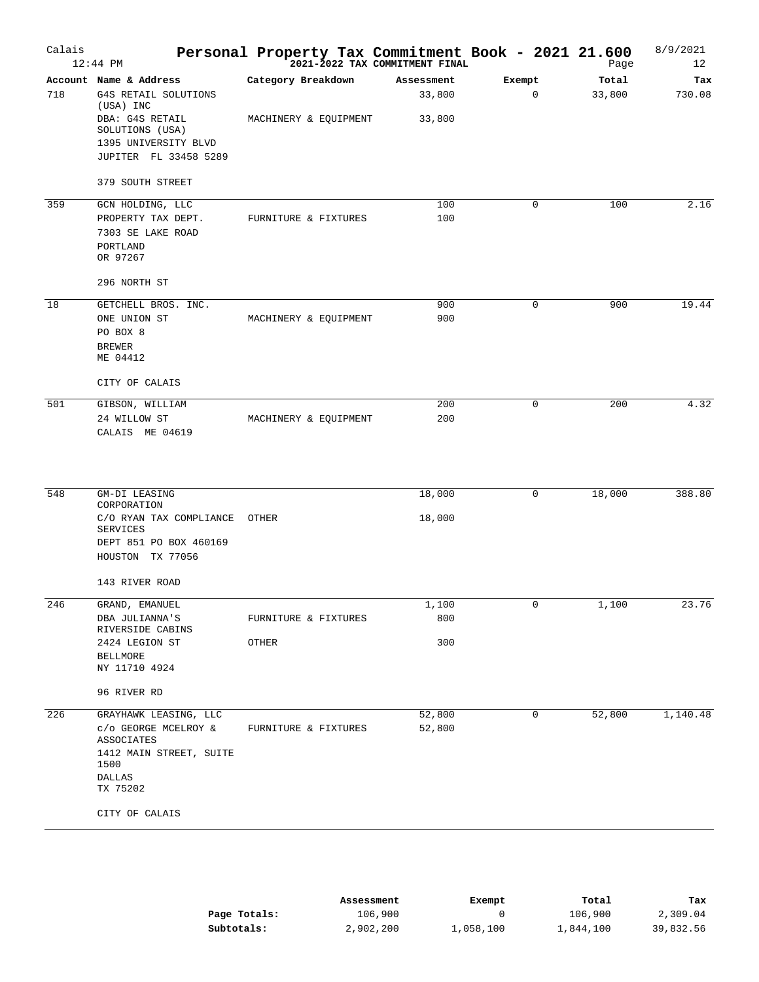| Calais | $12:44$ PM                                    |       |                       | 2021-2022 TAX COMMITMENT FINAL | Personal Property Tax Commitment Book - 2021 21.600 | Page   | 8/9/2021<br>12 |
|--------|-----------------------------------------------|-------|-----------------------|--------------------------------|-----------------------------------------------------|--------|----------------|
|        | Account Name & Address                        |       | Category Breakdown    | Assessment                     | Exempt                                              | Total  | Tax            |
| 718    | G4S RETAIL SOLUTIONS<br>(USA) INC             |       |                       | 33,800                         | 0                                                   | 33,800 | 730.08         |
|        | DBA: G4S RETAIL<br>SOLUTIONS (USA)            |       | MACHINERY & EQUIPMENT | 33,800                         |                                                     |        |                |
|        | 1395 UNIVERSITY BLVD<br>JUPITER FL 33458 5289 |       |                       |                                |                                                     |        |                |
|        | 379 SOUTH STREET                              |       |                       |                                |                                                     |        |                |
| 359    | GCN HOLDING, LLC                              |       |                       | 100                            | 0                                                   | 100    | 2.16           |
|        | PROPERTY TAX DEPT.<br>7303 SE LAKE ROAD       |       | FURNITURE & FIXTURES  | 100                            |                                                     |        |                |
|        | PORTLAND<br>OR 97267                          |       |                       |                                |                                                     |        |                |
|        | 296 NORTH ST                                  |       |                       |                                |                                                     |        |                |
| 18     | GETCHELL BROS. INC.                           |       |                       | 900                            | 0                                                   | 900    | 19.44          |
|        | ONE UNION ST                                  |       | MACHINERY & EQUIPMENT | 900                            |                                                     |        |                |
|        | PO BOX 8                                      |       |                       |                                |                                                     |        |                |
|        | <b>BREWER</b><br>ME 04412                     |       |                       |                                |                                                     |        |                |
|        | CITY OF CALAIS                                |       |                       |                                |                                                     |        |                |
| 501    | GIBSON, WILLIAM                               |       |                       | 200                            | 0                                                   | 200    | 4.32           |
|        | 24 WILLOW ST<br>CALAIS ME 04619               |       | MACHINERY & EQUIPMENT | 200                            |                                                     |        |                |
|        |                                               |       |                       |                                |                                                     |        |                |
| 548    | GM-DI LEASING<br>CORPORATION                  |       |                       | 18,000                         | 0                                                   | 18,000 | 388.80         |
|        | C/O RYAN TAX COMPLIANCE<br><b>SERVICES</b>    | OTHER |                       | 18,000                         |                                                     |        |                |
|        | DEPT 851 PO BOX 460169<br>HOUSTON TX 77056    |       |                       |                                |                                                     |        |                |
|        | 143 RIVER ROAD                                |       |                       |                                |                                                     |        |                |
| 246    | GRAND, EMANUEL                                |       |                       | 1,100                          | 0                                                   | 1,100  | 23.76          |
|        | DBA JULIANNA'S<br>RIVERSIDE CABINS            |       | FURNITURE & FIXTURES  | 800                            |                                                     |        |                |
|        | 2424 LEGION ST                                | OTHER |                       | 300                            |                                                     |        |                |
|        | <b>BELLMORE</b><br>NY 11710 4924              |       |                       |                                |                                                     |        |                |
|        | 96 RIVER RD                                   |       |                       |                                |                                                     |        |                |
| 226    | GRAYHAWK LEASING, LLC                         |       |                       | 52,800                         | 0                                                   | 52,800 | 1,140.48       |
|        | C/O GEORGE MCELROY &<br>ASSOCIATES            |       | FURNITURE & FIXTURES  | 52,800                         |                                                     |        |                |
|        | 1412 MAIN STREET, SUITE<br>1500<br>DALLAS     |       |                       |                                |                                                     |        |                |
|        | TX 75202                                      |       |                       |                                |                                                     |        |                |
|        | CITY OF CALAIS                                |       |                       |                                |                                                     |        |                |

|              | Assessment | Exempt    | Total     | Tax       |
|--------------|------------|-----------|-----------|-----------|
| Page Totals: | 106,900    |           | 106,900   | 2,309.04  |
| Subtotals:   | 2,902,200  | 1,058,100 | 1,844,100 | 39,832.56 |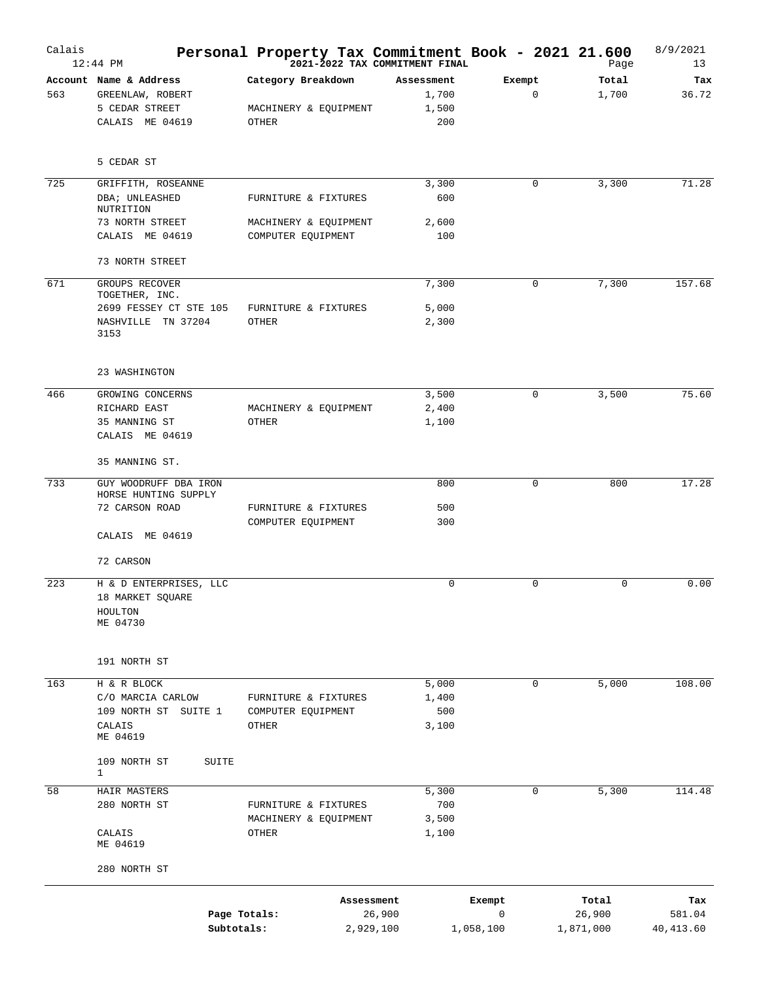| Calais | $12:44$ PM                       | Personal Property Tax Commitment Book - 2021 21.600 | 2021-2022 TAX COMMITMENT FINAL |             | Page      | 8/9/2021<br>13 |
|--------|----------------------------------|-----------------------------------------------------|--------------------------------|-------------|-----------|----------------|
|        | Account Name & Address           | Category Breakdown                                  | Assessment                     | Exempt      | Total     | Tax            |
| 563    | GREENLAW, ROBERT                 |                                                     | 1,700                          | $\mathbf 0$ | 1,700     | 36.72          |
|        | 5 CEDAR STREET                   | MACHINERY & EQUIPMENT                               | 1,500                          |             |           |                |
|        | CALAIS ME 04619                  | OTHER                                               | 200                            |             |           |                |
|        | 5 CEDAR ST                       |                                                     |                                |             |           |                |
| 725    | GRIFFITH, ROSEANNE               |                                                     | 3,300                          | 0           | 3,300     | 71.28          |
|        | DBA; UNLEASHED<br>NUTRITION      | FURNITURE & FIXTURES                                | 600                            |             |           |                |
|        | 73 NORTH STREET                  | MACHINERY & EQUIPMENT                               | 2,600                          |             |           |                |
|        | CALAIS ME 04619                  | COMPUTER EQUIPMENT                                  | 100                            |             |           |                |
|        | 73 NORTH STREET                  |                                                     |                                |             |           |                |
| 671    | GROUPS RECOVER<br>TOGETHER, INC. |                                                     | 7,300                          | 0           | 7,300     | 157.68         |
|        | 2699 FESSEY CT STE 105           | FURNITURE & FIXTURES                                | 5,000                          |             |           |                |
|        | NASHVILLE TN 37204               | OTHER                                               | 2,300                          |             |           |                |
|        | 3153                             |                                                     |                                |             |           |                |
|        | 23 WASHINGTON                    |                                                     |                                |             |           |                |
| 466    | GROWING CONCERNS                 |                                                     | 3,500                          | $\mathbf 0$ | 3,500     | 75.60          |
|        | RICHARD EAST                     | MACHINERY & EQUIPMENT                               | 2,400                          |             |           |                |
|        | 35 MANNING ST                    | OTHER                                               | 1,100                          |             |           |                |
|        | CALAIS ME 04619                  |                                                     |                                |             |           |                |
|        | 35 MANNING ST.                   |                                                     |                                |             |           |                |
| 733    | GUY WOODRUFF DBA IRON            |                                                     | 800                            | $\mathbf 0$ | 800       | 17.28          |
|        | HORSE HUNTING SUPPLY             |                                                     |                                |             |           |                |
|        | 72 CARSON ROAD                   | FURNITURE & FIXTURES                                | 500<br>300                     |             |           |                |
|        | CALAIS ME 04619                  | COMPUTER EQUIPMENT                                  |                                |             |           |                |
|        | 72 CARSON                        |                                                     |                                |             |           |                |
| 223    | H & D ENTERPRISES, LLC           |                                                     | 0                              | $\Omega$    | 0         | 0.00           |
|        | 18 MARKET SQUARE                 |                                                     |                                |             |           |                |
|        | HOULTON                          |                                                     |                                |             |           |                |
|        | ME 04730                         |                                                     |                                |             |           |                |
|        |                                  |                                                     |                                |             |           |                |
|        | 191 NORTH ST                     |                                                     |                                |             |           |                |
| 163    | H & R BLOCK                      |                                                     | 5,000                          | 0           | 5,000     | 108.00         |
|        | C/O MARCIA CARLOW                | FURNITURE & FIXTURES                                | 1,400                          |             |           |                |
|        | 109 NORTH ST SUITE 1             | COMPUTER EQUIPMENT                                  | 500                            |             |           |                |
|        | CALAIS<br>ME 04619               | OTHER                                               | 3,100                          |             |           |                |
|        | 109 NORTH ST<br>SUITE            |                                                     |                                |             |           |                |
|        | 1                                |                                                     |                                |             |           |                |
| 58     | HAIR MASTERS                     |                                                     | 5,300                          | 0           | 5,300     | 114.48         |
|        | 280 NORTH ST                     | FURNITURE & FIXTURES                                | 700                            |             |           |                |
|        |                                  | MACHINERY & EQUIPMENT                               | 3,500                          |             |           |                |
|        | CALAIS<br>ME 04619               | OTHER                                               | 1,100                          |             |           |                |
|        | 280 NORTH ST                     |                                                     |                                |             |           |                |
|        |                                  | Assessment                                          |                                | Exempt      | Total     | Tax            |
|        |                                  | Page Totals:                                        | 26,900                         | 0           | 26,900    | 581.04         |
|        |                                  | Subtotals:                                          | 2,929,100<br>1,058,100         |             | 1,871,000 | 40,413.60      |
|        |                                  |                                                     |                                |             |           |                |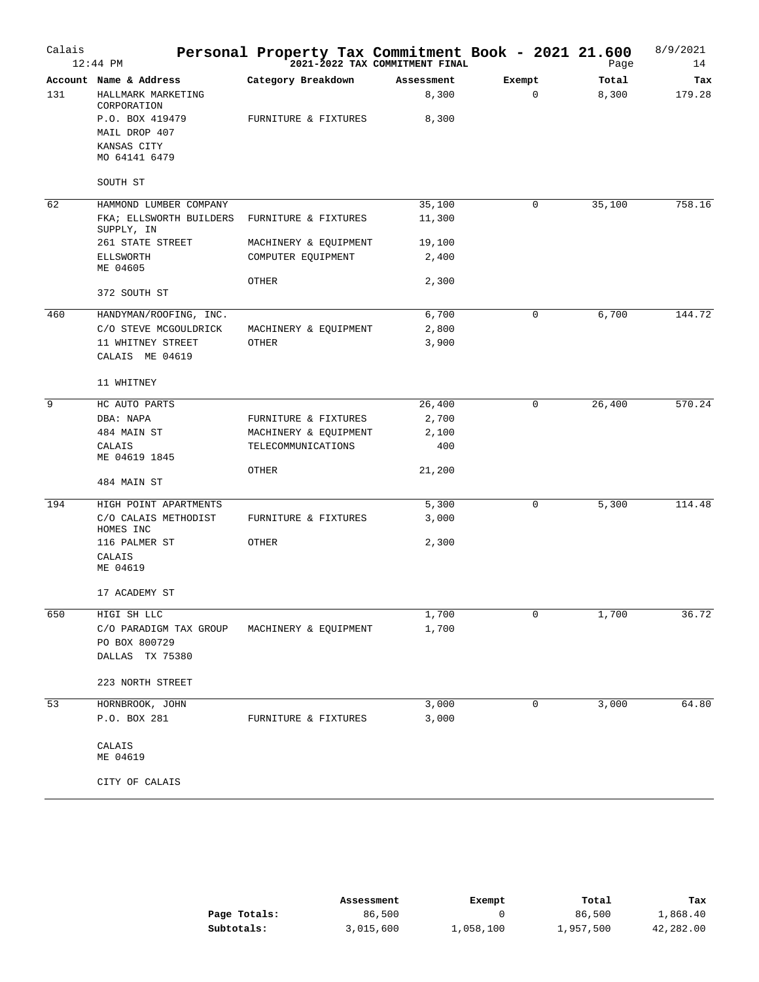| Calais | $12:44$ PM                            | Personal Property Tax Commitment Book - 2021 21.600 | 2021-2022 TAX COMMITMENT FINAL |             | Page   | 8/9/2021<br>14 |
|--------|---------------------------------------|-----------------------------------------------------|--------------------------------|-------------|--------|----------------|
|        | Account Name & Address                | Category Breakdown                                  | Assessment                     | Exempt      | Total  | Tax            |
| 131    | HALLMARK MARKETING<br>CORPORATION     |                                                     | 8,300                          | $\mathbf 0$ | 8,300  | 179.28         |
|        | P.O. BOX 419479                       | FURNITURE & FIXTURES                                | 8,300                          |             |        |                |
|        | MAIL DROP 407                         |                                                     |                                |             |        |                |
|        | KANSAS CITY<br>MO 64141 6479          |                                                     |                                |             |        |                |
|        | SOUTH ST                              |                                                     |                                |             |        |                |
| 62     | HAMMOND LUMBER COMPANY                |                                                     | 35,100                         | 0           | 35,100 | 758.16         |
|        | FKA; ELLSWORTH BUILDERS<br>SUPPLY, IN | FURNITURE & FIXTURES                                | 11,300                         |             |        |                |
|        | 261 STATE STREET                      | MACHINERY & EQUIPMENT                               | 19,100                         |             |        |                |
|        | ELLSWORTH<br>ME 04605                 | COMPUTER EQUIPMENT                                  | 2,400                          |             |        |                |
|        | 372 SOUTH ST                          | OTHER                                               | 2,300                          |             |        |                |
| 460    | HANDYMAN/ROOFING, INC.                |                                                     | 6,700                          | 0           | 6,700  | 144.72         |
|        | C/O STEVE MCGOULDRICK                 | MACHINERY & EQUIPMENT                               | 2,800                          |             |        |                |
|        | 11 WHITNEY STREET                     | OTHER                                               | 3,900                          |             |        |                |
|        | CALAIS ME 04619                       |                                                     |                                |             |        |                |
|        | 11 WHITNEY                            |                                                     |                                |             |        |                |
| 9      | HC AUTO PARTS                         |                                                     | 26,400                         | 0           | 26,400 | 570.24         |
|        | DBA: NAPA                             | FURNITURE & FIXTURES                                | 2,700                          |             |        |                |
|        | 484 MAIN ST                           | MACHINERY & EQUIPMENT                               | 2,100                          |             |        |                |
|        | CALAIS<br>ME 04619 1845               | TELECOMMUNICATIONS                                  | 400                            |             |        |                |
|        | 484 MAIN ST                           | OTHER                                               | 21,200                         |             |        |                |
| 194    | HIGH POINT APARTMENTS                 |                                                     | 5,300                          | 0           | 5,300  | 114.48         |
|        | C/O CALAIS METHODIST<br>HOMES INC     | FURNITURE & FIXTURES                                | 3,000                          |             |        |                |
|        | 116 PALMER ST                         | OTHER                                               | 2,300                          |             |        |                |
|        | CALAIS<br>ME 04619                    |                                                     |                                |             |        |                |
|        | 17 ACADEMY ST                         |                                                     |                                |             |        |                |
| 650    | HIGI SH LLC                           |                                                     | 1,700                          | 0           | 1,700  | 36.72          |
|        | C/O PARADIGM TAX GROUP                | MACHINERY & EQUIPMENT                               | 1,700                          |             |        |                |
|        | PO BOX 800729                         |                                                     |                                |             |        |                |
|        | DALLAS TX 75380                       |                                                     |                                |             |        |                |
|        | 223 NORTH STREET                      |                                                     |                                |             |        |                |
| 53     | HORNBROOK, JOHN                       |                                                     | 3,000                          | 0           | 3,000  | 64.80          |
|        | P.O. BOX 281                          | FURNITURE & FIXTURES                                | 3,000                          |             |        |                |
|        | CALAIS                                |                                                     |                                |             |        |                |
|        | ME 04619                              |                                                     |                                |             |        |                |
|        | CITY OF CALAIS                        |                                                     |                                |             |        |                |

|              | Assessment | Exempt    | Total     | Tax       |
|--------------|------------|-----------|-----------|-----------|
| Page Totals: | 86,500     |           | 86,500    | 1,868.40  |
| Subtotals:   | 3,015,600  | 1,058,100 | 1,957,500 | 42,282.00 |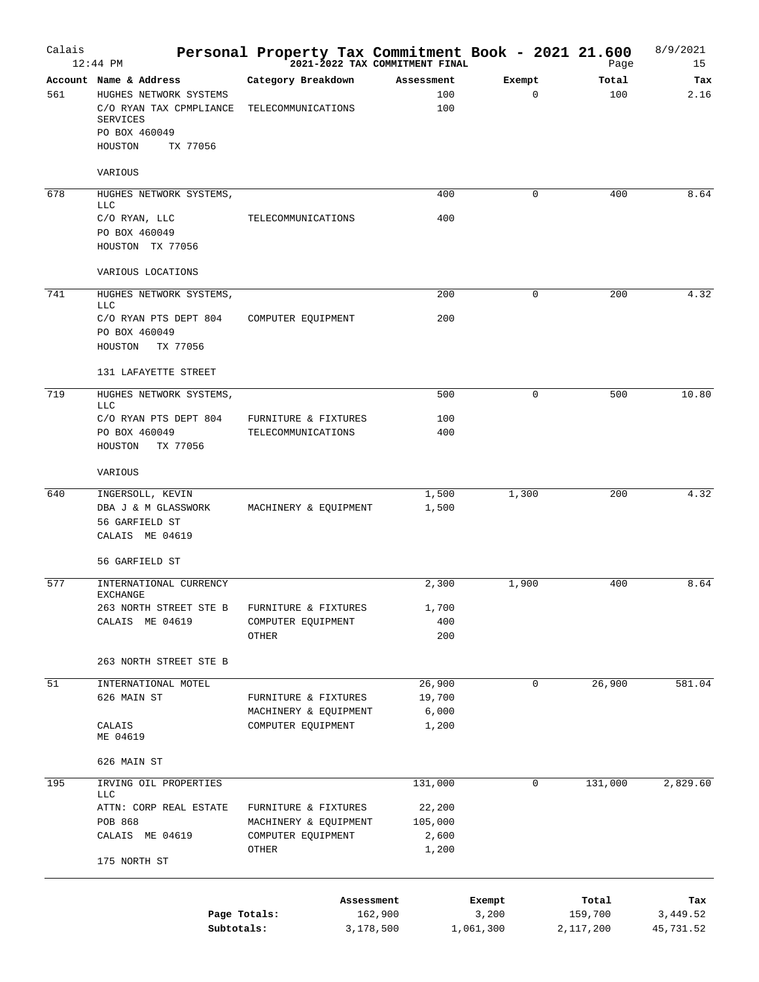| Calais | $12:44$ PM                                                                                                                             | Personal Property Tax Commitment Book - 2021 21.600 |                      | 2021-2022 TAX COMMITMENT FINAL |                       | Page                 | 8/9/2021<br>15        |
|--------|----------------------------------------------------------------------------------------------------------------------------------------|-----------------------------------------------------|----------------------|--------------------------------|-----------------------|----------------------|-----------------------|
| 561    | Account Name & Address<br>HUGHES NETWORK SYSTEMS<br>C/O RYAN TAX CPMPLIANCE<br><b>SERVICES</b><br>PO BOX 460049<br>HOUSTON<br>TX 77056 | Category Breakdown<br>TELECOMMUNICATIONS            |                      | Assessment<br>100<br>100       | Exempt<br>$\mathbf 0$ | Total<br>100         | Tax<br>2.16           |
| 678    | VARIOUS                                                                                                                                |                                                     |                      | 400                            | $\mathbf 0$           | 400                  | 8.64                  |
|        | HUGHES NETWORK SYSTEMS,<br><b>LLC</b>                                                                                                  |                                                     |                      |                                |                       |                      |                       |
|        | C/O RYAN, LLC<br>PO BOX 460049<br>HOUSTON TX 77056                                                                                     | TELECOMMUNICATIONS                                  |                      | 400                            |                       |                      |                       |
|        | VARIOUS LOCATIONS                                                                                                                      |                                                     |                      |                                |                       |                      |                       |
| 741    | HUGHES NETWORK SYSTEMS,<br><b>LLC</b>                                                                                                  |                                                     |                      | 200                            | 0                     | 200                  | 4.32                  |
|        | C/O RYAN PTS DEPT 804<br>PO BOX 460049<br>TX 77056<br>HOUSTON                                                                          | COMPUTER EQUIPMENT                                  |                      | 200                            |                       |                      |                       |
|        | 131 LAFAYETTE STREET                                                                                                                   |                                                     |                      |                                |                       |                      |                       |
| 719    | HUGHES NETWORK SYSTEMS,                                                                                                                |                                                     |                      | 500                            | $\Omega$              | 500                  | 10.80                 |
|        | <b>LLC</b><br>C/O RYAN PTS DEPT 804<br>PO BOX 460049<br>TX 77056<br>HOUSTON                                                            | FURNITURE & FIXTURES<br>TELECOMMUNICATIONS          |                      | 100<br>400                     |                       |                      |                       |
|        | VARIOUS                                                                                                                                |                                                     |                      |                                |                       |                      |                       |
| 640    | INGERSOLL, KEVIN<br>DBA J & M GLASSWORK<br>56 GARFIELD ST<br>CALAIS ME 04619                                                           | MACHINERY & EQUIPMENT                               |                      | 1,500<br>1,500                 | 1,300                 | 200                  | 4.32                  |
|        | 56 GARFIELD ST                                                                                                                         |                                                     |                      |                                |                       |                      |                       |
| 577    | INTERNATIONAL CURRENCY<br>EXCHANGE                                                                                                     |                                                     |                      | 2,300                          | 1,900                 | 400                  | 8.64                  |
|        | 263 NORTH STREET STE B                                                                                                                 | FURNITURE & FIXTURES                                |                      | 1,700                          |                       |                      |                       |
|        | CALAIS ME 04619                                                                                                                        | COMPUTER EQUIPMENT<br>OTHER                         |                      | 400<br>200                     |                       |                      |                       |
|        |                                                                                                                                        |                                                     |                      |                                |                       |                      |                       |
|        | 263 NORTH STREET STE B                                                                                                                 |                                                     |                      |                                |                       |                      |                       |
| 51     | INTERNATIONAL MOTEL<br>626 MAIN ST                                                                                                     | FURNITURE & FIXTURES                                |                      | 26,900<br>19,700               | $\mathbf 0$           | 26,900               | 581.04                |
|        | CALAIS<br>ME 04619                                                                                                                     | MACHINERY & EQUIPMENT<br>COMPUTER EQUIPMENT         |                      | 6,000<br>1,200                 |                       |                      |                       |
|        | 626 MAIN ST                                                                                                                            |                                                     |                      |                                |                       |                      |                       |
| 195    | IRVING OIL PROPERTIES                                                                                                                  |                                                     |                      | 131,000                        | $\mathbf 0$           | 131,000              | 2,829.60              |
|        | <b>LLC</b><br>ATTN: CORP REAL ESTATE                                                                                                   | FURNITURE & FIXTURES                                |                      | 22,200                         |                       |                      |                       |
|        | POB 868<br>CALAIS ME 04619                                                                                                             | MACHINERY & EQUIPMENT<br>COMPUTER EQUIPMENT         |                      | 105,000<br>2,600               |                       |                      |                       |
|        | 175 NORTH ST                                                                                                                           | OTHER                                               |                      | 1,200                          |                       |                      |                       |
|        |                                                                                                                                        |                                                     | Assessment           |                                | Exempt                | Total                | Tax                   |
|        | Page Totals:<br>Subtotals:                                                                                                             |                                                     | 162,900<br>3,178,500 |                                | 3,200<br>1,061,300    | 159,700<br>2,117,200 | 3,449.52<br>45,731.52 |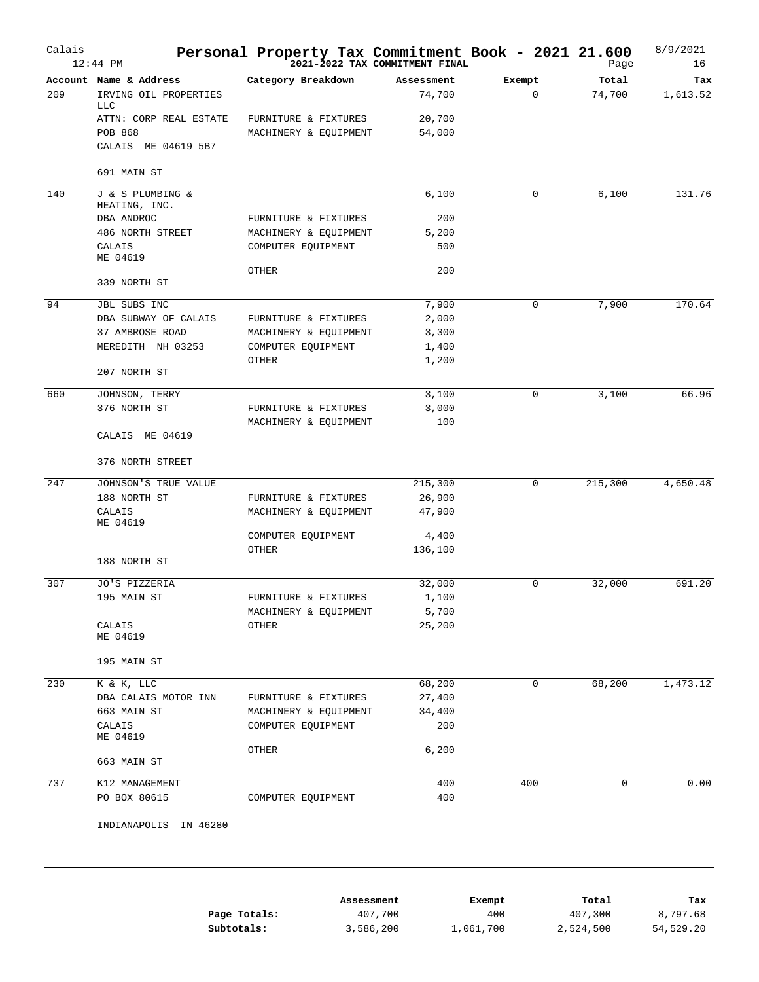| Calais | 12:44 PM                             | Personal Property Tax Commitment Book - 2021 21.600<br>2021-2022 TAX COMMITMENT FINAL |            |        | Page    | 8/9/2021<br>16 |
|--------|--------------------------------------|---------------------------------------------------------------------------------------|------------|--------|---------|----------------|
|        | Account Name & Address               | Category Breakdown                                                                    | Assessment | Exempt | Total   | Tax            |
| 209    | IRVING OIL PROPERTIES                |                                                                                       | 74,700     | 0      | 74,700  | 1,613.52       |
|        | <b>TTC</b><br>ATTN: CORP REAL ESTATE | FURNITURE & FIXTURES                                                                  | 20,700     |        |         |                |
|        | <b>POB 868</b>                       | MACHINERY & EQUIPMENT                                                                 | 54,000     |        |         |                |
|        | CALAIS ME 04619 5B7                  |                                                                                       |            |        |         |                |
|        | 691 MAIN ST                          |                                                                                       |            |        |         |                |
| 140    | J & S PLUMBING &<br>HEATING, INC.    |                                                                                       | 6,100      | 0      | 6,100   | 131.76         |
|        | DBA ANDROC                           | FURNITURE & FIXTURES                                                                  | 200        |        |         |                |
|        | 486 NORTH STREET                     | MACHINERY & EQUIPMENT                                                                 | 5,200      |        |         |                |
|        | CALAIS<br>ME 04619                   | COMPUTER EQUIPMENT                                                                    | 500        |        |         |                |
|        |                                      | OTHER                                                                                 | 200        |        |         |                |
|        | 339 NORTH ST                         |                                                                                       |            |        |         |                |
| 94     | JBL SUBS INC                         |                                                                                       | 7,900      | 0      | 7,900   | 170.64         |
|        | DBA SUBWAY OF CALAIS                 | FURNITURE & FIXTURES                                                                  | 2,000      |        |         |                |
|        | 37 AMBROSE ROAD                      | MACHINERY & EQUIPMENT                                                                 | 3,300      |        |         |                |
|        | MEREDITH NH 03253                    | COMPUTER EQUIPMENT                                                                    | 1,400      |        |         |                |
|        | 207 NORTH ST                         | OTHER                                                                                 | 1,200      |        |         |                |
| 660    | JOHNSON, TERRY                       |                                                                                       | 3,100      | 0      | 3,100   | 66.96          |
|        | 376 NORTH ST                         | FURNITURE & FIXTURES                                                                  | 3,000      |        |         |                |
|        |                                      | MACHINERY & EQUIPMENT                                                                 | 100        |        |         |                |
|        | CALAIS ME 04619                      |                                                                                       |            |        |         |                |
|        | 376 NORTH STREET                     |                                                                                       |            |        |         |                |
| 247    | JOHNSON'S TRUE VALUE                 |                                                                                       | 215,300    | 0      | 215,300 | 4,650.48       |
|        | 188 NORTH ST                         | FURNITURE & FIXTURES                                                                  | 26,900     |        |         |                |
|        | CALAIS<br>ME 04619                   | MACHINERY & EQUIPMENT                                                                 | 47,900     |        |         |                |
|        |                                      | COMPUTER EQUIPMENT                                                                    | 4,400      |        |         |                |
|        |                                      | OTHER                                                                                 | 136,100    |        |         |                |
|        | 188 NORTH ST                         |                                                                                       |            |        |         |                |
| 307    | JO'S PIZZERIA                        |                                                                                       | 32,000     | 0      | 32,000  | 691.20         |
|        | 195 MAIN ST                          | FURNITURE & FIXTURES                                                                  | 1,100      |        |         |                |
|        |                                      | MACHINERY & EQUIPMENT                                                                 | 5,700      |        |         |                |
|        | CALAIS<br>ME 04619                   | OTHER                                                                                 | 25,200     |        |         |                |
|        | 195 MAIN ST                          |                                                                                       |            |        |         |                |
| 230    | K & K, LLC                           |                                                                                       | 68,200     | 0      | 68,200  | 1,473.12       |
|        | DBA CALAIS MOTOR INN                 | FURNITURE & FIXTURES                                                                  | 27,400     |        |         |                |
|        | 663 MAIN ST                          | MACHINERY & EQUIPMENT                                                                 | 34,400     |        |         |                |
|        | CALAIS                               | COMPUTER EQUIPMENT                                                                    | 200        |        |         |                |
|        | ME 04619                             |                                                                                       |            |        |         |                |
|        | 663 MAIN ST                          | OTHER                                                                                 | 6,200      |        |         |                |
| 737    | K12 MANAGEMENT                       |                                                                                       | 400        | 400    | 0       | 0.00           |
|        | PO BOX 80615                         | COMPUTER EQUIPMENT                                                                    | 400        |        |         |                |
|        | INDIANAPOLIS IN 46280                |                                                                                       |            |        |         |                |

|              | Assessment | Exempt    | Total     | Tax       |
|--------------|------------|-----------|-----------|-----------|
| Page Totals: | 407,700    | 400       | 407,300   | 8,797.68  |
| Subtotals:   | 3,586,200  | 1,061,700 | 2,524,500 | 54,529.20 |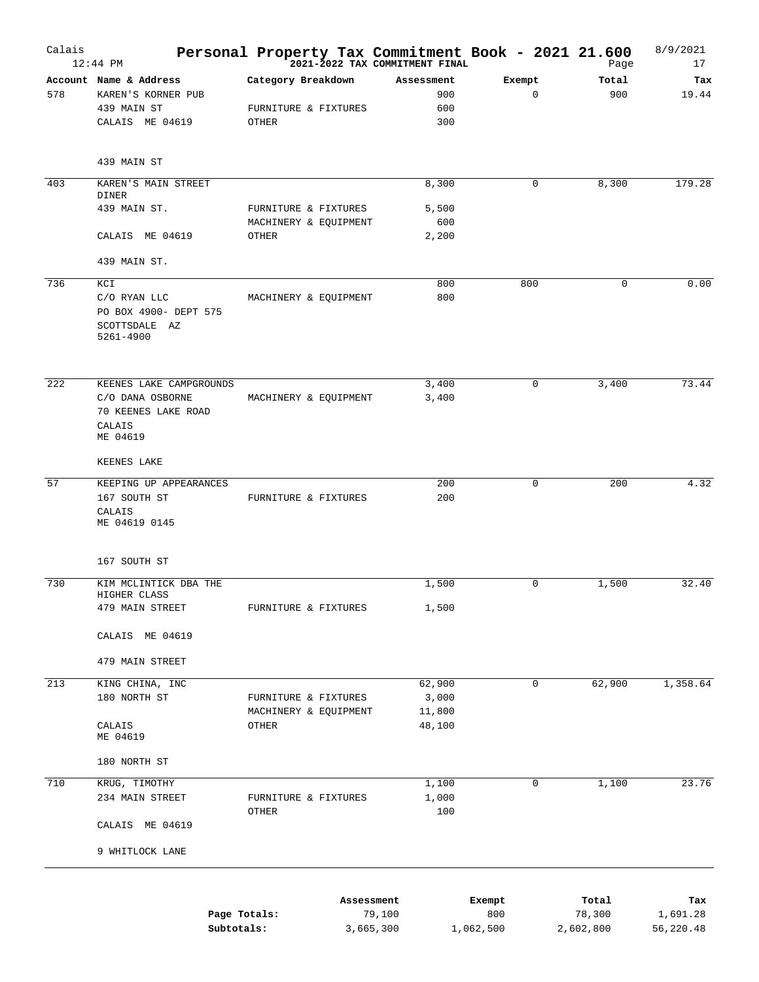| Calais | $12:44$ PM                                          | Personal Property Tax Commitment Book - 2021 21.600<br><sup>2021-2022</sup> TAX COMMITMENT FINAL |                  |                       | Page        | 8/9/2021<br>17 |
|--------|-----------------------------------------------------|--------------------------------------------------------------------------------------------------|------------------|-----------------------|-------------|----------------|
|        | Account Name & Address                              | Category Breakdown                                                                               | Assessment       | Exempt<br>$\mathbf 0$ | Total       | Tax            |
| 578    | KAREN'S KORNER PUB<br>439 MAIN ST                   | FURNITURE & FIXTURES                                                                             | 900<br>600       |                       | 900         | 19.44          |
|        | CALAIS ME 04619                                     | OTHER                                                                                            | 300              |                       |             |                |
|        | 439 MAIN ST                                         |                                                                                                  |                  |                       |             |                |
| 403    | KAREN'S MAIN STREET                                 |                                                                                                  | 8,300            | $\mathbf 0$           | 8,300       | 179.28         |
|        | DINER                                               |                                                                                                  |                  |                       |             |                |
|        | 439 MAIN ST.                                        | FURNITURE & FIXTURES                                                                             | 5,500            |                       |             |                |
|        | CALAIS ME 04619                                     | MACHINERY & EQUIPMENT<br>OTHER                                                                   | 600<br>2,200     |                       |             |                |
|        | 439 MAIN ST.                                        |                                                                                                  |                  |                       |             |                |
| 736    | KCI                                                 |                                                                                                  | 800              | 800                   | $\mathbf 0$ | 0.00           |
|        | C/O RYAN LLC                                        | MACHINERY & EQUIPMENT                                                                            | 800              |                       |             |                |
|        | PO BOX 4900- DEPT 575<br>SCOTTSDALE AZ<br>5261-4900 |                                                                                                  |                  |                       |             |                |
| 222    | KEENES LAKE CAMPGROUNDS                             |                                                                                                  | 3,400            | $\mathbf 0$           | 3,400       | 73.44          |
|        | C/O DANA OSBORNE                                    | MACHINERY & EQUIPMENT                                                                            | 3,400            |                       |             |                |
|        | 70 KEENES LAKE ROAD                                 |                                                                                                  |                  |                       |             |                |
|        | CALAIS                                              |                                                                                                  |                  |                       |             |                |
|        | ME 04619                                            |                                                                                                  |                  |                       |             |                |
|        | KEENES LAKE                                         |                                                                                                  |                  |                       |             |                |
| 57     | KEEPING UP APPEARANCES                              |                                                                                                  | 200              | $\mathbf 0$           | 200         | 4.32           |
|        | 167 SOUTH ST                                        | FURNITURE & FIXTURES                                                                             | 200              |                       |             |                |
|        | CALAIS<br>ME 04619 0145                             |                                                                                                  |                  |                       |             |                |
|        | 167 SOUTH ST                                        |                                                                                                  |                  |                       |             |                |
| 730    | KIM MCLINTICK DBA THE                               |                                                                                                  | 1,500            | $\mathbf 0$           | 1,500       | 32.40          |
|        | HIGHER CLASS<br>479 MAIN STREET                     | FURNITURE & FIXTURES                                                                             | 1,500            |                       |             |                |
|        |                                                     |                                                                                                  |                  |                       |             |                |
|        | CALAIS ME 04619                                     |                                                                                                  |                  |                       |             |                |
|        | 479 MAIN STREET                                     |                                                                                                  |                  |                       |             |                |
| 213    | KING CHINA, INC                                     |                                                                                                  | 62,900           | $\mathbf 0$           | 62,900      | 1,358.64       |
|        | 180 NORTH ST                                        | FURNITURE & FIXTURES                                                                             | 3,000            |                       |             |                |
|        | CALAIS                                              | MACHINERY & EQUIPMENT<br>OTHER                                                                   | 11,800<br>48,100 |                       |             |                |
|        | ME 04619                                            |                                                                                                  |                  |                       |             |                |
|        | 180 NORTH ST                                        |                                                                                                  |                  |                       |             |                |
| 710    | KRUG, TIMOTHY                                       |                                                                                                  | 1,100            | 0                     | 1,100       | 23.76          |
|        | 234 MAIN STREET                                     | FURNITURE & FIXTURES<br>OTHER                                                                    | 1,000<br>100     |                       |             |                |
|        | CALAIS ME 04619                                     |                                                                                                  |                  |                       |             |                |
|        | 9 WHITLOCK LANE                                     |                                                                                                  |                  |                       |             |                |
|        |                                                     | Assessment                                                                                       |                  | Exempt                | Total       | Tax            |
|        | Page Totals:                                        |                                                                                                  | 79,100           | 800                   | 78,300      | 1,691.28       |

**Subtotals:** 3,665,300 1,062,500 2,602,800 56,220.48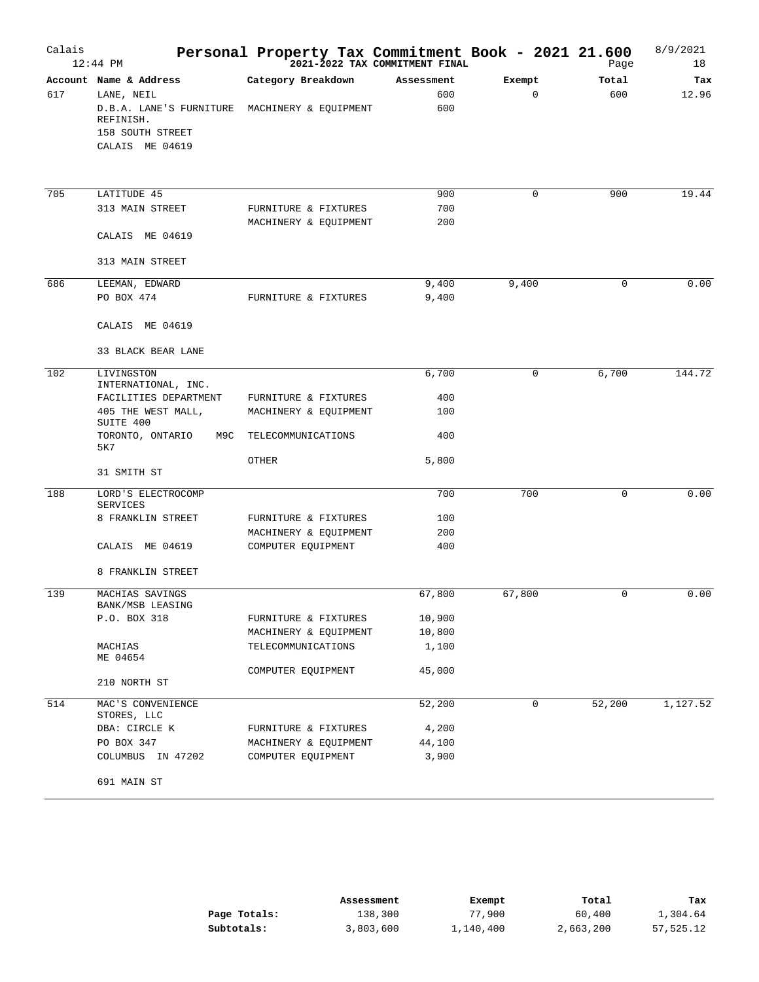| Calais | $12:44$ PM                                                                                | Personal Property Tax Commitment Book - 2021 21.600 | 2021-2022 TAX COMMITMENT FINAL |             | Page     | 8/9/2021<br>18 |
|--------|-------------------------------------------------------------------------------------------|-----------------------------------------------------|--------------------------------|-------------|----------|----------------|
|        | Account Name & Address                                                                    | Category Breakdown                                  | Assessment                     | Exempt      | Total    | Tax            |
| 617    | LANE, NEIL<br>D.B.A. LANE'S FURNITURE<br>REFINISH.<br>158 SOUTH STREET<br>CALAIS ME 04619 | MACHINERY & EQUIPMENT                               | 600<br>600                     | $\mathbf 0$ | 600      | 12.96          |
|        |                                                                                           |                                                     |                                |             |          |                |
| 705    | LATITUDE 45                                                                               |                                                     | 900                            | 0           | 900      | 19.44          |
|        | 313 MAIN STREET                                                                           | FURNITURE & FIXTURES<br>MACHINERY & EQUIPMENT       | 700<br>200                     |             |          |                |
|        | CALAIS ME 04619                                                                           |                                                     |                                |             |          |                |
|        | 313 MAIN STREET                                                                           |                                                     |                                |             |          |                |
| 686    | LEEMAN, EDWARD                                                                            |                                                     | 9,400                          | 9,400       | 0        | 0.00           |
|        | PO BOX 474                                                                                | FURNITURE & FIXTURES                                | 9,400                          |             |          |                |
|        | CALAIS ME 04619                                                                           |                                                     |                                |             |          |                |
|        | 33 BLACK BEAR LANE                                                                        |                                                     |                                |             |          |                |
| 102    | LIVINGSTON<br>INTERNATIONAL, INC.                                                         |                                                     | 6,700                          | 0           | 6,700    | 144.72         |
|        | FACILITIES DEPARTMENT                                                                     | FURNITURE & FIXTURES                                | 400                            |             |          |                |
|        | 405 THE WEST MALL,<br>SUITE 400                                                           | MACHINERY & EQUIPMENT                               | 100                            |             |          |                |
|        | TORONTO, ONTARIO<br>M9C<br>5K7                                                            | TELECOMMUNICATIONS                                  | 400                            |             |          |                |
|        | 31 SMITH ST                                                                               | OTHER                                               | 5,800                          |             |          |                |
| 188    | LORD'S ELECTROCOMP                                                                        |                                                     | 700                            | 700         | $\Omega$ | 0.00           |
|        | SERVICES                                                                                  |                                                     | 100                            |             |          |                |
|        | 8 FRANKLIN STREET                                                                         | FURNITURE & FIXTURES<br>MACHINERY & EQUIPMENT       | 200                            |             |          |                |
|        | CALAIS ME 04619                                                                           | COMPUTER EQUIPMENT                                  | 400                            |             |          |                |
|        | 8 FRANKLIN STREET                                                                         |                                                     |                                |             |          |                |
| 139    | MACHIAS SAVINGS<br>BANK/MSB LEASING                                                       |                                                     | 67,800                         | 67,800      | $\Omega$ | 0.00           |
|        | P.O. BOX 318                                                                              | FURNITURE & FIXTURES                                | 10,900                         |             |          |                |
|        |                                                                                           | MACHINERY & EQUIPMENT                               | 10,800                         |             |          |                |
|        | MACHIAS<br>ME 04654                                                                       | TELECOMMUNICATIONS                                  | 1,100                          |             |          |                |
|        | 210 NORTH ST                                                                              | COMPUTER EQUIPMENT                                  | 45,000                         |             |          |                |
| 514    | MAC'S CONVENIENCE                                                                         |                                                     | 52,200                         | 0           | 52,200   | 1,127.52       |
|        | STORES, LLC<br>DBA: CIRCLE K                                                              | FURNITURE & FIXTURES                                | 4,200                          |             |          |                |
|        | PO BOX 347                                                                                | MACHINERY & EQUIPMENT                               | 44,100                         |             |          |                |
|        | COLUMBUS IN 47202                                                                         | COMPUTER EQUIPMENT                                  | 3,900                          |             |          |                |
|        | 691 MAIN ST                                                                               |                                                     |                                |             |          |                |

|              | Assessment | Exempt    | Total     | Tax       |
|--------------|------------|-----------|-----------|-----------|
| Page Totals: | 138,300    | 77,900    | 60,400    | 1,304.64  |
| Subtotals:   | 3,803,600  | 1,140,400 | 2,663,200 | 57,525.12 |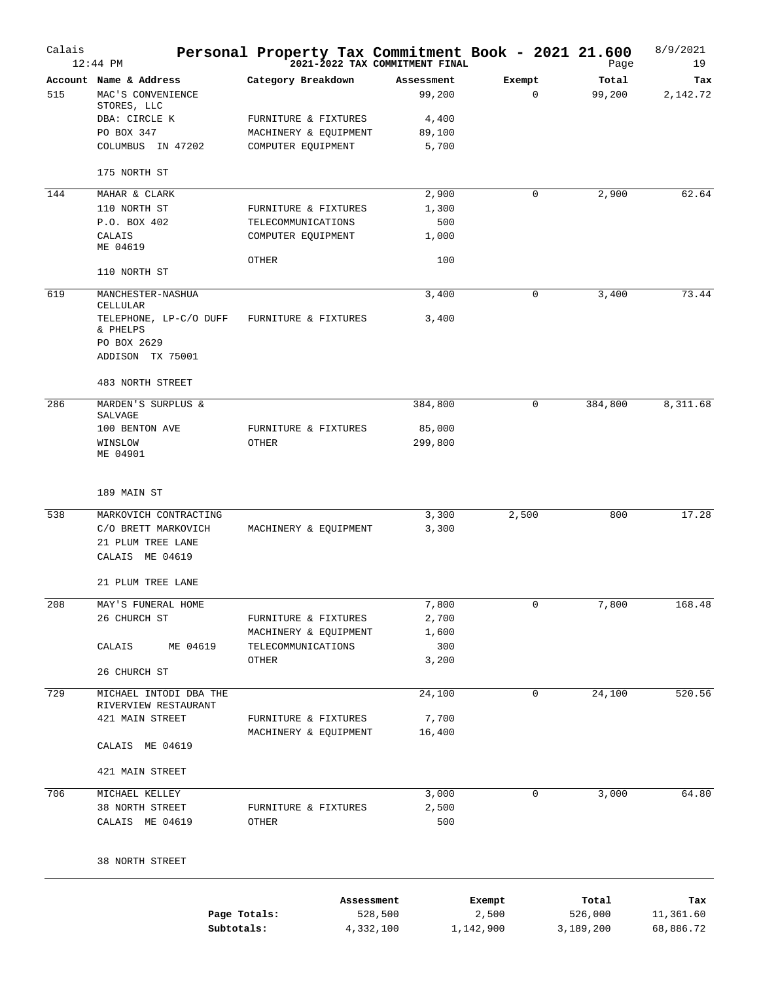| Calais | $12:44$ PM                                                 | Personal Property Tax Commitment Book - 2021 21.600 | 2021-2022 TAX COMMITMENT FINAL |                       | Page                 | 8/9/2021<br>19         |
|--------|------------------------------------------------------------|-----------------------------------------------------|--------------------------------|-----------------------|----------------------|------------------------|
| 515    | Account Name & Address<br>MAC'S CONVENIENCE<br>STORES, LLC | Category Breakdown                                  | Assessment<br>99,200           | Exempt<br>$\mathbf 0$ | Total<br>99,200      | Tax<br>2,142.72        |
|        | DBA: CIRCLE K                                              | FURNITURE & FIXTURES                                | 4,400                          |                       |                      |                        |
|        | PO BOX 347                                                 | MACHINERY & EQUIPMENT                               | 89,100                         |                       |                      |                        |
|        | COLUMBUS IN 47202                                          | COMPUTER EQUIPMENT                                  | 5,700                          |                       |                      |                        |
|        | 175 NORTH ST                                               |                                                     |                                |                       |                      |                        |
| 144    | MAHAR & CLARK                                              |                                                     | 2,900                          | 0                     | 2,900                | 62.64                  |
|        | 110 NORTH ST                                               | FURNITURE & FIXTURES                                | 1,300                          |                       |                      |                        |
|        | P.O. BOX 402<br>CALAIS                                     | TELECOMMUNICATIONS<br>COMPUTER EQUIPMENT            | 500<br>1,000                   |                       |                      |                        |
|        | ME 04619                                                   |                                                     |                                |                       |                      |                        |
|        | 110 NORTH ST                                               | OTHER                                               | 100                            |                       |                      |                        |
| 619    | MANCHESTER-NASHUA<br>CELLULAR                              |                                                     | 3,400                          | 0                     | 3,400                | 73.44                  |
|        | TELEPHONE, LP-C/O DUFF<br>& PHELPS<br>PO BOX 2629          | FURNITURE & FIXTURES                                | 3,400                          |                       |                      |                        |
|        | ADDISON TX 75001                                           |                                                     |                                |                       |                      |                        |
| 286    | 483 NORTH STREET                                           |                                                     |                                | $\mathbf 0$           |                      |                        |
|        | MARDEN'S SURPLUS &<br>SALVAGE                              |                                                     | 384,800                        |                       | 384,800              | 8,311.68               |
|        | 100 BENTON AVE                                             | FURNITURE & FIXTURES                                | 85,000                         |                       |                      |                        |
|        | WINSLOW<br>ME 04901                                        | OTHER                                               | 299,800                        |                       |                      |                        |
|        | 189 MAIN ST                                                |                                                     |                                |                       |                      |                        |
| 538    | MARKOVICH CONTRACTING                                      |                                                     | 3,300                          | 2,500                 | 800                  | 17.28                  |
|        | C/O BRETT MARKOVICH<br>21 PLUM TREE LANE                   | MACHINERY & EQUIPMENT                               | 3,300                          |                       |                      |                        |
|        | CALAIS ME 04619                                            |                                                     |                                |                       |                      |                        |
|        | 21 PLUM TREE LANE                                          |                                                     |                                |                       |                      |                        |
| 208    | MAY'S FUNERAL HOME                                         |                                                     | 7,800                          | 0                     | 7,800                | 168.48                 |
|        | 26 CHURCH ST                                               | FURNITURE & FIXTURES                                | 2,700                          |                       |                      |                        |
|        | ME 04619                                                   | MACHINERY & EQUIPMENT                               | 1,600<br>300                   |                       |                      |                        |
|        | CALAIS                                                     | TELECOMMUNICATIONS<br>OTHER                         | 3,200                          |                       |                      |                        |
|        | 26 CHURCH ST                                               |                                                     |                                |                       |                      |                        |
| 729    | MICHAEL INTODI DBA THE<br>RIVERVIEW RESTAURANT             |                                                     | 24,100                         | $\mathbf 0$           | 24,100               | 520.56                 |
|        | 421 MAIN STREET                                            | FURNITURE & FIXTURES                                | 7,700                          |                       |                      |                        |
|        | CALAIS ME 04619                                            | MACHINERY & EQUIPMENT                               | 16,400                         |                       |                      |                        |
|        | 421 MAIN STREET                                            |                                                     |                                |                       |                      |                        |
| 706    | MICHAEL KELLEY                                             |                                                     | 3,000                          | 0                     | 3,000                | 64.80                  |
|        | 38 NORTH STREET                                            | FURNITURE & FIXTURES                                | 2,500                          |                       |                      |                        |
|        | CALAIS ME 04619                                            | OTHER                                               | 500                            |                       |                      |                        |
|        | 38 NORTH STREET                                            |                                                     |                                |                       |                      |                        |
|        |                                                            |                                                     | Assessment                     | Exempt                | Total                | Tax                    |
|        | Page Totals:<br>Subtotals:                                 |                                                     | 528,500<br>4,332,100           | 2,500<br>1,142,900    | 526,000<br>3,189,200 | 11,361.60<br>68,886.72 |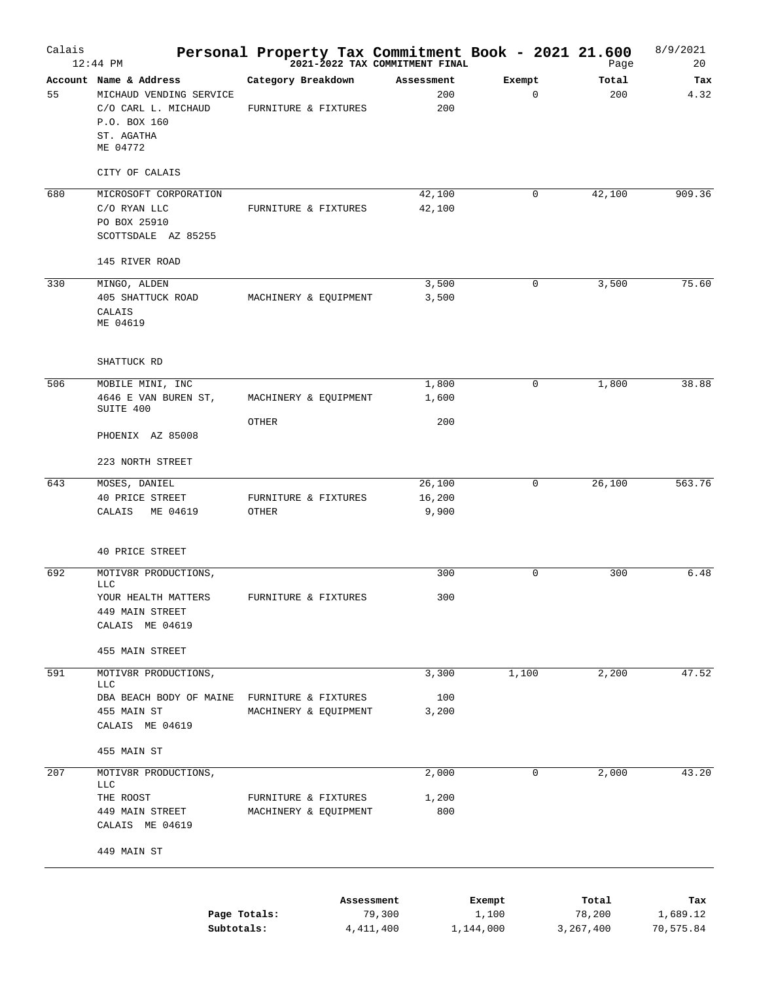| Calais | $12:44$ PM                                                                                                         | Personal Property Tax Commitment Book - 2021 21.600<br><sup>2021-2022</sup> TAX COMMITMENT FINAL |                           |                              | Page                           | 8/9/2021<br>20               |
|--------|--------------------------------------------------------------------------------------------------------------------|--------------------------------------------------------------------------------------------------|---------------------------|------------------------------|--------------------------------|------------------------------|
| 55     | Account Name & Address<br>MICHAUD VENDING SERVICE<br>C/O CARL L. MICHAUD<br>P.O. BOX 160<br>ST. AGATHA<br>ME 04772 | Category Breakdown<br>FURNITURE & FIXTURES                                                       | Assessment<br>200<br>200  | Exempt<br>$\mathbf 0$        | Total<br>200                   | Tax<br>4.32                  |
| 680    | CITY OF CALAIS<br>MICROSOFT CORPORATION<br>C/O RYAN LLC<br>PO BOX 25910<br>SCOTTSDALE AZ 85255                     | FURNITURE & FIXTURES                                                                             | 42,100<br>42,100          | 0                            | 42,100                         | 909.36                       |
|        | 145 RIVER ROAD                                                                                                     |                                                                                                  |                           |                              |                                |                              |
| 330    | MINGO, ALDEN<br>405 SHATTUCK ROAD<br>CALAIS<br>ME 04619                                                            | MACHINERY & EQUIPMENT                                                                            | 3,500<br>3,500            | 0                            | 3,500                          | 75.60                        |
|        | SHATTUCK RD                                                                                                        |                                                                                                  |                           |                              |                                |                              |
| 506    | MOBILE MINI, INC<br>4646 E VAN BUREN ST,<br>SUITE 400                                                              | MACHINERY & EQUIPMENT                                                                            | 1,800<br>1,600            | 0                            | 1,800                          | 38.88                        |
|        | PHOENIX AZ 85008                                                                                                   | OTHER                                                                                            | 200                       |                              |                                |                              |
|        | 223 NORTH STREET                                                                                                   |                                                                                                  |                           |                              |                                |                              |
| 643    | MOSES, DANIEL<br>40 PRICE STREET<br>CALAIS<br>ME 04619                                                             | FURNITURE & FIXTURES<br>OTHER                                                                    | 26,100<br>16,200<br>9,900 | 0                            | 26,100                         | 563.76                       |
|        | 40 PRICE STREET                                                                                                    |                                                                                                  |                           |                              |                                |                              |
| 692    | MOTIV8R PRODUCTIONS,<br><b>LLC</b><br>YOUR HEALTH MATTERS<br>449 MAIN STREET<br>CALAIS ME 04619                    | FURNITURE & FIXTURES                                                                             | 300<br>300                | 0                            | 300                            | 6.48                         |
|        | 455 MAIN STREET                                                                                                    |                                                                                                  |                           |                              |                                |                              |
| 591    | MOTIV8R PRODUCTIONS,<br>LLC<br>DBA BEACH BODY OF MAINE FURNITURE & FIXTURES<br>455 MAIN ST<br>CALAIS ME 04619      | MACHINERY & EQUIPMENT                                                                            | 3,300<br>100<br>3,200     | 1,100                        | 2,200                          | 47.52                        |
|        | 455 MAIN ST                                                                                                        |                                                                                                  |                           |                              |                                |                              |
| 207    | MOTIV8R PRODUCTIONS,<br><b>LLC</b><br>THE ROOST<br>449 MAIN STREET                                                 | FURNITURE & FIXTURES<br>MACHINERY & EQUIPMENT                                                    | 2,000<br>1,200<br>800     | 0                            | 2,000                          | 43.20                        |
|        | CALAIS ME 04619<br>449 MAIN ST                                                                                     |                                                                                                  |                           |                              |                                |                              |
|        | Subtotals:                                                                                                         | Assessment<br>Page Totals:<br>4, 411, 400                                                        | 79,300                    | Exempt<br>1,100<br>1,144,000 | Total<br>78,200<br>3, 267, 400 | Tax<br>1,689.12<br>70,575.84 |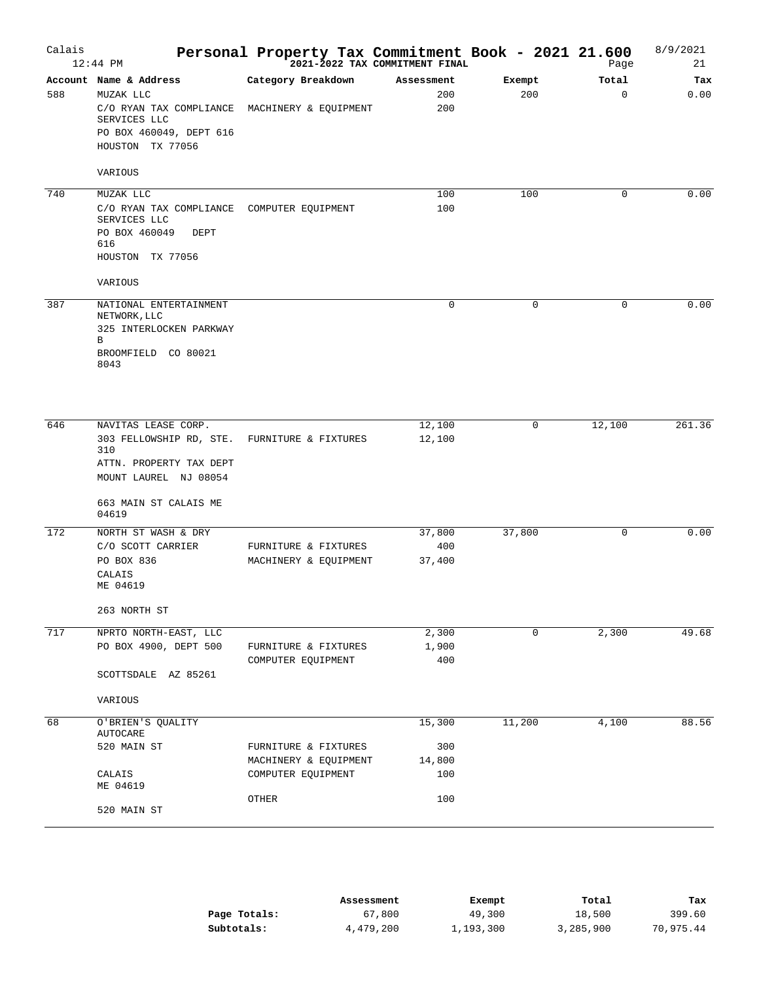| Calais | $12:44$ PM                                                                                                     | Personal Property Tax Commitment Book - 2021 21.600 | 2021-2022 TAX COMMITMENT FINAL |               | Page              | 8/9/2021<br>21 |
|--------|----------------------------------------------------------------------------------------------------------------|-----------------------------------------------------|--------------------------------|---------------|-------------------|----------------|
| 588    | Account Name & Address<br>MUZAK LLC<br>C/O RYAN TAX COMPLIANCE<br>SERVICES LLC                                 | Category Breakdown<br>MACHINERY & EQUIPMENT         | Assessment<br>200<br>200       | Exempt<br>200 | Total<br>$\Omega$ | Tax<br>0.00    |
|        | PO BOX 460049, DEPT 616<br>HOUSTON TX 77056<br>VARIOUS                                                         |                                                     |                                |               |                   |                |
| 740    | MUZAK LLC                                                                                                      |                                                     | 100                            | 100           | 0                 | 0.00           |
|        | C/O RYAN TAX COMPLIANCE COMPUTER EQUIPMENT<br>SERVICES LLC<br>PO BOX 460049<br>DEPT<br>616<br>HOUSTON TX 77056 |                                                     | 100                            |               |                   |                |
|        | VARIOUS                                                                                                        |                                                     |                                |               |                   |                |
| 387    | NATIONAL ENTERTAINMENT<br>NETWORK, LLC<br>325 INTERLOCKEN PARKWAY<br>B                                         |                                                     | $\mathbf 0$                    | $\mathbf 0$   | $\mathbf 0$       | 0.00           |
|        | BROOMFIELD CO 80021<br>8043                                                                                    |                                                     |                                |               |                   |                |
| 646    | NAVITAS LEASE CORP.                                                                                            |                                                     | 12,100                         | 0             | 12,100            | 261.36         |
|        | 303 FELLOWSHIP RD, STE.<br>310<br>ATTN. PROPERTY TAX DEPT<br>MOUNT LAUREL NJ 08054                             | FURNITURE & FIXTURES                                | 12,100                         |               |                   |                |
|        | 663 MAIN ST CALAIS ME<br>04619                                                                                 |                                                     |                                |               |                   |                |
| 172    | NORTH ST WASH & DRY                                                                                            |                                                     | 37,800                         | 37,800        | 0                 | 0.00           |
|        | C/O SCOTT CARRIER<br>PO BOX 836<br>CALAIS<br>ME 04619                                                          | FURNITURE & FIXTURES<br>MACHINERY & EQUIPMENT       | 400<br>37,400                  |               |                   |                |
|        | 263 NORTH ST                                                                                                   |                                                     |                                |               |                   |                |
| 717    | NPRTO NORTH-EAST, LLC                                                                                          |                                                     | 2,300                          | 0             | 2,300             | 49.68          |
|        | PO BOX 4900, DEPT 500                                                                                          | FURNITURE & FIXTURES<br>COMPUTER EQUIPMENT          | 1,900<br>400                   |               |                   |                |
|        | SCOTTSDALE AZ 85261                                                                                            |                                                     |                                |               |                   |                |
| 68     | VARIOUS<br>O'BRIEN'S QUALITY                                                                                   |                                                     | 15,300                         | 11,200        | 4,100             | 88.56          |
|        | AUTOCARE                                                                                                       |                                                     |                                |               |                   |                |
|        | 520 MAIN ST                                                                                                    | FURNITURE & FIXTURES<br>MACHINERY & EQUIPMENT       | 300<br>14,800                  |               |                   |                |
|        | CALAIS<br>ME 04619                                                                                             | COMPUTER EQUIPMENT                                  | 100                            |               |                   |                |
|        | 520 MAIN ST                                                                                                    | OTHER                                               | 100                            |               |                   |                |
|        |                                                                                                                |                                                     |                                |               |                   |                |

|              | Assessment | Exempt    | Total     | Tax       |
|--------------|------------|-----------|-----------|-----------|
| Page Totals: | 67,800     | 49,300    | 18,500    | 399.60    |
| Subtotals:   | 4,479,200  | 1,193,300 | 3,285,900 | 70,975.44 |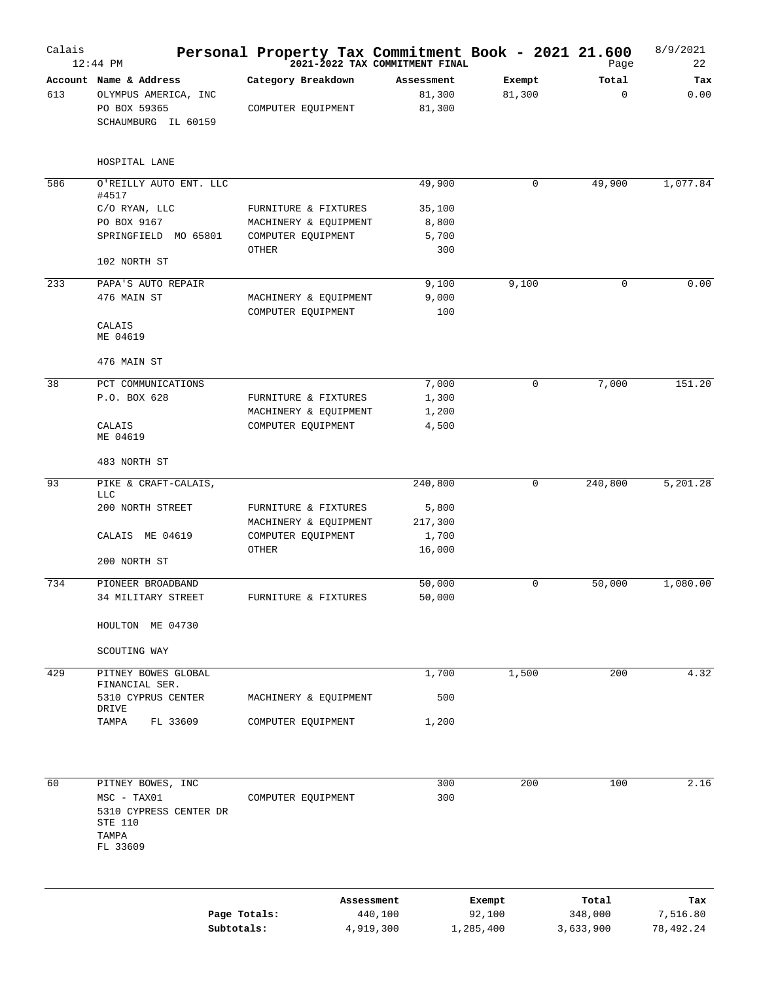| Calais | $12:44$ PM                                                  | Personal Property Tax Commitment Book - 2021 21.600<br><sup>2021-2022</sup> TAX COMMITMENT FINAL |                  |             | Page        | 8/9/2021<br>22 |
|--------|-------------------------------------------------------------|--------------------------------------------------------------------------------------------------|------------------|-------------|-------------|----------------|
|        | Account Name & Address                                      | Category Breakdown                                                                               | Assessment       | Exempt      | Total       | Tax            |
| 613    | OLYMPUS AMERICA, INC                                        |                                                                                                  | 81,300           | 81,300      | 0           | 0.00           |
|        | PO BOX 59365<br>SCHAUMBURG IL 60159                         | COMPUTER EQUIPMENT                                                                               | 81,300           |             |             |                |
|        | HOSPITAL LANE                                               |                                                                                                  |                  |             |             |                |
| 586    | O'REILLY AUTO ENT. LLC<br>#4517                             |                                                                                                  | 49,900           | 0           | 49,900      | 1,077.84       |
|        | C/O RYAN, LLC                                               | FURNITURE & FIXTURES                                                                             | 35,100           |             |             |                |
|        | PO BOX 9167                                                 | MACHINERY & EQUIPMENT                                                                            | 8,800            |             |             |                |
|        | SPRINGFIELD MO 65801                                        | COMPUTER EQUIPMENT                                                                               | 5,700            |             |             |                |
|        | 102 NORTH ST                                                | OTHER                                                                                            | 300              |             |             |                |
| 233    | PAPA'S AUTO REPAIR                                          |                                                                                                  | 9,100            | 9,100       | $\mathbf 0$ | 0.00           |
|        | 476 MAIN ST                                                 | MACHINERY & EQUIPMENT<br>COMPUTER EQUIPMENT                                                      | 9,000<br>100     |             |             |                |
|        | CALAIS<br>ME 04619                                          |                                                                                                  |                  |             |             |                |
|        | 476 MAIN ST                                                 |                                                                                                  |                  |             |             |                |
| 38     | PCT COMMUNICATIONS                                          |                                                                                                  | 7,000            | $\mathsf 0$ | 7,000       | 151.20         |
|        | P.O. BOX 628                                                | FURNITURE & FIXTURES                                                                             | 1,300            |             |             |                |
|        |                                                             | MACHINERY & EQUIPMENT                                                                            | 1,200            |             |             |                |
|        | CALAIS<br>ME 04619                                          | COMPUTER EQUIPMENT                                                                               | 4,500            |             |             |                |
|        | 483 NORTH ST                                                |                                                                                                  |                  |             |             |                |
| 93     | PIKE & CRAFT-CALAIS,                                        |                                                                                                  | 240,800          | $\mathbf 0$ | 240,800     | 5,201.28       |
|        | <b>LLC</b>                                                  |                                                                                                  |                  |             |             |                |
|        | 200 NORTH STREET                                            | FURNITURE & FIXTURES                                                                             | 5,800            |             |             |                |
|        | CALAIS ME 04619                                             | MACHINERY & EQUIPMENT<br>COMPUTER EQUIPMENT                                                      | 217,300<br>1,700 |             |             |                |
|        |                                                             | OTHER                                                                                            | 16,000           |             |             |                |
|        | 200 NORTH ST                                                |                                                                                                  |                  |             |             |                |
| 734    | PIONEER BROADBAND                                           |                                                                                                  | 50,000           | 0           | 50,000      | 1,080.00       |
|        | 34 MILITARY STREET                                          | FURNITURE & FIXTURES                                                                             | 50,000           |             |             |                |
|        | HOULTON ME 04730                                            |                                                                                                  |                  |             |             |                |
|        | SCOUTING WAY                                                |                                                                                                  |                  |             |             |                |
| 429    | PITNEY BOWES GLOBAL                                         |                                                                                                  | 1,700            | 1,500       | 200         | 4.32           |
|        | FINANCIAL SER.<br>5310 CYPRUS CENTER<br>DRIVE               | MACHINERY & EQUIPMENT                                                                            | 500              |             |             |                |
|        | TAMPA<br>FL 33609                                           | COMPUTER EQUIPMENT                                                                               | 1,200            |             |             |                |
|        |                                                             |                                                                                                  |                  |             |             |                |
| 60     | PITNEY BOWES, INC                                           |                                                                                                  | 300              | 200         | 100         | 2.16           |
|        | $MSC - TAX01$<br>5310 CYPRESS CENTER DR<br>STE 110<br>TAMPA | COMPUTER EQUIPMENT                                                                               | 300              |             |             |                |
|        | FL 33609                                                    |                                                                                                  |                  |             |             |                |
|        |                                                             |                                                                                                  | Assessment       | Exempt      | Total       | Tax            |

|              | ASSessment | Exempt    | тосат     | тах       |
|--------------|------------|-----------|-----------|-----------|
| Page Totals: | 440,100    | 92,100    | 348,000   | 7,516.80  |
| Subtotals:   | 4,919,300  | 1,285,400 | 3,633,900 | 78,492.24 |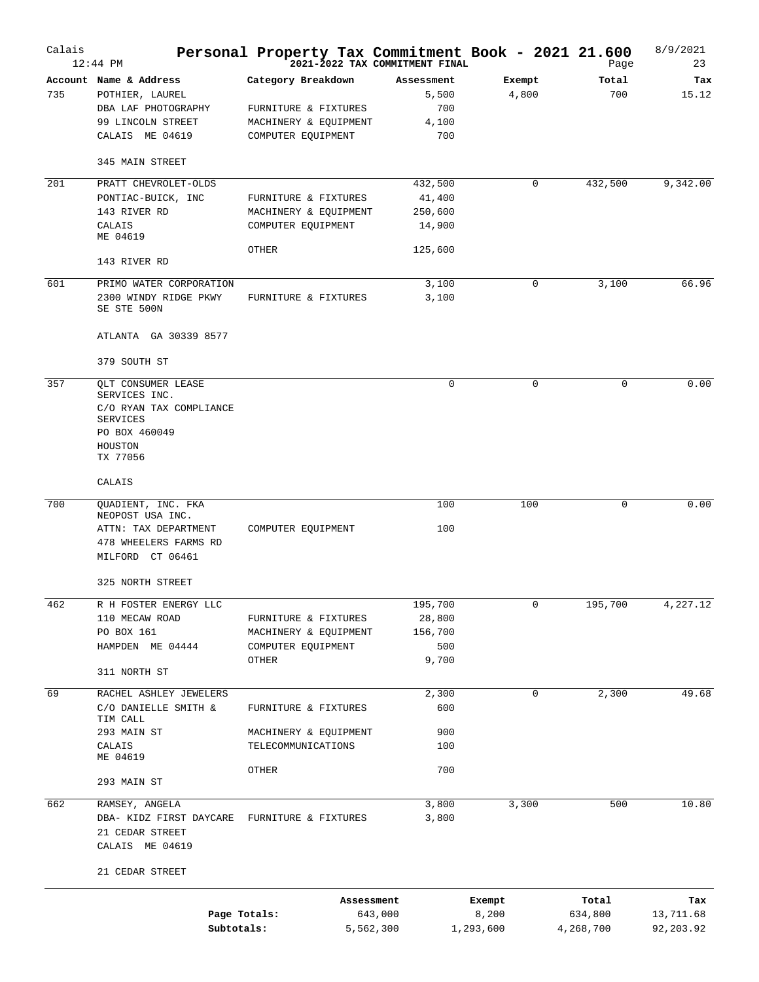| Calais | $12:44$ PM                                     |                       | 2021-2022 TAX COMMITMENT FINAL |           | Personal Property Tax Commitment Book - 2021 21.600<br>Page | 8/9/2021<br>23 |
|--------|------------------------------------------------|-----------------------|--------------------------------|-----------|-------------------------------------------------------------|----------------|
|        | Account Name & Address                         | Category Breakdown    | Assessment                     | Exempt    | Total                                                       | Tax            |
| 735    | POTHIER, LAUREL                                |                       | 5,500                          | 4,800     | 700                                                         | 15.12          |
|        | DBA LAF PHOTOGRAPHY                            | FURNITURE & FIXTURES  | 700                            |           |                                                             |                |
|        | 99 LINCOLN STREET                              | MACHINERY & EQUIPMENT | 4,100                          |           |                                                             |                |
|        | CALAIS ME 04619                                | COMPUTER EQUIPMENT    | 700                            |           |                                                             |                |
|        | 345 MAIN STREET                                |                       |                                |           |                                                             |                |
| 201    | PRATT CHEVROLET-OLDS                           |                       | 432,500                        | 0         | 432,500                                                     | 9,342.00       |
|        | PONTIAC-BUICK, INC                             | FURNITURE & FIXTURES  | 41,400                         |           |                                                             |                |
|        | 143 RIVER RD                                   | MACHINERY & EQUIPMENT | 250,600                        |           |                                                             |                |
|        | CALAIS<br>ME 04619                             | COMPUTER EQUIPMENT    | 14,900                         |           |                                                             |                |
|        |                                                | OTHER                 | 125,600                        |           |                                                             |                |
|        | 143 RIVER RD                                   |                       |                                |           |                                                             |                |
| 601    | PRIMO WATER CORPORATION                        |                       | 3,100                          | 0         | 3,100                                                       | 66.96          |
|        | 2300 WINDY RIDGE PKWY<br>SE STE 500N           | FURNITURE & FIXTURES  | 3,100                          |           |                                                             |                |
|        | ATLANTA GA 30339 8577                          |                       |                                |           |                                                             |                |
|        | 379 SOUTH ST                                   |                       |                                |           |                                                             |                |
| 357    | QLT CONSUMER LEASE                             |                       | 0                              | 0         | 0                                                           | 0.00           |
|        | SERVICES INC.                                  |                       |                                |           |                                                             |                |
|        | C/O RYAN TAX COMPLIANCE<br><b>SERVICES</b>     |                       |                                |           |                                                             |                |
|        | PO BOX 460049                                  |                       |                                |           |                                                             |                |
|        | HOUSTON                                        |                       |                                |           |                                                             |                |
|        | TX 77056                                       |                       |                                |           |                                                             |                |
|        | CALAIS                                         |                       |                                |           |                                                             |                |
| 700    | QUADIENT, INC. FKA                             |                       | 100                            | 100       | 0                                                           | 0.00           |
|        | NEOPOST USA INC.<br>ATTN: TAX DEPARTMENT       | COMPUTER EQUIPMENT    | 100                            |           |                                                             |                |
|        | 478 WHEELERS FARMS RD                          |                       |                                |           |                                                             |                |
|        | MILFORD CT 06461                               |                       |                                |           |                                                             |                |
|        | 325 NORTH STREET                               |                       |                                |           |                                                             |                |
| 462    | R H FOSTER ENERGY LLC                          |                       | 195,700                        | 0         | 195,700                                                     | 4,227.12       |
|        | 110 MECAW ROAD                                 | FURNITURE & FIXTURES  | 28,800                         |           |                                                             |                |
|        | PO BOX 161                                     | MACHINERY & EQUIPMENT | 156,700                        |           |                                                             |                |
|        | HAMPDEN ME 04444                               | COMPUTER EQUIPMENT    | 500                            |           |                                                             |                |
|        | 311 NORTH ST                                   | OTHER                 | 9,700                          |           |                                                             |                |
|        |                                                |                       |                                |           |                                                             |                |
| 69     | RACHEL ASHLEY JEWELERS<br>C/O DANIELLE SMITH & | FURNITURE & FIXTURES  | 2,300<br>600                   | 0         | 2,300                                                       | 49.68          |
|        | TIM CALL                                       |                       |                                |           |                                                             |                |
|        | 293 MAIN ST                                    | MACHINERY & EQUIPMENT | 900                            |           |                                                             |                |
|        | CALAIS                                         | TELECOMMUNICATIONS    | 100                            |           |                                                             |                |
|        | ME 04619                                       |                       |                                |           |                                                             |                |
|        | 293 MAIN ST                                    | OTHER                 | 700                            |           |                                                             |                |
| 662    | RAMSEY, ANGELA                                 |                       | 3,800                          | 3,300     | 500                                                         | 10.80          |
|        | DBA- KIDZ FIRST DAYCARE                        | FURNITURE & FIXTURES  | 3,800                          |           |                                                             |                |
|        | 21 CEDAR STREET                                |                       |                                |           |                                                             |                |
|        | CALAIS ME 04619                                |                       |                                |           |                                                             |                |
|        | 21 CEDAR STREET                                |                       |                                |           |                                                             |                |
|        |                                                |                       | Assessment                     | Exempt    | Total                                                       | Tax            |
|        |                                                | Page Totals:          | 643,000                        | 8,200     | 634,800                                                     | 13,711.68      |
|        |                                                | Subtotals:            | 5,562,300                      | 1,293,600 | 4,268,700                                                   | 92,203.92      |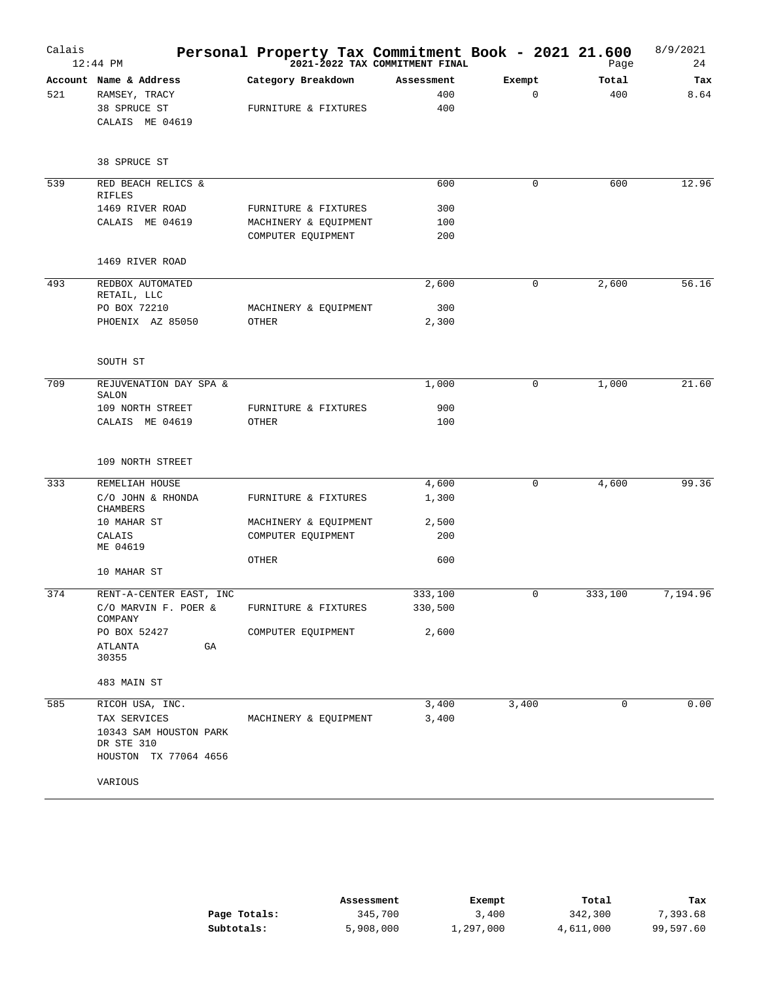| Calais | $12:44$ PM                          | Personal Property Tax Commitment Book - 2021 21.600<br>2021-2022 TAX COMMITMENT FINAL |            |        | Page    | 8/9/2021<br>24 |
|--------|-------------------------------------|---------------------------------------------------------------------------------------|------------|--------|---------|----------------|
|        | Account Name & Address              | Category Breakdown                                                                    | Assessment | Exempt | Total   | Tax            |
| 521    | RAMSEY, TRACY                       |                                                                                       | 400        | 0      | 400     | 8.64           |
|        | 38 SPRUCE ST<br>CALAIS ME 04619     | FURNITURE & FIXTURES                                                                  | 400        |        |         |                |
|        | 38 SPRUCE ST                        |                                                                                       |            |        |         |                |
| 539    | RED BEACH RELICS &<br><b>RIFLES</b> |                                                                                       | 600        | 0      | 600     | 12.96          |
|        | 1469 RIVER ROAD                     | FURNITURE & FIXTURES                                                                  | 300        |        |         |                |
|        | CALAIS ME 04619                     | MACHINERY & EQUIPMENT                                                                 | 100        |        |         |                |
|        |                                     | COMPUTER EQUIPMENT                                                                    | 200        |        |         |                |
|        | 1469 RIVER ROAD                     |                                                                                       |            |        |         |                |
| 493    | REDBOX AUTOMATED<br>RETAIL, LLC     |                                                                                       | 2,600      | 0      | 2,600   | 56.16          |
|        | PO BOX 72210                        | MACHINERY & EQUIPMENT                                                                 | 300        |        |         |                |
|        | PHOENIX AZ 85050                    | OTHER                                                                                 | 2,300      |        |         |                |
|        | SOUTH ST                            |                                                                                       |            |        |         |                |
| 709    | REJUVENATION DAY SPA &<br>SALON     |                                                                                       | 1,000      | 0      | 1,000   | 21.60          |
|        | 109 NORTH STREET                    | FURNITURE & FIXTURES                                                                  | 900        |        |         |                |
|        | CALAIS ME 04619                     | OTHER                                                                                 | 100        |        |         |                |
|        | 109 NORTH STREET                    |                                                                                       |            |        |         |                |
| 333    | REMELIAH HOUSE                      |                                                                                       | 4,600      | 0      | 4,600   | 99.36          |
|        | C/O JOHN & RHONDA<br>CHAMBERS       | FURNITURE & FIXTURES                                                                  | 1,300      |        |         |                |
|        | 10 MAHAR ST                         | MACHINERY & EQUIPMENT                                                                 | 2,500      |        |         |                |
|        | CALAIS                              | COMPUTER EQUIPMENT                                                                    | 200        |        |         |                |
|        | ME 04619                            | OTHER                                                                                 | 600        |        |         |                |
|        | 10 MAHAR ST                         |                                                                                       |            |        |         |                |
| 374    | RENT-A-CENTER EAST, INC             |                                                                                       | 333,100    | 0      | 333,100 | 7,194.96       |
|        | C/O MARVIN F. POER &<br>COMPANY     | FURNITURE & FIXTURES                                                                  | 330,500    |        |         |                |
|        | PO BOX 52427                        | COMPUTER EQUIPMENT                                                                    | 2,600      |        |         |                |
|        | ATLANTA<br>GA<br>30355              |                                                                                       |            |        |         |                |
|        | 483 MAIN ST                         |                                                                                       |            |        |         |                |
| 585    | RICOH USA, INC.                     |                                                                                       | 3,400      | 3,400  | 0       | 0.00           |
|        | TAX SERVICES                        | MACHINERY & EQUIPMENT                                                                 | 3,400      |        |         |                |
|        | 10343 SAM HOUSTON PARK              |                                                                                       |            |        |         |                |
|        | DR STE 310<br>HOUSTON TX 77064 4656 |                                                                                       |            |        |         |                |
|        | VARIOUS                             |                                                                                       |            |        |         |                |

|              | Assessment | Exempt    | Total     | Tax       |
|--------------|------------|-----------|-----------|-----------|
| Page Totals: | 345,700    | 3,400     | 342,300   | 7,393.68  |
| Subtotals:   | 5,908,000  | 1,297,000 | 4,611,000 | 99,597.60 |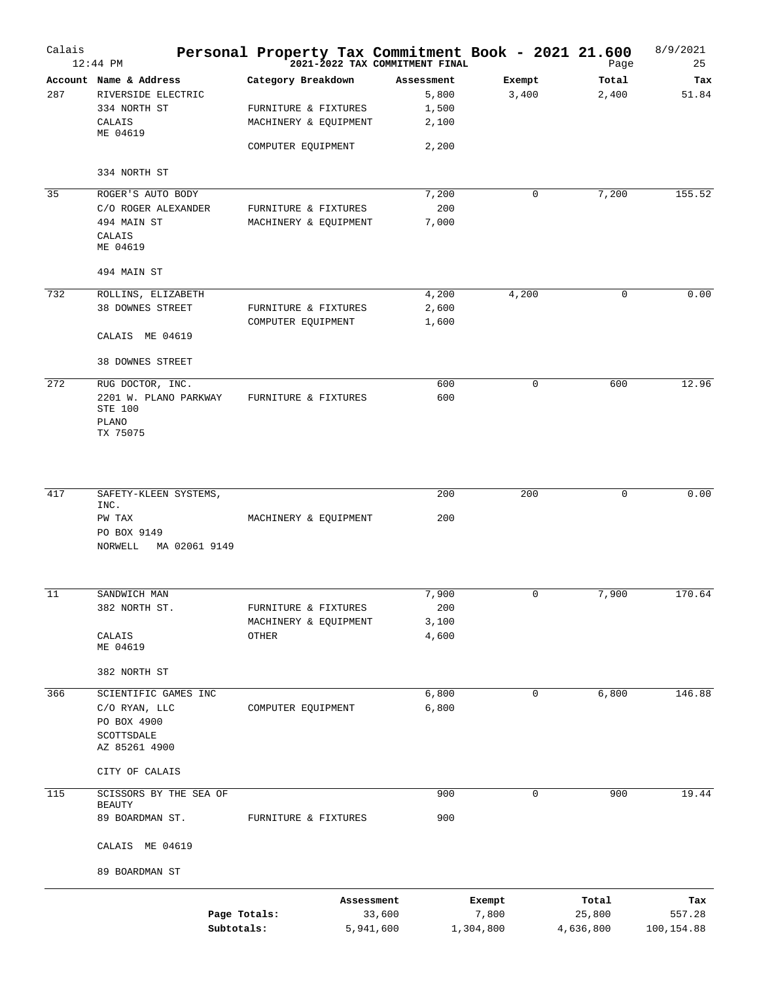| Calais | $12:44$ PM                                                                                   |                                                                                           |            | Personal Property Tax Commitment Book - 2021 21.600<br>2021-2022 TAX COMMITMENT FINAL |                              | Page                         | 8/9/2021<br>25              |
|--------|----------------------------------------------------------------------------------------------|-------------------------------------------------------------------------------------------|------------|---------------------------------------------------------------------------------------|------------------------------|------------------------------|-----------------------------|
| 287    | Account Name & Address<br>RIVERSIDE ELECTRIC<br>334 NORTH ST<br>CALAIS<br>ME 04619           | Category Breakdown<br>FURNITURE & FIXTURES<br>MACHINERY & EQUIPMENT<br>COMPUTER EQUIPMENT |            | Assessment<br>5,800<br>1,500<br>2,100<br>2,200                                        | Exempt<br>3,400              | Total<br>2,400               | Tax<br>51.84                |
|        | 334 NORTH ST                                                                                 |                                                                                           |            |                                                                                       |                              |                              |                             |
| 35     | ROGER'S AUTO BODY<br>C/O ROGER ALEXANDER<br>494 MAIN ST<br>CALAIS<br>ME 04619<br>494 MAIN ST | FURNITURE & FIXTURES<br>MACHINERY & EQUIPMENT                                             |            | 7,200<br>200<br>7,000                                                                 | 0                            | 7,200                        | 155.52                      |
|        |                                                                                              |                                                                                           |            |                                                                                       |                              |                              |                             |
| 732    | ROLLINS, ELIZABETH<br><b>38 DOWNES STREET</b><br>CALAIS ME 04619                             | FURNITURE & FIXTURES<br>COMPUTER EQUIPMENT                                                |            | 4,200<br>2,600<br>1,600                                                               | 4,200                        | 0                            | 0.00                        |
|        | 38 DOWNES STREET                                                                             |                                                                                           |            |                                                                                       |                              |                              |                             |
| 272    | RUG DOCTOR, INC.<br>2201 W. PLANO PARKWAY<br>STE 100<br>PLANO<br>TX 75075                    | FURNITURE & FIXTURES                                                                      |            | 600<br>600                                                                            | $\mathbf 0$                  | 600                          | 12.96                       |
| 417    | SAFETY-KLEEN SYSTEMS,<br>INC.                                                                |                                                                                           |            | 200                                                                                   | 200                          | $\mathbf 0$                  | 0.00                        |
|        | PW TAX<br>PO BOX 9149<br>NORWELL<br>MA 02061 9149                                            | MACHINERY & EQUIPMENT                                                                     |            | 200                                                                                   |                              |                              |                             |
| 11     | SANDWICH MAN                                                                                 |                                                                                           |            | 7,900                                                                                 | 0                            | 7,900                        | 170.64                      |
|        | 382 NORTH ST.<br>$\mathtt{CALAIS}$<br>ME 04619                                               | FURNITURE & FIXTURES<br>MACHINERY & EQUIPMENT<br><b>OTHER</b>                             |            | 200<br>3,100<br>4,600                                                                 |                              |                              |                             |
|        | 382 NORTH ST                                                                                 |                                                                                           |            |                                                                                       |                              |                              |                             |
| 366    | SCIENTIFIC GAMES INC<br>C/O RYAN, LLC<br>PO BOX 4900<br>SCOTTSDALE<br>AZ 85261 4900          | COMPUTER EQUIPMENT                                                                        |            | 6,800<br>6,800                                                                        | $\mathbf 0$                  | 6,800                        | 146.88                      |
|        | CITY OF CALAIS                                                                               |                                                                                           |            |                                                                                       |                              |                              |                             |
| 115    | SCISSORS BY THE SEA OF<br>BEAUTY                                                             |                                                                                           |            | 900                                                                                   | 0                            | 900                          | 19.44                       |
|        | 89 BOARDMAN ST.                                                                              | FURNITURE & FIXTURES                                                                      |            | 900                                                                                   |                              |                              |                             |
|        | CALAIS ME 04619                                                                              |                                                                                           |            |                                                                                       |                              |                              |                             |
|        | 89 BOARDMAN ST                                                                               |                                                                                           |            |                                                                                       |                              |                              |                             |
|        | Subtotals:                                                                                   | Page Totals:                                                                              | Assessment | 33,600<br>5,941,600                                                                   | Exempt<br>7,800<br>1,304,800 | Total<br>25,800<br>4,636,800 | Tax<br>557.28<br>100,154.88 |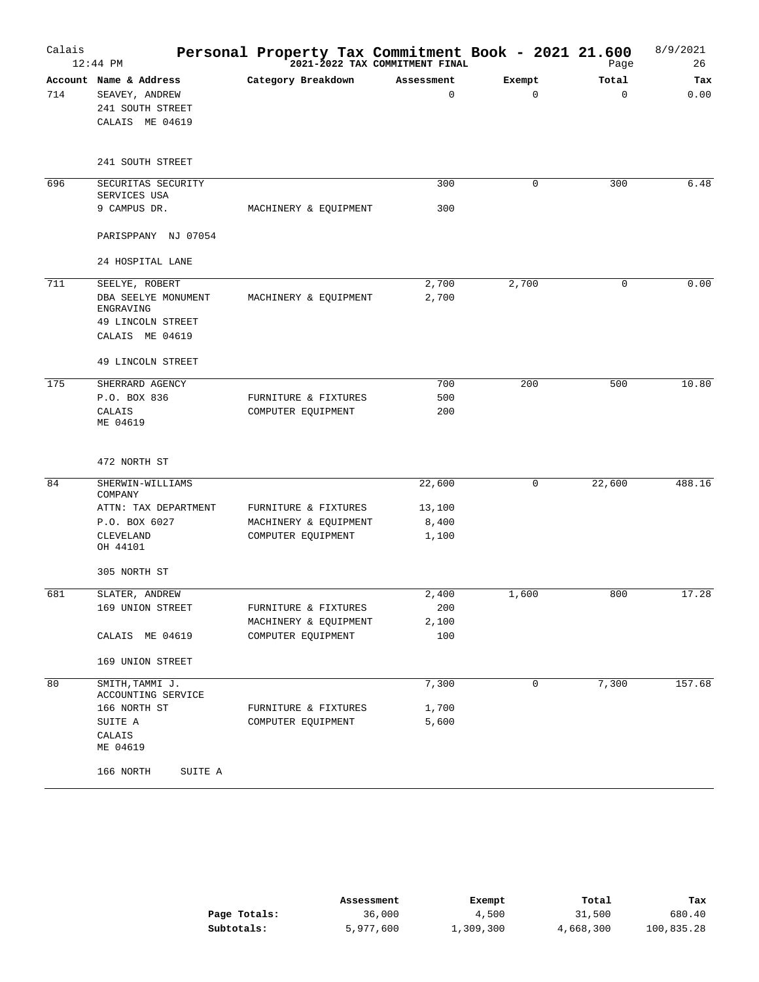| Calais | $12:44$ PM                                                                      | Personal Property Tax Commitment Book - 2021 21.600 | 2021-2022 TAX COMMITMENT FINAL |                       | Page              | 8/9/2021<br>26 |
|--------|---------------------------------------------------------------------------------|-----------------------------------------------------|--------------------------------|-----------------------|-------------------|----------------|
| 714    | Account Name & Address<br>SEAVEY, ANDREW<br>241 SOUTH STREET<br>CALAIS ME 04619 | Category Breakdown                                  | Assessment<br>$\mathbf 0$      | Exempt<br>$\mathbf 0$ | Total<br>$\Omega$ | Tax<br>0.00    |
|        | 241 SOUTH STREET                                                                |                                                     |                                |                       |                   |                |
| 696    | SECURITAS SECURITY<br>SERVICES USA                                              |                                                     | 300                            | 0                     | 300               | 6.48           |
|        | 9 CAMPUS DR.                                                                    | MACHINERY & EQUIPMENT                               | 300                            |                       |                   |                |
|        | PARISPPANY NJ 07054                                                             |                                                     |                                |                       |                   |                |
|        | 24 HOSPITAL LANE                                                                |                                                     |                                |                       |                   |                |
| 711    | SEELYE, ROBERT                                                                  |                                                     | 2,700                          | 2,700                 | $\mathbf 0$       | 0.00           |
|        | DBA SEELYE MONUMENT                                                             | MACHINERY & EQUIPMENT                               | 2,700                          |                       |                   |                |
|        | ENGRAVING                                                                       |                                                     |                                |                       |                   |                |
|        | 49 LINCOLN STREET<br>CALAIS ME 04619                                            |                                                     |                                |                       |                   |                |
|        | 49 LINCOLN STREET                                                               |                                                     |                                |                       |                   |                |
| 175    | SHERRARD AGENCY                                                                 |                                                     | 700                            | 200                   | 500               | 10.80          |
|        | P.O. BOX 836                                                                    | FURNITURE & FIXTURES                                | 500                            |                       |                   |                |
|        | CALAIS<br>ME 04619                                                              | COMPUTER EQUIPMENT                                  | 200                            |                       |                   |                |
|        | 472 NORTH ST                                                                    |                                                     |                                |                       |                   |                |
| 84     | SHERWIN-WILLIAMS<br>COMPANY                                                     |                                                     | 22,600                         | 0                     | 22,600            | 488.16         |
|        | ATTN: TAX DEPARTMENT                                                            | FURNITURE & FIXTURES                                | 13,100                         |                       |                   |                |
|        | P.O. BOX 6027                                                                   | MACHINERY & EQUIPMENT                               | 8,400                          |                       |                   |                |
|        | CLEVELAND<br>OH 44101                                                           | COMPUTER EQUIPMENT                                  | 1,100                          |                       |                   |                |
|        | 305 NORTH ST                                                                    |                                                     |                                |                       |                   |                |
| 681    | SLATER, ANDREW                                                                  |                                                     | 2,400                          | 1,600                 | 800               | 17.28          |
|        | 169 UNION STREET                                                                | FURNITURE & FIXTURES                                | 200                            |                       |                   |                |
|        |                                                                                 | MACHINERY & EQUIPMENT                               | 2,100                          |                       |                   |                |
|        | CALAIS ME 04619                                                                 | COMPUTER EQUIPMENT                                  | 100                            |                       |                   |                |
|        | 169 UNION STREET                                                                |                                                     |                                |                       |                   |                |
| 80     | SMITH, TAMMI J.<br>ACCOUNTING SERVICE                                           |                                                     | 7,300                          | $\mathbf 0$           | 7,300             | 157.68         |
|        | 166 NORTH ST                                                                    | FURNITURE & FIXTURES                                | 1,700                          |                       |                   |                |
|        | SUITE A                                                                         | COMPUTER EQUIPMENT                                  | 5,600                          |                       |                   |                |
|        | CALAIS<br>ME 04619                                                              |                                                     |                                |                       |                   |                |
|        | 166 NORTH<br>SUITE A                                                            |                                                     |                                |                       |                   |                |

|              | Assessment | Exempt    | Total     | Tax        |
|--------------|------------|-----------|-----------|------------|
| Page Totals: | 36,000     | 4,500     | 31,500    | 680.40     |
| Subtotals:   | 5,977,600  | 1,309,300 | 4,668,300 | 100,835.28 |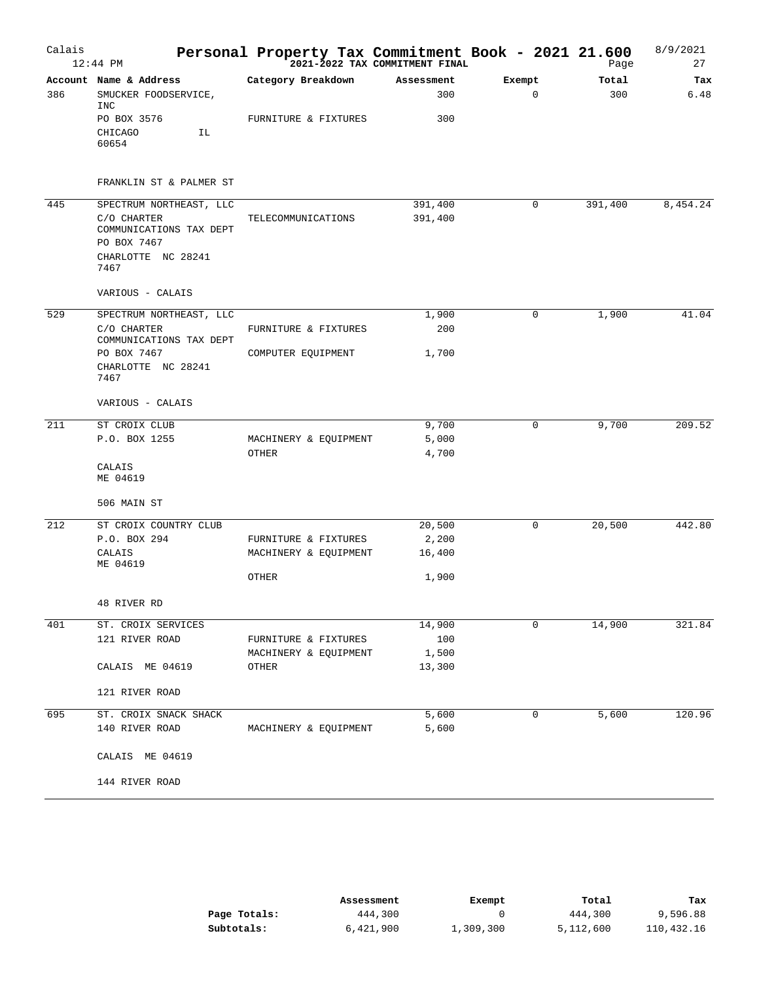| Calais | 12:44 PM                                              | Personal Property Tax Commitment Book - 2021 21.600<br><sup>2021-2022</sup> TAX COMMITMENT FINAL |            |             | Page    | 8/9/2021<br>27 |
|--------|-------------------------------------------------------|--------------------------------------------------------------------------------------------------|------------|-------------|---------|----------------|
|        | Account Name & Address                                | Category Breakdown                                                                               | Assessment | Exempt      | Total   | Tax            |
| 386    | SMUCKER FOODSERVICE,<br><b>INC</b>                    |                                                                                                  | 300        | $\mathbf 0$ | 300     | 6.48           |
|        | PO BOX 3576                                           | FURNITURE & FIXTURES                                                                             | 300        |             |         |                |
|        | CHICAGO<br>ΙL<br>60654                                |                                                                                                  |            |             |         |                |
|        | FRANKLIN ST & PALMER ST                               |                                                                                                  |            |             |         |                |
| 445    | SPECTRUM NORTHEAST, LLC                               |                                                                                                  | 391,400    | 0           | 391,400 | 8,454.24       |
|        | C/O CHARTER<br>COMMUNICATIONS TAX DEPT<br>PO BOX 7467 | TELECOMMUNICATIONS                                                                               | 391,400    |             |         |                |
|        | CHARLOTTE NC 28241<br>7467                            |                                                                                                  |            |             |         |                |
|        | VARIOUS - CALAIS                                      |                                                                                                  |            |             |         |                |
| 529    | SPECTRUM NORTHEAST, LLC                               |                                                                                                  | 1,900      | 0           | 1,900   | 41.04          |
|        | C/O CHARTER<br>COMMUNICATIONS TAX DEPT                | FURNITURE & FIXTURES                                                                             | 200        |             |         |                |
|        | PO BOX 7467                                           | COMPUTER EQUIPMENT                                                                               | 1,700      |             |         |                |
|        | CHARLOTTE NC 28241<br>7467                            |                                                                                                  |            |             |         |                |
|        | VARIOUS - CALAIS                                      |                                                                                                  |            |             |         |                |
| 211    | ST CROIX CLUB                                         |                                                                                                  | 9,700      | 0           | 9,700   | 209.52         |
|        | P.O. BOX 1255                                         | MACHINERY & EQUIPMENT                                                                            | 5,000      |             |         |                |
|        |                                                       | OTHER                                                                                            | 4,700      |             |         |                |
|        | CALAIS<br>ME 04619                                    |                                                                                                  |            |             |         |                |
|        | 506 MAIN ST                                           |                                                                                                  |            |             |         |                |
| 212    | ST CROIX COUNTRY CLUB                                 |                                                                                                  | 20,500     | 0           | 20,500  | 442.80         |
|        | P.O. BOX 294                                          | FURNITURE & FIXTURES                                                                             | 2,200      |             |         |                |
|        | CALAIS<br>ME 04619                                    | MACHINERY & EQUIPMENT                                                                            | 16,400     |             |         |                |
|        |                                                       | OTHER                                                                                            | 1,900      |             |         |                |
|        | 48 RIVER RD                                           |                                                                                                  |            |             |         |                |
| 401    | ST. CROIX SERVICES                                    |                                                                                                  | 14,900     | 0           | 14,900  | 321.84         |
|        | 121 RIVER ROAD                                        | FURNITURE & FIXTURES                                                                             | 100        |             |         |                |
|        |                                                       | MACHINERY & EQUIPMENT                                                                            | 1,500      |             |         |                |
|        | CALAIS ME 04619                                       | OTHER                                                                                            | 13,300     |             |         |                |
|        | 121 RIVER ROAD                                        |                                                                                                  |            |             |         |                |
| 695    | ST. CROIX SNACK SHACK                                 |                                                                                                  | 5,600      | 0           | 5,600   | 120.96         |
|        | 140 RIVER ROAD                                        | MACHINERY & EQUIPMENT                                                                            | 5,600      |             |         |                |
|        | CALAIS ME 04619                                       |                                                                                                  |            |             |         |                |
|        | 144 RIVER ROAD                                        |                                                                                                  |            |             |         |                |

|              | Assessment | Exempt    | Total     | Tax        |
|--------------|------------|-----------|-----------|------------|
| Page Totals: | 444,300    |           | 444,300   | 9,596.88   |
| Subtotals:   | 6,421,900  | 1,309,300 | 5,112,600 | 110,432.16 |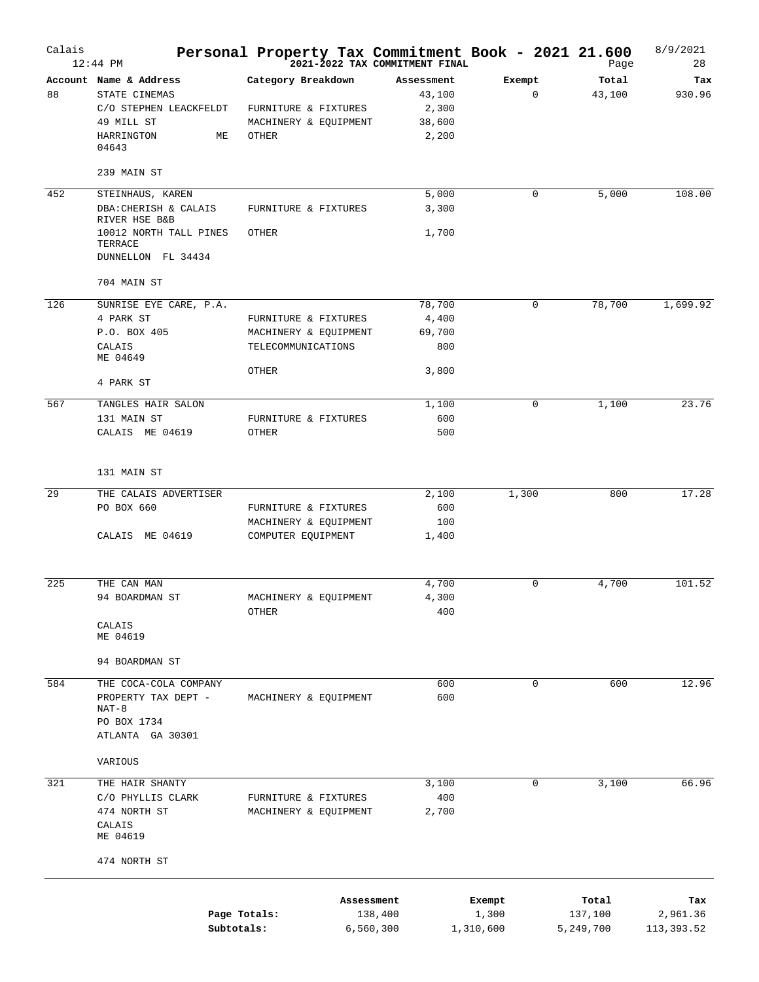| Calais | $12:44$ PM                              | Personal Property Tax Commitment Book - 2021 21.600 | 2021-2022 TAX COMMITMENT FINAL |             | Page            | 8/9/2021<br>28 |
|--------|-----------------------------------------|-----------------------------------------------------|--------------------------------|-------------|-----------------|----------------|
| 88     | Account Name & Address<br>STATE CINEMAS | Category Breakdown                                  | Assessment<br>43,100           | Exempt<br>0 | Total<br>43,100 | Tax<br>930.96  |
|        | C/O STEPHEN LEACKFELDT                  | FURNITURE & FIXTURES                                | 2,300                          |             |                 |                |
|        | 49 MILL ST                              | MACHINERY & EQUIPMENT                               | 38,600                         |             |                 |                |
|        | HARRINGTON<br>МE<br>04643               | OTHER                                               | 2,200                          |             |                 |                |
|        | 239 MAIN ST                             |                                                     |                                |             |                 |                |
| 452    | STEINHAUS, KAREN                        |                                                     | 5,000                          | 0           | 5,000           | 108.00         |
|        | DBA: CHERISH & CALAIS<br>RIVER HSE B&B  | FURNITURE & FIXTURES                                | 3,300                          |             |                 |                |
|        | 10012 NORTH TALL PINES<br>TERRACE       | OTHER                                               | 1,700                          |             |                 |                |
|        | DUNNELLON FL 34434                      |                                                     |                                |             |                 |                |
|        | 704 MAIN ST                             |                                                     |                                |             |                 |                |
| 126    | SUNRISE EYE CARE, P.A.                  |                                                     | 78,700                         | 0           | 78,700          | 1,699.92       |
|        | 4 PARK ST                               | FURNITURE & FIXTURES                                | 4,400                          |             |                 |                |
|        | P.O. BOX 405                            | MACHINERY & EQUIPMENT                               | 69,700                         |             |                 |                |
|        | CALAIS<br>ME 04649                      | TELECOMMUNICATIONS                                  | 800                            |             |                 |                |
|        | 4 PARK ST                               | OTHER                                               | 3,800                          |             |                 |                |
| 567    | TANGLES HAIR SALON                      |                                                     | 1,100                          | 0           | 1,100           | 23.76          |
|        | 131 MAIN ST                             | FURNITURE & FIXTURES                                | 600                            |             |                 |                |
|        | CALAIS ME 04619                         | OTHER                                               | 500                            |             |                 |                |
|        | 131 MAIN ST                             |                                                     |                                |             |                 |                |
| 29     | THE CALAIS ADVERTISER                   |                                                     | 2,100                          | 1,300       | 800             | 17.28          |
|        | PO BOX 660                              | FURNITURE & FIXTURES                                | 600                            |             |                 |                |
|        |                                         | MACHINERY & EQUIPMENT                               | 100                            |             |                 |                |
|        | CALAIS ME 04619                         | COMPUTER EQUIPMENT                                  | 1,400                          |             |                 |                |
| 225    | THE CAN MAN                             |                                                     | 4,700                          | 0           | 4,700           | 101.52         |
|        | 94 BOARDMAN ST                          | MACHINERY & EOUIPMENT                               | 4,300                          |             |                 |                |
|        |                                         | OTHER                                               | 400                            |             |                 |                |
|        | CALAIS                                  |                                                     |                                |             |                 |                |
|        | ME 04619                                |                                                     |                                |             |                 |                |
|        | 94 BOARDMAN ST                          |                                                     |                                |             |                 |                |
| 584    | THE COCA-COLA COMPANY                   |                                                     | 600                            | 0           | 600             | 12.96          |
|        | PROPERTY TAX DEPT -<br>$NAT-8$          | MACHINERY & EQUIPMENT                               | 600                            |             |                 |                |
|        | PO BOX 1734                             |                                                     |                                |             |                 |                |
|        | ATLANTA GA 30301                        |                                                     |                                |             |                 |                |
|        | VARIOUS                                 |                                                     |                                |             |                 |                |
| 321    | THE HAIR SHANTY                         |                                                     | 3,100                          | 0           | 3,100           | 66.96          |
|        | C/O PHYLLIS CLARK                       | FURNITURE & FIXTURES                                | 400                            |             |                 |                |
|        | 474 NORTH ST                            | MACHINERY & EQUIPMENT                               | 2,700                          |             |                 |                |
|        | CALAIS<br>ME 04619                      |                                                     |                                |             |                 |                |
|        | 474 NORTH ST                            |                                                     |                                |             |                 |                |
|        |                                         |                                                     | Assessment                     | Exempt      | Total           | Tax            |
|        | Page Totals:                            |                                                     | 138,400                        | 1,300       | 137,100         | 2,961.36       |
|        | Subtotals:                              |                                                     | 6,560,300                      | 1,310,600   | 5,249,700       | 113, 393.52    |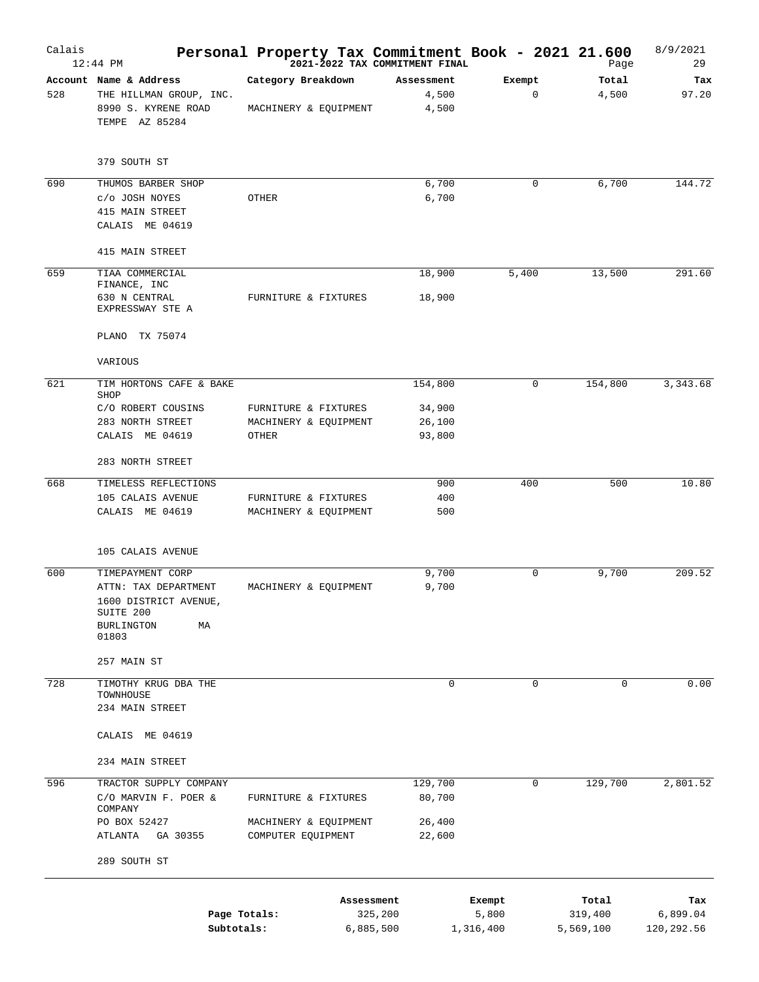| Calais | $12:44$ PM                                                                                                         | Personal Property Tax Commitment Book - 2021 21.600    | 2021-2022 TAX COMMITMENT FINAL     |                              | Page                          | 8/9/2021<br>29                |
|--------|--------------------------------------------------------------------------------------------------------------------|--------------------------------------------------------|------------------------------------|------------------------------|-------------------------------|-------------------------------|
| 528    | Account Name & Address<br>THE HILLMAN GROUP, INC.<br>8990 S. KYRENE ROAD<br>TEMPE AZ 85284                         | Category Breakdown<br>MACHINERY & EQUIPMENT            | Assessment<br>4,500<br>4,500       | Exempt<br>$\mathbf 0$        | Total<br>4,500                | Tax<br>97.20                  |
|        | 379 SOUTH ST                                                                                                       |                                                        |                                    |                              |                               |                               |
| 690    | THUMOS BARBER SHOP<br>c/o JOSH NOYES<br>415 MAIN STREET<br>CALAIS ME 04619                                         | OTHER                                                  | 6,700<br>6,700                     | 0                            | 6,700                         | 144.72                        |
|        | 415 MAIN STREET                                                                                                    |                                                        |                                    |                              |                               |                               |
| 659    | TIAA COMMERCIAL<br>FINANCE, INC<br>630 N CENTRAL<br>EXPRESSWAY STE A                                               | FURNITURE & FIXTURES                                   | 18,900<br>18,900                   | 5,400                        | 13,500                        | 291.60                        |
|        | PLANO TX 75074                                                                                                     |                                                        |                                    |                              |                               |                               |
| 621    | VARIOUS<br>TIM HORTONS CAFE & BAKE                                                                                 |                                                        | 154,800                            | $\mathbf 0$                  | 154,800                       | 3,343.68                      |
|        | SHOP<br>C/O ROBERT COUSINS<br>283 NORTH STREET<br>CALAIS ME 04619                                                  | FURNITURE & FIXTURES<br>MACHINERY & EQUIPMENT<br>OTHER | 34,900<br>26,100<br>93,800         |                              |                               |                               |
|        | 283 NORTH STREET                                                                                                   |                                                        |                                    |                              |                               |                               |
| 668    | TIMELESS REFLECTIONS<br>105 CALAIS AVENUE<br>CALAIS ME 04619                                                       | FURNITURE & FIXTURES<br>MACHINERY & EQUIPMENT          | 900<br>400<br>500                  | 400                          | 500                           | 10.80                         |
|        | 105 CALAIS AVENUE                                                                                                  |                                                        |                                    |                              |                               |                               |
| 600    | TIMEPAYMENT CORP<br>ATTN: TAX DEPARTMENT<br>1600 DISTRICT AVENUE,<br>SUITE 200<br><b>BURLINGTON</b><br>МA<br>01803 | MACHINERY & EQUIPMENT                                  | 9,700<br>9,700                     | $\mathbf 0$                  | 9,700                         | 209.52                        |
| 728    | 257 MAIN ST<br>TIMOTHY KRUG DBA THE                                                                                |                                                        | $\mathbf 0$                        | $\mathbf 0$                  | $\mathbf 0$                   | 0.00                          |
|        | TOWNHOUSE<br>234 MAIN STREET                                                                                       |                                                        |                                    |                              |                               |                               |
|        | CALAIS ME 04619                                                                                                    |                                                        |                                    |                              |                               |                               |
|        | 234 MAIN STREET                                                                                                    |                                                        |                                    |                              |                               |                               |
| 596    | TRACTOR SUPPLY COMPANY<br>C/O MARVIN F. POER &<br>COMPANY                                                          | FURNITURE & FIXTURES                                   | 129,700<br>80,700                  | 0                            | 129,700                       | 2,801.52                      |
|        | PO BOX 52427<br>ATLANTA<br>GA 30355                                                                                | MACHINERY & EQUIPMENT<br>COMPUTER EQUIPMENT            | 26,400<br>22,600                   |                              |                               |                               |
|        | 289 SOUTH ST                                                                                                       |                                                        |                                    |                              |                               |                               |
|        | Subtotals:                                                                                                         | Page Totals:                                           | Assessment<br>325,200<br>6,885,500 | Exempt<br>5,800<br>1,316,400 | Total<br>319,400<br>5,569,100 | Tax<br>6,899.04<br>120,292.56 |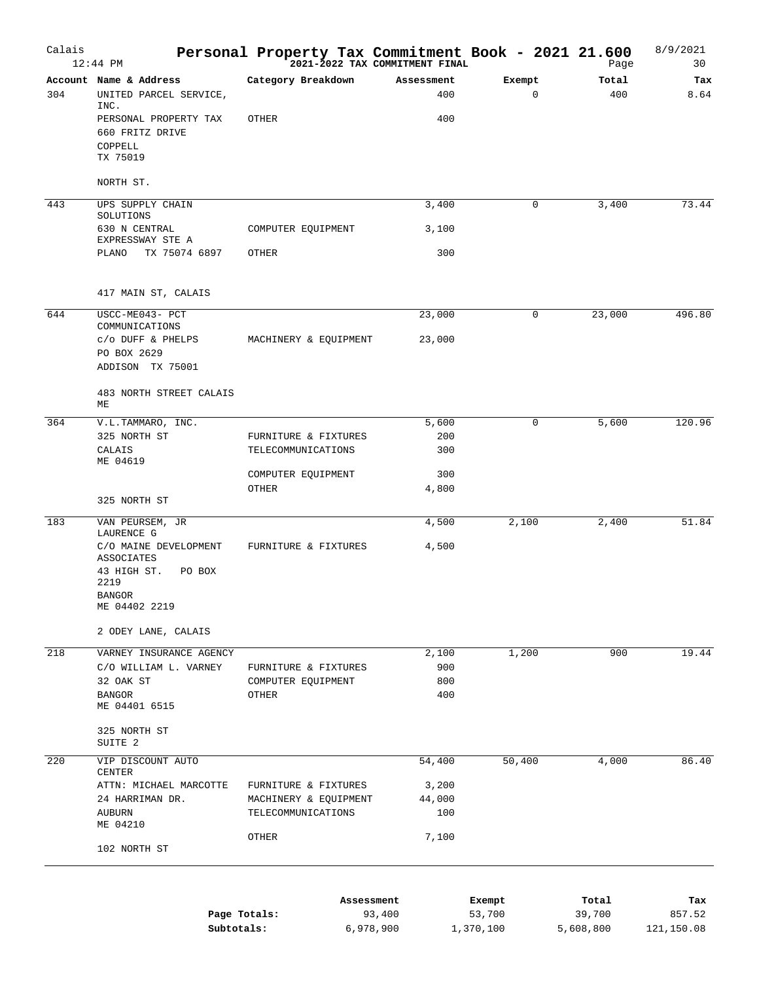| Calais | $12:44$ PM                                                             | Personal Property Tax Commitment Book - 2021 21.600 | 2021-2022 TAX COMMITMENT FINAL |                       | Page            | 8/9/2021<br>30 |
|--------|------------------------------------------------------------------------|-----------------------------------------------------|--------------------------------|-----------------------|-----------------|----------------|
| 304    | Account Name & Address<br>UNITED PARCEL SERVICE,<br>INC.               | Category Breakdown                                  | Assessment<br>400              | Exempt<br>$\mathbf 0$ | Total<br>400    | Tax<br>8.64    |
|        | PERSONAL PROPERTY TAX<br>660 FRITZ DRIVE                               | OTHER                                               | 400                            |                       |                 |                |
|        | COPPELL<br>TX 75019                                                    |                                                     |                                |                       |                 |                |
|        | NORTH ST.                                                              |                                                     |                                |                       |                 |                |
| 443    | UPS SUPPLY CHAIN<br>SOLUTIONS                                          |                                                     | 3,400                          | 0                     | 3,400           | 73.44          |
|        | 630 N CENTRAL<br>EXPRESSWAY STE A                                      | COMPUTER EQUIPMENT                                  | 3,100                          |                       |                 |                |
|        | TX 75074 6897<br>PLANO                                                 | OTHER                                               | 300                            |                       |                 |                |
|        | 417 MAIN ST, CALAIS                                                    |                                                     |                                |                       |                 |                |
| 644    | USCC-ME043- PCT                                                        |                                                     | 23,000                         | 0                     | 23,000          | 496.80         |
|        | COMMUNICATIONS<br>C/O DUFF & PHELPS<br>PO BOX 2629<br>ADDISON TX 75001 | MACHINERY & EQUIPMENT                               | 23,000                         |                       |                 |                |
|        | 483 NORTH STREET CALAIS<br>МE                                          |                                                     |                                |                       |                 |                |
| 364    | V.L.TAMMARO, INC.                                                      |                                                     | 5,600                          | 0                     | 5,600           | 120.96         |
|        | 325 NORTH ST<br>CALAIS<br>ME 04619                                     | FURNITURE & FIXTURES<br>TELECOMMUNICATIONS          | 200<br>300                     |                       |                 |                |
|        |                                                                        | COMPUTER EQUIPMENT                                  | 300                            |                       |                 |                |
|        | 325 NORTH ST                                                           | OTHER                                               | 4,800                          |                       |                 |                |
| 183    | VAN PEURSEM, JR                                                        |                                                     | 4,500                          | 2,100                 | 2,400           | 51.84          |
|        | LAURENCE G<br>C/O MAINE DEVELOPMENT                                    | FURNITURE & FIXTURES                                | 4,500                          |                       |                 |                |
|        | ASSOCIATES<br>43 HIGH ST.<br>PO BOX<br>2219                            |                                                     |                                |                       |                 |                |
|        | <b>BANGOR</b><br>ME 04402 2219                                         |                                                     |                                |                       |                 |                |
|        | 2 ODEY LANE, CALAIS                                                    |                                                     |                                |                       |                 |                |
| 218    | VARNEY INSURANCE AGENCY                                                |                                                     | 2,100                          | 1,200                 | 900             | 19.44          |
|        | C/O WILLIAM L. VARNEY<br>32 OAK ST                                     | FURNITURE & FIXTURES<br>COMPUTER EQUIPMENT          | 900<br>800                     |                       |                 |                |
|        | <b>BANGOR</b><br>ME 04401 6515                                         | OTHER                                               | 400                            |                       |                 |                |
|        | 325 NORTH ST<br>SUITE 2                                                |                                                     |                                |                       |                 |                |
| 220    | VIP DISCOUNT AUTO<br>CENTER                                            |                                                     | 54,400                         | 50,400                | 4,000           | 86.40          |
|        | ATTN: MICHAEL MARCOTTE                                                 | FURNITURE & FIXTURES                                | 3,200                          |                       |                 |                |
|        | 24 HARRIMAN DR.<br>AUBURN<br>ME 04210                                  | MACHINERY & EQUIPMENT<br>TELECOMMUNICATIONS         | 44,000<br>100                  |                       |                 |                |
|        | 102 NORTH ST                                                           | OTHER                                               | 7,100                          |                       |                 |                |
|        |                                                                        |                                                     |                                |                       |                 |                |
|        |                                                                        | Assessment<br>Page Totals:                          | 93,400                         | Exempt<br>53,700      | Total<br>39,700 | Tax<br>857.52  |
|        | Subtotals:                                                             | 6,978,900                                           |                                | 1,370,100             | 5,608,800       | 121,150.08     |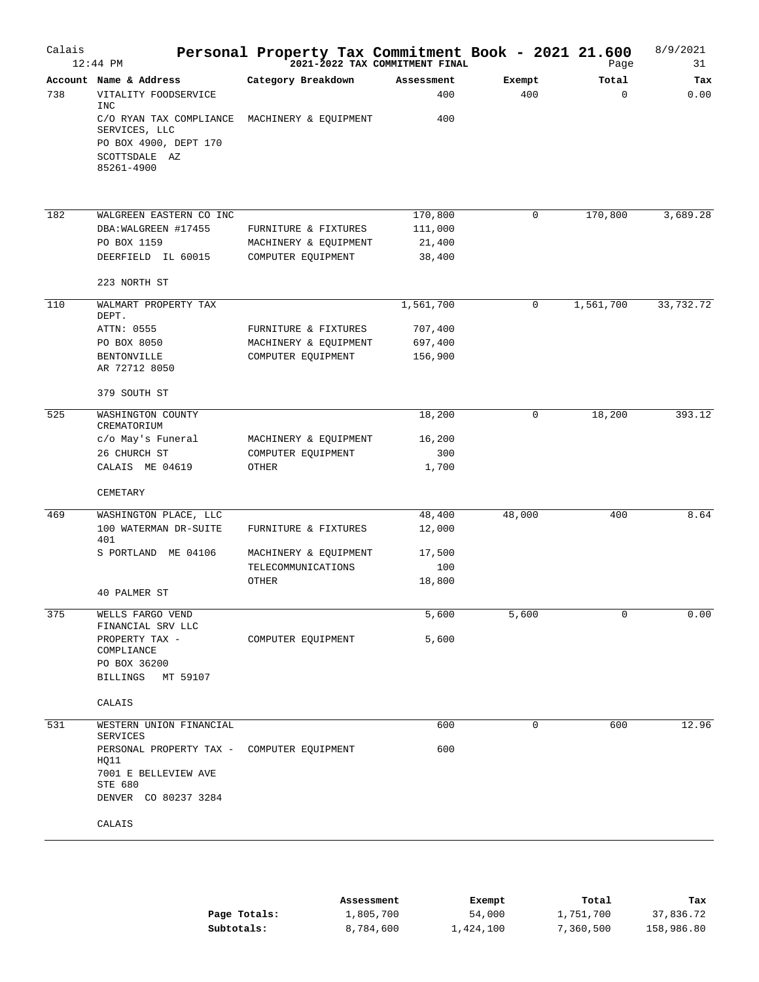| Calais | $12:44$ PM                                                                                       | Personal Property Tax Commitment Book - 2021 21.600 | 2021-2022 TAX COMMITMENT FINAL |               | Page              | 8/9/2021<br>31 |
|--------|--------------------------------------------------------------------------------------------------|-----------------------------------------------------|--------------------------------|---------------|-------------------|----------------|
| 738    | Account Name & Address<br>VITALITY FOODSERVICE<br><b>INC</b>                                     | Category Breakdown                                  | Assessment<br>400              | Exempt<br>400 | Total<br>$\Omega$ | Tax<br>0.00    |
|        | C/O RYAN TAX COMPLIANCE<br>SERVICES, LLC<br>PO BOX 4900, DEPT 170<br>SCOTTSDALE AZ<br>85261-4900 | MACHINERY & EQUIPMENT                               | 400                            |               |                   |                |
| 182    | WALGREEN EASTERN CO INC                                                                          |                                                     | 170,800                        | 0             | 170,800           | 3,689.28       |
|        | DBA: WALGREEN #17455                                                                             | FURNITURE & FIXTURES                                | 111,000                        |               |                   |                |
|        | PO BOX 1159                                                                                      | MACHINERY & EQUIPMENT                               | 21,400                         |               |                   |                |
|        | DEERFIELD IL 60015                                                                               | COMPUTER EQUIPMENT                                  | 38,400                         |               |                   |                |
|        | 223 NORTH ST                                                                                     |                                                     |                                |               |                   |                |
| 110    | WALMART PROPERTY TAX<br>DEPT.                                                                    |                                                     | 1,561,700                      | 0             | 1,561,700         | 33,732.72      |
|        | ATTN: 0555                                                                                       | FURNITURE & FIXTURES                                | 707,400                        |               |                   |                |
|        | PO BOX 8050                                                                                      | MACHINERY & EQUIPMENT                               | 697,400                        |               |                   |                |
|        | <b>BENTONVILLE</b><br>AR 72712 8050                                                              | COMPUTER EQUIPMENT                                  | 156,900                        |               |                   |                |
|        | 379 SOUTH ST                                                                                     |                                                     |                                |               |                   |                |
| 525    | WASHINGTON COUNTY<br>CREMATORIUM                                                                 |                                                     | 18,200                         | 0             | 18,200            | 393.12         |
|        | c/o May's Funeral                                                                                | MACHINERY & EQUIPMENT                               | 16,200                         |               |                   |                |
|        | 26 CHURCH ST                                                                                     | COMPUTER EQUIPMENT                                  | 300                            |               |                   |                |
|        | CALAIS ME 04619                                                                                  | OTHER                                               | 1,700                          |               |                   |                |
|        | CEMETARY                                                                                         |                                                     |                                |               |                   |                |
| 469    | WASHINGTON PLACE, LLC                                                                            |                                                     | 48,400                         | 48,000        | 400               | 8.64           |
|        | 100 WATERMAN DR-SUITE<br>401                                                                     | FURNITURE & FIXTURES                                | 12,000                         |               |                   |                |
|        | S PORTLAND ME 04106                                                                              | MACHINERY & EQUIPMENT                               | 17,500                         |               |                   |                |
|        |                                                                                                  | TELECOMMUNICATIONS                                  | 100                            |               |                   |                |
|        | 40 PALMER ST                                                                                     | OTHER                                               | 18,800                         |               |                   |                |
| 375    | WELLS FARGO VEND<br>FINANCIAL SRV LLC                                                            |                                                     | 5,600                          | 5,600         | 0                 | 0.00           |
|        | PROPERTY TAX -<br>COMPLIANCE                                                                     | COMPUTER EQUIPMENT                                  | 5,600                          |               |                   |                |
|        | PO BOX 36200                                                                                     |                                                     |                                |               |                   |                |
|        | <b>BILLINGS</b><br>MT 59107                                                                      |                                                     |                                |               |                   |                |
|        | CALAIS                                                                                           |                                                     |                                |               |                   |                |
| 531    | WESTERN UNION FINANCIAL<br>SERVICES                                                              |                                                     | 600                            | 0             | 600               | 12.96          |
|        | PERSONAL PROPERTY TAX - COMPUTER EQUIPMENT<br>HQ11<br>7001 E BELLEVIEW AVE                       |                                                     | 600                            |               |                   |                |
|        | STE 680<br>DENVER CO 80237 3284                                                                  |                                                     |                                |               |                   |                |
|        | CALAIS                                                                                           |                                                     |                                |               |                   |                |
|        |                                                                                                  |                                                     |                                |               |                   |                |

|              | Assessment | Exempt    | Total     | Tax        |
|--------------|------------|-----------|-----------|------------|
| Page Totals: | 1,805,700  | 54,000    | 1,751,700 | 37,836.72  |
| Subtotals:   | 8,784,600  | 1,424,100 | 7,360,500 | 158,986.80 |